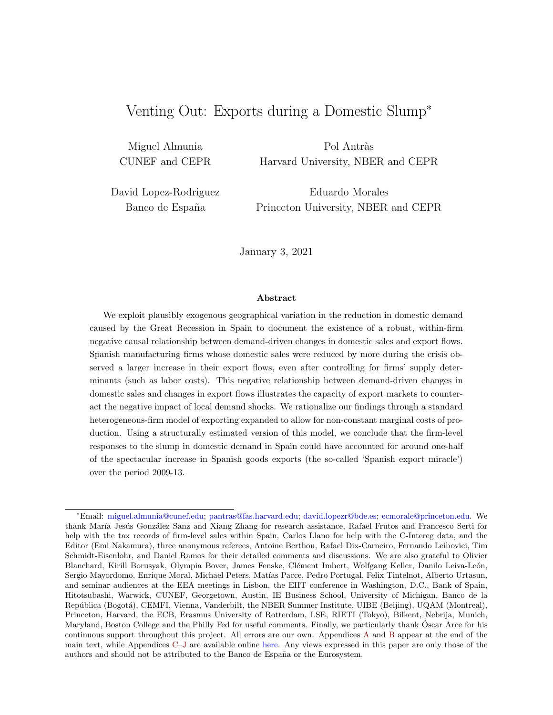# Venting Out: Exports during a Domestic Slump<sup>∗</sup>

Miguel Almunia CUNEF and CEPR

Pol Antràs Harvard University, NBER and CEPR

David Lopez-Rodriguez Banco de España

Eduardo Morales Princeton University, NBER and CEPR

January 3, 2021

#### Abstract

We exploit plausibly exogenous geographical variation in the reduction in domestic demand caused by the Great Recession in Spain to document the existence of a robust, within-firm negative causal relationship between demand-driven changes in domestic sales and export flows. Spanish manufacturing firms whose domestic sales were reduced by more during the crisis observed a larger increase in their export flows, even after controlling for firms' supply determinants (such as labor costs). This negative relationship between demand-driven changes in domestic sales and changes in export flows illustrates the capacity of export markets to counteract the negative impact of local demand shocks. We rationalize our findings through a standard heterogeneous-firm model of exporting expanded to allow for non-constant marginal costs of production. Using a structurally estimated version of this model, we conclude that the firm-level responses to the slump in domestic demand in Spain could have accounted for around one-half of the spectacular increase in Spanish goods exports (the so-called 'Spanish export miracle') over the period 2009-13.

<sup>∗</sup>Email: [miguel.almunia@cunef.edu;](mailto:miguel.almunia@cunef.edu) [pantras@fas.harvard.edu;](mailto:pantras@fas.harvard.edu) [david.lopezr@bde.es;](mailto:david.lopezr@bde.es) [ecmorale@princeton.edu.](mailto:ecmorale@princeton.edu) We thank María Jesús González Sanz and Xiang Zhang for research assistance, Rafael Frutos and Francesco Serti for help with the tax records of firm-level sales within Spain, Carlos Llano for help with the C-Intereg data, and the Editor (Emi Nakamura), three anonymous referees, Antoine Berthou, Rafael Dix-Carneiro, Fernando Leibovici, Tim Schmidt-Eisenlohr, and Daniel Ramos for their detailed comments and discussions. We are also grateful to Olivier Blanchard, Kirill Borusyak, Olympia Bover, James Fenske, Clément Imbert, Wolfgang Keller, Danilo Leiva-León, Sergio Mayordomo, Enrique Moral, Michael Peters, Matías Pacce, Pedro Portugal, Felix Tintelnot, Alberto Urtasun, and seminar audiences at the EEA meetings in Lisbon, the EIIT conference in Washington, D.C., Bank of Spain, Hitotsubashi, Warwick, CUNEF, Georgetown, Austin, IE Business School, University of Michigan, Banco de la República (Bogotá), CEMFI, Vienna, Vanderbilt, the NBER Summer Institute, UIBE (Beijing), UQAM (Montreal), Princeton, Harvard, the ECB, Erasmus University of Rotterdam, LSE, RIETI (Tokyo), Bilkent, Nebrija, Munich, Maryland, Boston College and the Philly Fed for useful comments. Finally, we particularly thank Oscar Arce for his ´ continuous support throughout this project. All errors are our own. Appendices [A](#page-52-0) and [B](#page-53-0) appear at the end of the main text, while Appendices [C–J](#page--1-0) are available online [here.](http://scholar.harvard.edu/files/antras/files/venting_aalm_online_appendix.pdf) Any views expressed in this paper are only those of the authors and should not be attributed to the Banco de España or the Eurosystem.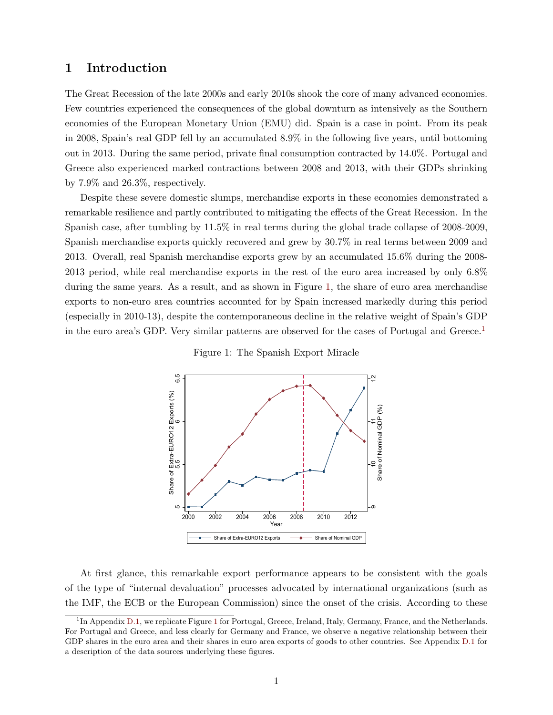# 1 Introduction

The Great Recession of the late 2000s and early 2010s shook the core of many advanced economies. Few countries experienced the consequences of the global downturn as intensively as the Southern economies of the European Monetary Union (EMU) did. Spain is a case in point. From its peak in 2008, Spain's real GDP fell by an accumulated 8.9% in the following five years, until bottoming out in 2013. During the same period, private final consumption contracted by 14.0%. Portugal and Greece also experienced marked contractions between 2008 and 2013, with their GDPs shrinking by 7.9% and 26.3%, respectively.

Despite these severe domestic slumps, merchandise exports in these economies demonstrated a remarkable resilience and partly contributed to mitigating the effects of the Great Recession. In the Spanish case, after tumbling by 11.5% in real terms during the global trade collapse of 2008-2009, Spanish merchandise exports quickly recovered and grew by 30.7% in real terms between 2009 and 2013. Overall, real Spanish merchandise exports grew by an accumulated 15.6% during the 2008- 2013 period, while real merchandise exports in the rest of the euro area increased by only 6.8% during the same years. As a result, and as shown in Figure [1,](#page-1-0) the share of euro area merchandise exports to non-euro area countries accounted for by Spain increased markedly during this period (especially in 2010-13), despite the contemporaneous decline in the relative weight of Spain's GDP in the euro area's GDP. Very similar patterns are observed for the cases of Portugal and Greece.<sup>[1](#page-1-1)</sup>



<span id="page-1-0"></span>

At first glance, this remarkable export performance appears to be consistent with the goals of the type of "internal devaluation" processes advocated by international organizations (such as the IMF, the ECB or the European Commission) since the onset of the crisis. According to these

<span id="page-1-1"></span><sup>&</sup>lt;sup>1</sup>In Appendix [D.1,](#page--1-1) we replicate Figure [1](#page-1-0) for Portugal, Greece, Ireland, Italy, Germany, France, and the Netherlands. For Portugal and Greece, and less clearly for Germany and France, we observe a negative relationship between their GDP shares in the euro area and their shares in euro area exports of goods to other countries. See Appendix [D.1](#page--1-1) for a description of the data sources underlying these figures.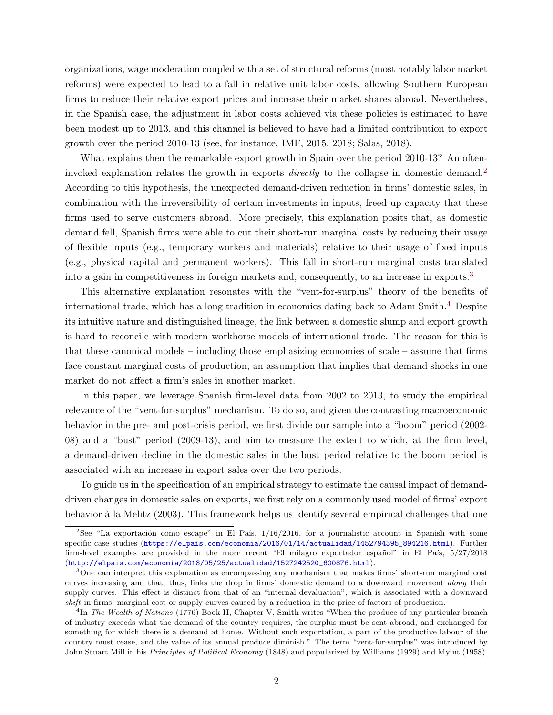organizations, wage moderation coupled with a set of structural reforms (most notably labor market reforms) were expected to lead to a fall in relative unit labor costs, allowing Southern European firms to reduce their relative export prices and increase their market shares abroad. Nevertheless, in the Spanish case, the adjustment in labor costs achieved via these policies is estimated to have been modest up to 2013, and this channel is believed to have had a limited contribution to export growth over the period 2010-13 (see, for instance, IMF, 2015, 2018; Salas, 2018).

What explains then the remarkable export growth in Spain over the period 2010-13? An ofteninvoked explanation relates the growth in exports *directly* to the collapse in domestic demand.<sup>[2](#page-2-0)</sup> According to this hypothesis, the unexpected demand-driven reduction in firms' domestic sales, in combination with the irreversibility of certain investments in inputs, freed up capacity that these firms used to serve customers abroad. More precisely, this explanation posits that, as domestic demand fell, Spanish firms were able to cut their short-run marginal costs by reducing their usage of flexible inputs (e.g., temporary workers and materials) relative to their usage of fixed inputs (e.g., physical capital and permanent workers). This fall in short-run marginal costs translated into a gain in competitiveness in foreign markets and, consequently, to an increase in exports.<sup>[3](#page-2-1)</sup>

This alternative explanation resonates with the "vent-for-surplus" theory of the benefits of international trade, which has a long tradition in economics dating back to Adam Smith.[4](#page-2-2) Despite its intuitive nature and distinguished lineage, the link between a domestic slump and export growth is hard to reconcile with modern workhorse models of international trade. The reason for this is that these canonical models – including those emphasizing economies of scale – assume that firms face constant marginal costs of production, an assumption that implies that demand shocks in one market do not affect a firm's sales in another market.

In this paper, we leverage Spanish firm-level data from 2002 to 2013, to study the empirical relevance of the "vent-for-surplus" mechanism. To do so, and given the contrasting macroeconomic behavior in the pre- and post-crisis period, we first divide our sample into a "boom" period (2002- 08) and a "bust" period (2009-13), and aim to measure the extent to which, at the firm level, a demand-driven decline in the domestic sales in the bust period relative to the boom period is associated with an increase in export sales over the two periods.

To guide us in the specification of an empirical strategy to estimate the causal impact of demanddriven changes in domestic sales on exports, we first rely on a commonly used model of firms' export behavior à la Melitz (2003). This framework helps us identify several empirical challenges that one

<span id="page-2-0"></span><sup>&</sup>lt;sup>2</sup>See "La exportación como escape" in El País,  $1/16/2016$ , for a journalistic account in Spanish with some specific case studies ([https://elpais.com/economia/2016/01/14/actualidad/1452794395\\_894216.html](https://elpais.com/economia/2016/01/14/actualidad/1452794395_894216.html)). Further firm-level examples are provided in the more recent "El milagro exportador español" in El País,  $5/27/2018$ ([http://elpais.com/economia/2018/05/25/actualidad/1527242520\\_600876.html](http://elpais.com/economia/2018/05/25/actualidad/1527242520_600876.html)).

<span id="page-2-1"></span><sup>3</sup>One can interpret this explanation as encompassing any mechanism that makes firms' short-run marginal cost curves increasing and that, thus, links the drop in firms' domestic demand to a downward movement along their supply curves. This effect is distinct from that of an "internal devaluation", which is associated with a downward shift in firms' marginal cost or supply curves caused by a reduction in the price of factors of production.

<span id="page-2-2"></span><sup>&</sup>lt;sup>4</sup>In The Wealth of Nations (1776) Book II, Chapter V, Smith writes "When the produce of any particular branch of industry exceeds what the demand of the country requires, the surplus must be sent abroad, and exchanged for something for which there is a demand at home. Without such exportation, a part of the productive labour of the country must cease, and the value of its annual produce diminish." The term "vent-for-surplus" was introduced by John Stuart Mill in his Principles of Political Economy (1848) and popularized by Williams (1929) and Myint (1958).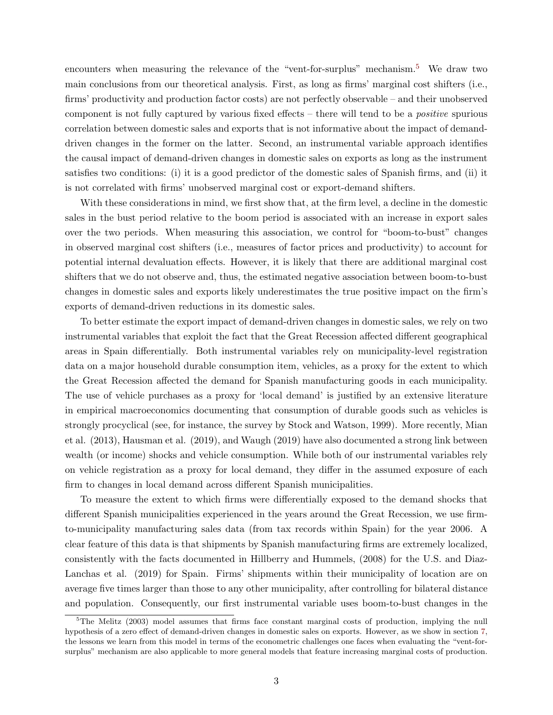encounters when measuring the relevance of the "vent-for-surplus" mechanism.<sup>[5](#page-3-0)</sup> We draw two main conclusions from our theoretical analysis. First, as long as firms' marginal cost shifters (i.e., firms' productivity and production factor costs) are not perfectly observable – and their unobserved component is not fully captured by various fixed effects – there will tend to be a positive spurious correlation between domestic sales and exports that is not informative about the impact of demanddriven changes in the former on the latter. Second, an instrumental variable approach identifies the causal impact of demand-driven changes in domestic sales on exports as long as the instrument satisfies two conditions: (i) it is a good predictor of the domestic sales of Spanish firms, and (ii) it is not correlated with firms' unobserved marginal cost or export-demand shifters.

With these considerations in mind, we first show that, at the firm level, a decline in the domestic sales in the bust period relative to the boom period is associated with an increase in export sales over the two periods. When measuring this association, we control for "boom-to-bust" changes in observed marginal cost shifters (i.e., measures of factor prices and productivity) to account for potential internal devaluation effects. However, it is likely that there are additional marginal cost shifters that we do not observe and, thus, the estimated negative association between boom-to-bust changes in domestic sales and exports likely underestimates the true positive impact on the firm's exports of demand-driven reductions in its domestic sales.

To better estimate the export impact of demand-driven changes in domestic sales, we rely on two instrumental variables that exploit the fact that the Great Recession affected different geographical areas in Spain differentially. Both instrumental variables rely on municipality-level registration data on a major household durable consumption item, vehicles, as a proxy for the extent to which the Great Recession affected the demand for Spanish manufacturing goods in each municipality. The use of vehicle purchases as a proxy for 'local demand' is justified by an extensive literature in empirical macroeconomics documenting that consumption of durable goods such as vehicles is strongly procyclical (see, for instance, the survey by Stock and Watson, 1999). More recently, Mian et al. (2013), Hausman et al. (2019), and Waugh (2019) have also documented a strong link between wealth (or income) shocks and vehicle consumption. While both of our instrumental variables rely on vehicle registration as a proxy for local demand, they differ in the assumed exposure of each firm to changes in local demand across different Spanish municipalities.

To measure the extent to which firms were differentially exposed to the demand shocks that different Spanish municipalities experienced in the years around the Great Recession, we use firmto-municipality manufacturing sales data (from tax records within Spain) for the year 2006. A clear feature of this data is that shipments by Spanish manufacturing firms are extremely localized, consistently with the facts documented in Hillberry and Hummels, (2008) for the U.S. and Diaz-Lanchas et al. (2019) for Spain. Firms' shipments within their municipality of location are on average five times larger than those to any other municipality, after controlling for bilateral distance and population. Consequently, our first instrumental variable uses boom-to-bust changes in the

<span id="page-3-0"></span><sup>&</sup>lt;sup>5</sup>The Melitz (2003) model assumes that firms face constant marginal costs of production, implying the null hypothesis of a zero effect of demand-driven changes in domestic sales on exports. However, as we show in section [7,](#page-36-0) the lessons we learn from this model in terms of the econometric challenges one faces when evaluating the "vent-forsurplus" mechanism are also applicable to more general models that feature increasing marginal costs of production.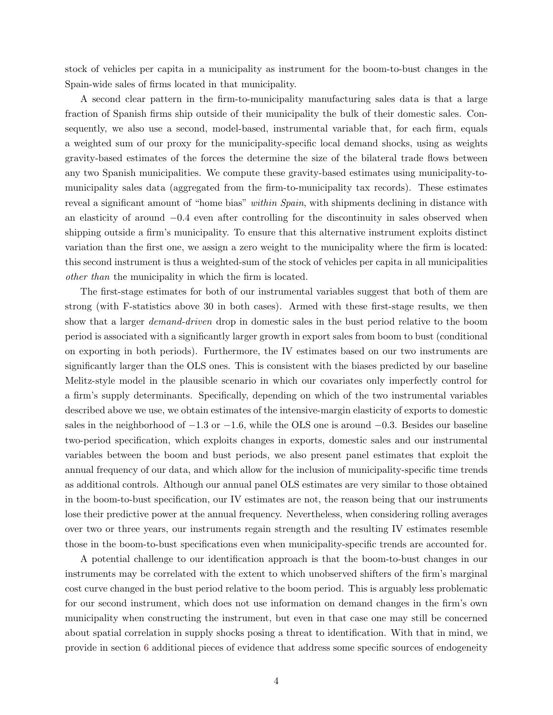stock of vehicles per capita in a municipality as instrument for the boom-to-bust changes in the Spain-wide sales of firms located in that municipality.

A second clear pattern in the firm-to-municipality manufacturing sales data is that a large fraction of Spanish firms ship outside of their municipality the bulk of their domestic sales. Consequently, we also use a second, model-based, instrumental variable that, for each firm, equals a weighted sum of our proxy for the municipality-specific local demand shocks, using as weights gravity-based estimates of the forces the determine the size of the bilateral trade flows between any two Spanish municipalities. We compute these gravity-based estimates using municipality-tomunicipality sales data (aggregated from the firm-to-municipality tax records). These estimates reveal a significant amount of "home bias" within Spain, with shipments declining in distance with an elasticity of around −0.4 even after controlling for the discontinuity in sales observed when shipping outside a firm's municipality. To ensure that this alternative instrument exploits distinct variation than the first one, we assign a zero weight to the municipality where the firm is located: this second instrument is thus a weighted-sum of the stock of vehicles per capita in all municipalities other than the municipality in which the firm is located.

The first-stage estimates for both of our instrumental variables suggest that both of them are strong (with F-statistics above 30 in both cases). Armed with these first-stage results, we then show that a larger *demand-driven* drop in domestic sales in the bust period relative to the boom period is associated with a significantly larger growth in export sales from boom to bust (conditional on exporting in both periods). Furthermore, the IV estimates based on our two instruments are significantly larger than the OLS ones. This is consistent with the biases predicted by our baseline Melitz-style model in the plausible scenario in which our covariates only imperfectly control for a firm's supply determinants. Specifically, depending on which of the two instrumental variables described above we use, we obtain estimates of the intensive-margin elasticity of exports to domestic sales in the neighborhood of  $-1.3$  or  $-1.6$ , while the OLS one is around  $-0.3$ . Besides our baseline two-period specification, which exploits changes in exports, domestic sales and our instrumental variables between the boom and bust periods, we also present panel estimates that exploit the annual frequency of our data, and which allow for the inclusion of municipality-specific time trends as additional controls. Although our annual panel OLS estimates are very similar to those obtained in the boom-to-bust specification, our IV estimates are not, the reason being that our instruments lose their predictive power at the annual frequency. Nevertheless, when considering rolling averages over two or three years, our instruments regain strength and the resulting IV estimates resemble those in the boom-to-bust specifications even when municipality-specific trends are accounted for.

A potential challenge to our identification approach is that the boom-to-bust changes in our instruments may be correlated with the extent to which unobserved shifters of the firm's marginal cost curve changed in the bust period relative to the boom period. This is arguably less problematic for our second instrument, which does not use information on demand changes in the firm's own municipality when constructing the instrument, but even in that case one may still be concerned about spatial correlation in supply shocks posing a threat to identification. With that in mind, we provide in section [6](#page-27-0) additional pieces of evidence that address some specific sources of endogeneity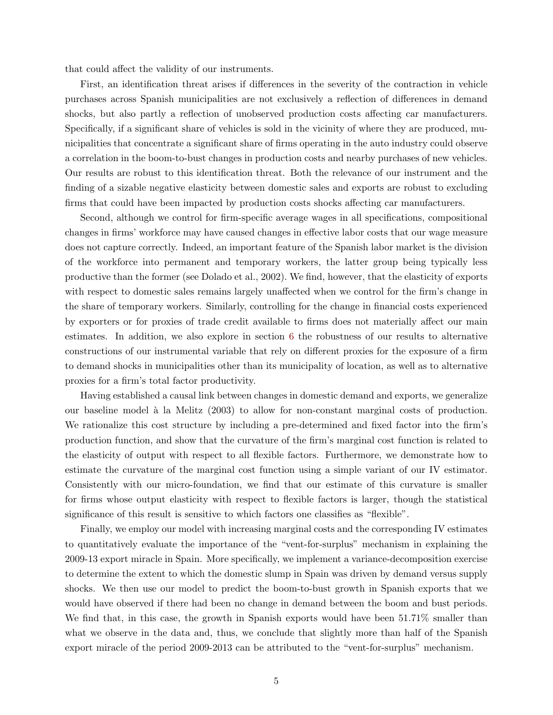that could affect the validity of our instruments.

First, an identification threat arises if differences in the severity of the contraction in vehicle purchases across Spanish municipalities are not exclusively a reflection of differences in demand shocks, but also partly a reflection of unobserved production costs affecting car manufacturers. Specifically, if a significant share of vehicles is sold in the vicinity of where they are produced, municipalities that concentrate a significant share of firms operating in the auto industry could observe a correlation in the boom-to-bust changes in production costs and nearby purchases of new vehicles. Our results are robust to this identification threat. Both the relevance of our instrument and the finding of a sizable negative elasticity between domestic sales and exports are robust to excluding firms that could have been impacted by production costs shocks affecting car manufacturers.

Second, although we control for firm-specific average wages in all specifications, compositional changes in firms' workforce may have caused changes in effective labor costs that our wage measure does not capture correctly. Indeed, an important feature of the Spanish labor market is the division of the workforce into permanent and temporary workers, the latter group being typically less productive than the former (see Dolado et al., 2002). We find, however, that the elasticity of exports with respect to domestic sales remains largely unaffected when we control for the firm's change in the share of temporary workers. Similarly, controlling for the change in financial costs experienced by exporters or for proxies of trade credit available to firms does not materially affect our main estimates. In addition, we also explore in section [6](#page-27-0) the robustness of our results to alternative constructions of our instrumental variable that rely on different proxies for the exposure of a firm to demand shocks in municipalities other than its municipality of location, as well as to alternative proxies for a firm's total factor productivity.

Having established a causal link between changes in domestic demand and exports, we generalize our baseline model à la Melitz (2003) to allow for non-constant marginal costs of production. We rationalize this cost structure by including a pre-determined and fixed factor into the firm's production function, and show that the curvature of the firm's marginal cost function is related to the elasticity of output with respect to all flexible factors. Furthermore, we demonstrate how to estimate the curvature of the marginal cost function using a simple variant of our IV estimator. Consistently with our micro-foundation, we find that our estimate of this curvature is smaller for firms whose output elasticity with respect to flexible factors is larger, though the statistical significance of this result is sensitive to which factors one classifies as "flexible".

Finally, we employ our model with increasing marginal costs and the corresponding IV estimates to quantitatively evaluate the importance of the "vent-for-surplus" mechanism in explaining the 2009-13 export miracle in Spain. More specifically, we implement a variance-decomposition exercise to determine the extent to which the domestic slump in Spain was driven by demand versus supply shocks. We then use our model to predict the boom-to-bust growth in Spanish exports that we would have observed if there had been no change in demand between the boom and bust periods. We find that, in this case, the growth in Spanish exports would have been 51.71% smaller than what we observe in the data and, thus, we conclude that slightly more than half of the Spanish export miracle of the period 2009-2013 can be attributed to the "vent-for-surplus" mechanism.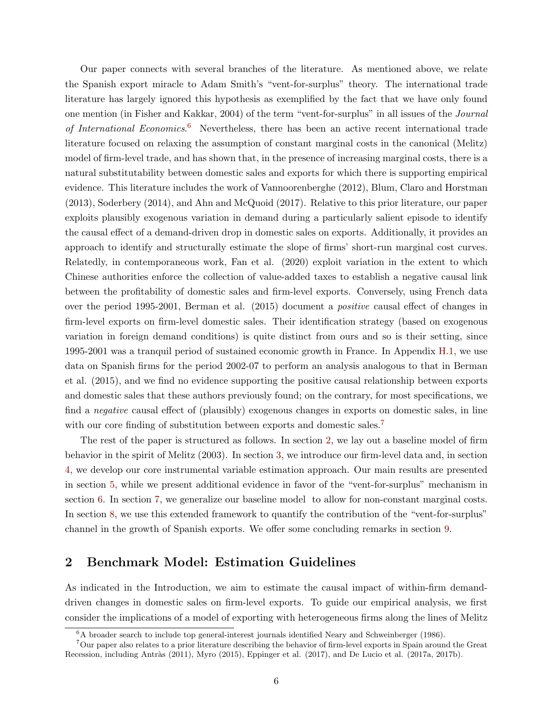Our paper connects with several branches of the literature. As mentioned above, we relate the Spanish export miracle to Adam Smith's "vent-for-surplus" theory. The international trade literature has largely ignored this hypothesis as exemplified by the fact that we have only found one mention (in Fisher and Kakkar, 2004) of the term "vent-for-surplus" in all issues of the Journal of International Economics.<sup>[6](#page-6-0)</sup> Nevertheless, there has been an active recent international trade literature focused on relaxing the assumption of constant marginal costs in the canonical (Melitz) model of firm-level trade, and has shown that, in the presence of increasing marginal costs, there is a natural substitutability between domestic sales and exports for which there is supporting empirical evidence. This literature includes the work of Vannoorenberghe (2012), Blum, Claro and Horstman (2013), Soderbery (2014), and Ahn and McQuoid (2017). Relative to this prior literature, our paper exploits plausibly exogenous variation in demand during a particularly salient episode to identify the causal effect of a demand-driven drop in domestic sales on exports. Additionally, it provides an approach to identify and structurally estimate the slope of firms' short-run marginal cost curves. Relatedly, in contemporaneous work, Fan et al. (2020) exploit variation in the extent to which Chinese authorities enforce the collection of value-added taxes to establish a negative causal link between the profitability of domestic sales and firm-level exports. Conversely, using French data over the period 1995-2001, Berman et al. (2015) document a positive causal effect of changes in firm-level exports on firm-level domestic sales. Their identification strategy (based on exogenous variation in foreign demand conditions) is quite distinct from ours and so is their setting, since 1995-2001 was a tranquil period of sustained economic growth in France. In Appendix [H.1,](#page--1-2) we use data on Spanish firms for the period 2002-07 to perform an analysis analogous to that in Berman et al. (2015), and we find no evidence supporting the positive causal relationship between exports and domestic sales that these authors previously found; on the contrary, for most specifications, we find a negative causal effect of (plausibly) exogenous changes in exports on domestic sales, in line with our core finding of substitution between exports and domestic sales.<sup>[7](#page-6-1)</sup>

The rest of the paper is structured as follows. In section [2,](#page-6-2) we lay out a baseline model of firm behavior in the spirit of Melitz (2003). In section [3,](#page-10-0) we introduce our firm-level data and, in section [4,](#page-14-0) we develop our core instrumental variable estimation approach. Our main results are presented in section [5,](#page-21-0) while we present additional evidence in favor of the "vent-for-surplus" mechanism in section [6.](#page-27-0) In section [7,](#page-36-0) we generalize our baseline model to allow for non-constant marginal costs. In section [8,](#page-39-0) we use this extended framework to quantify the contribution of the "vent-for-surplus" channel in the growth of Spanish exports. We offer some concluding remarks in section [9.](#page-46-0)

# <span id="page-6-2"></span>2 Benchmark Model: Estimation Guidelines

As indicated in the Introduction, we aim to estimate the causal impact of within-firm demanddriven changes in domestic sales on firm-level exports. To guide our empirical analysis, we first consider the implications of a model of exporting with heterogeneous firms along the lines of Melitz

<span id="page-6-1"></span><span id="page-6-0"></span> ${}^{6}$ A broader search to include top general-interest journals identified Neary and Schweinberger (1986).

<sup>7</sup>Our paper also relates to a prior literature describing the behavior of firm-level exports in Spain around the Great Recession, including Antràs (2011), Myro (2015), Eppinger et al. (2017), and De Lucio et al. (2017a, 2017b).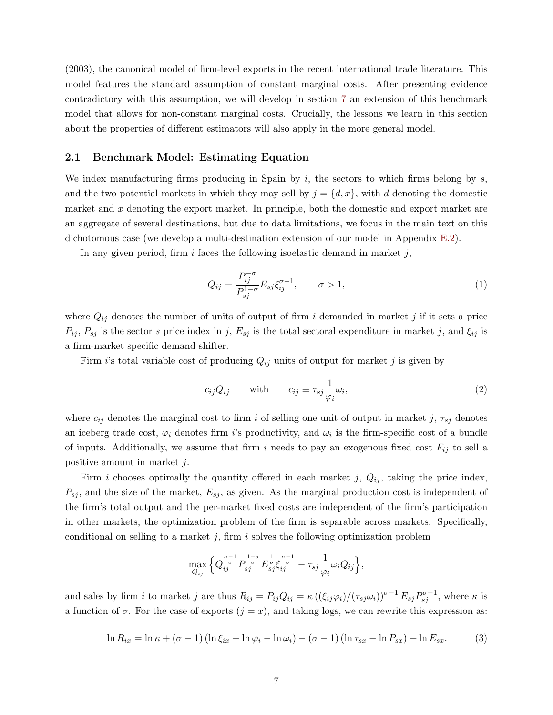(2003), the canonical model of firm-level exports in the recent international trade literature. This model features the standard assumption of constant marginal costs. After presenting evidence contradictory with this assumption, we will develop in section [7](#page-36-0) an extension of this benchmark model that allows for non-constant marginal costs. Crucially, the lessons we learn in this section about the properties of different estimators will also apply in the more general model.

### <span id="page-7-0"></span>2.1 Benchmark Model: Estimating Equation

We index manufacturing firms producing in Spain by  $i$ , the sectors to which firms belong by  $s$ , and the two potential markets in which they may sell by  $j = \{d, x\}$ , with d denoting the domestic market and  $x$  denoting the export market. In principle, both the domestic and export market are an aggregate of several destinations, but due to data limitations, we focus in the main text on this dichotomous case (we develop a multi-destination extension of our model in Appendix [E.2\)](#page--1-3).

In any given period, firm  $i$  faces the following isoelastic demand in market  $j$ ,

$$
Q_{ij} = \frac{P_{ij}^{-\sigma}}{P_{sj}^{1-\sigma}} E_{sj} \xi_{ij}^{\sigma-1}, \qquad \sigma > 1,
$$
\n(1)

where  $Q_{ij}$  denotes the number of units of output of firm i demanded in market j if it sets a price  $P_{ij}$ ,  $P_{sj}$  is the sector s price index in j,  $E_{sj}$  is the total sectoral expenditure in market j, and  $\xi_{ij}$  is a firm-market specific demand shifter.

Firm i's total variable cost of producing  $Q_{ij}$  units of output for market j is given by

<span id="page-7-1"></span>
$$
c_{ij}Q_{ij} \qquad \text{with} \qquad c_{ij} \equiv \tau_{sj} \frac{1}{\varphi_i} \omega_i,\tag{2}
$$

where  $c_{ij}$  denotes the marginal cost to firm i of selling one unit of output in market j,  $\tau_{sj}$  denotes an iceberg trade cost,  $\varphi_i$  denotes firm *i*'s productivity, and  $\omega_i$  is the firm-specific cost of a bundle of inputs. Additionally, we assume that firm i needs to pay an exogenous fixed cost  $F_{ij}$  to sell a positive amount in market j.

Firm i chooses optimally the quantity offered in each market j,  $Q_{ij}$ , taking the price index,  $P_{sj}$ , and the size of the market,  $E_{sj}$ , as given. As the marginal production cost is independent of the firm's total output and the per-market fixed costs are independent of the firm's participation in other markets, the optimization problem of the firm is separable across markets. Specifically, conditional on selling to a market  $j$ , firm  $i$  solves the following optimization problem

$$
\max_{Q_{ij}} \Big\{ Q_{ij}^{\frac{\sigma-1}{\sigma}} P_{sj}^{\frac{1-\sigma}{\sigma}} E_{sj}^{\frac{1}{\sigma}} \xi_{ij}^{\frac{\sigma-1}{\sigma}} - \tau_{sj} \frac{1}{\varphi_i} \omega_i Q_{ij} \Big\},\,
$$

and sales by firm i to market j are thus  $R_{ij} = P_{ij}Q_{ij} = \kappa \left( (\xi_{ij}\varphi_i)/(\tau_{sj}\omega_i) \right)^{\sigma-1} E_{sj}P_{sj}^{\sigma-1}$ , where  $\kappa$  is a function of  $\sigma$ . For the case of exports  $(j = x)$ , and taking logs, we can rewrite this expression as:

$$
\ln R_{ix} = \ln \kappa + (\sigma - 1) (\ln \xi_{ix} + \ln \varphi_i - \ln \omega_i) - (\sigma - 1) (\ln \tau_{sx} - \ln P_{sx}) + \ln E_{sx}.
$$
 (3)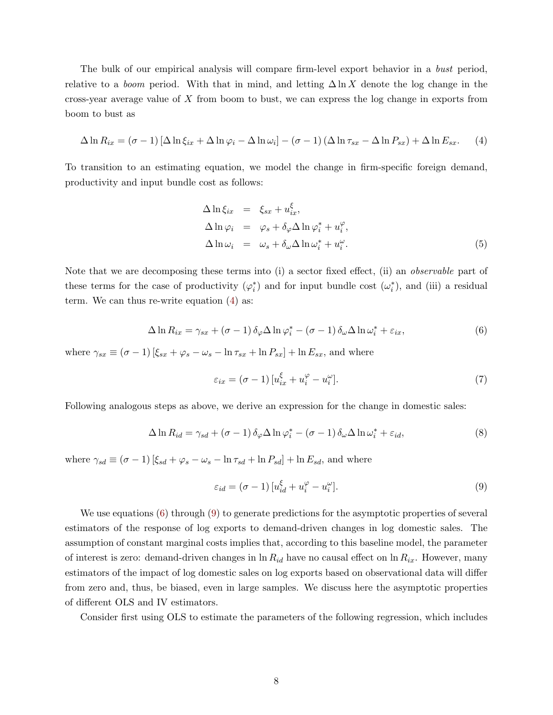The bulk of our empirical analysis will compare firm-level export behavior in a bust period, relative to a *boom* period. With that in mind, and letting  $\Delta \ln X$  denote the log change in the cross-year average value of X from boom to bust, we can express the log change in exports from boom to bust as

<span id="page-8-0"></span>
$$
\Delta \ln R_{ix} = (\sigma - 1) \left[ \Delta \ln \xi_{ix} + \Delta \ln \varphi_i - \Delta \ln \omega_i \right] - (\sigma - 1) \left( \Delta \ln \tau_{sx} - \Delta \ln P_{sx} \right) + \Delta \ln E_{sx}.
$$
 (4)

To transition to an estimating equation, we model the change in firm-specific foreign demand, productivity and input bundle cost as follows:

<span id="page-8-4"></span>
$$
\Delta \ln \xi_{ix} = \xi_{sx} + u_{ix}^{\xi},
$$
  
\n
$$
\Delta \ln \varphi_i = \varphi_s + \delta_\varphi \Delta \ln \varphi_i^* + u_i^\varphi,
$$
  
\n
$$
\Delta \ln \omega_i = \omega_s + \delta_\omega \Delta \ln \omega_i^* + u_i^\omega.
$$
\n(5)

Note that we are decomposing these terms into (i) a sector fixed effect, (ii) an *observable* part of these terms for the case of productivity  $(\varphi_i^*)$  and for input bundle cost  $(\omega_i^*)$ , and (iii) a residual term. We can thus re-write equation [\(4\)](#page-8-0) as:

<span id="page-8-1"></span>
$$
\Delta \ln R_{ix} = \gamma_{sx} + (\sigma - 1) \,\delta_{\varphi} \Delta \ln \varphi_i^* - (\sigma - 1) \,\delta_{\omega} \Delta \ln \omega_i^* + \varepsilon_{ix},\tag{6}
$$

where  $\gamma_{sx} \equiv (\sigma - 1) [\xi_{sx} + \varphi_s - \omega_s - \ln \tau_{sx} + \ln P_{sx}] + \ln E_{sx}$ , and where

<span id="page-8-3"></span>
$$
\varepsilon_{ix} = (\sigma - 1) \left[ u_{ix}^{\xi} + u_i^{\varphi} - u_i^{\omega} \right]. \tag{7}
$$

Following analogous steps as above, we derive an expression for the change in domestic sales:

$$
\Delta \ln R_{id} = \gamma_{sd} + (\sigma - 1) \,\delta_{\varphi} \Delta \ln \varphi_i^* - (\sigma - 1) \,\delta_{\omega} \Delta \ln \omega_i^* + \varepsilon_{id},\tag{8}
$$

where  $\gamma_{sd} \equiv (\sigma - 1) [\xi_{sd} + \varphi_s - \omega_s - \ln \tau_{sd} + \ln P_{sd}] + \ln E_{sd}$ , and where

<span id="page-8-2"></span>
$$
\varepsilon_{id} = (\sigma - 1) \left[ u_{id}^{\xi} + u_i^{\varphi} - u_i^{\omega} \right]. \tag{9}
$$

We use equations [\(6\)](#page-8-1) through [\(9\)](#page-8-2) to generate predictions for the asymptotic properties of several estimators of the response of log exports to demand-driven changes in log domestic sales. The assumption of constant marginal costs implies that, according to this baseline model, the parameter of interest is zero: demand-driven changes in  $\ln R_{id}$  have no causal effect on  $\ln R_{ix}$ . However, many estimators of the impact of log domestic sales on log exports based on observational data will differ from zero and, thus, be biased, even in large samples. We discuss here the asymptotic properties of different OLS and IV estimators.

Consider first using OLS to estimate the parameters of the following regression, which includes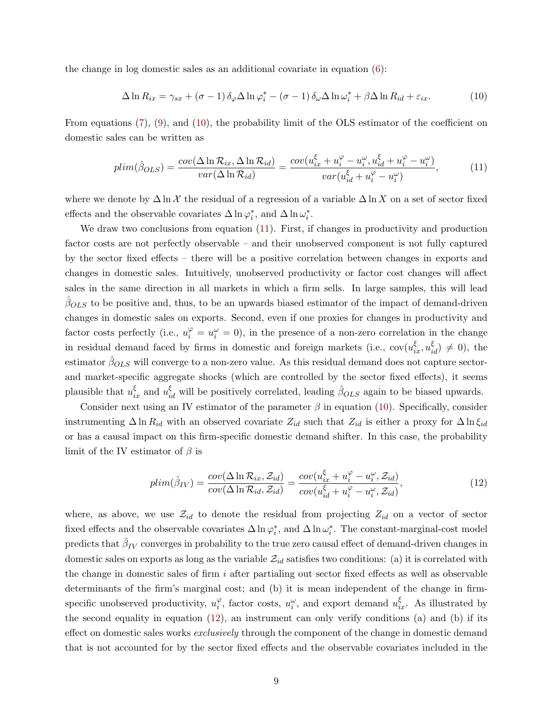the change in log domestic sales as an additional covariate in equation  $(6)$ :

<span id="page-9-0"></span>
$$
\Delta \ln R_{ix} = \gamma_{sx} + (\sigma - 1) \,\delta_\varphi \Delta \ln \varphi_i^* - (\sigma - 1) \,\delta_\omega \Delta \ln \omega_i^* + \beta \Delta \ln R_{id} + \varepsilon_{ix}.\tag{10}
$$

From equations [\(7\)](#page-8-3), [\(9\)](#page-8-2), and [\(10\)](#page-9-0), the probability limit of the OLS estimator of the coefficient on domestic sales can be written as

<span id="page-9-1"></span>
$$
plim(\hat{\beta}_{OLS}) = \frac{cov(\Delta \ln \mathcal{R}_{ix}, \Delta \ln \mathcal{R}_{id})}{var(\Delta \ln \mathcal{R}_{id})} = \frac{cov(u_{ix}^{\xi} + u_{i}^{\varphi} - u_{i}^{\omega}, u_{id}^{\xi} + u_{i}^{\varphi} - u_{i}^{\omega}))}{var(u_{id}^{\xi} + u_{i}^{\varphi} - u_{i}^{\omega})},
$$
(11)

where we denote by  $\Delta \ln \chi$  the residual of a regression of a variable  $\Delta \ln X$  on a set of sector fixed effects and the observable covariates  $\Delta \ln \varphi_i^*$ , and  $\Delta \ln \omega_i^*$ .

We draw two conclusions from equation [\(11\)](#page-9-1). First, if changes in productivity and production factor costs are not perfectly observable – and their unobserved component is not fully captured by the sector fixed effects – there will be a positive correlation between changes in exports and changes in domestic sales. Intuitively, unobserved productivity or factor cost changes will affect sales in the same direction in all markets in which a firm sells. In large samples, this will lead  $\beta_{OLS}$  to be positive and, thus, to be an upwards biased estimator of the impact of demand-driven changes in domestic sales on exports. Second, even if one proxies for changes in productivity and factor costs perfectly (i.e.,  $u_i^{\varphi} = u_i^{\omega} = 0$ ), in the presence of a non-zero correlation in the change in residual demand faced by firms in domestic and foreign markets (i.e.,  $cov(u_{ix}^{\xi}, u_{id}^{\xi}) \neq 0$ ), the estimator  $\hat{\beta}_{OLS}$  will converge to a non-zero value. As this residual demand does not capture sectorand market-specific aggregate shocks (which are controlled by the sector fixed effects), it seems plausible that  $u_{ix}^{\xi}$  and  $u_{id}^{\xi}$  will be positively correlated, leading  $\hat{\beta}_{OLS}$  again to be biased upwards.

Consider next using an IV estimator of the parameter  $\beta$  in equation [\(10\)](#page-9-0). Specifically, consider instrumenting  $\Delta \ln R_{id}$  with an observed covariate  $Z_{id}$  such that  $Z_{id}$  is either a proxy for  $\Delta \ln \xi_{id}$ or has a causal impact on this firm-specific domestic demand shifter. In this case, the probability limit of the IV estimator of  $\beta$  is

<span id="page-9-2"></span>
$$
plim(\hat{\beta}_{IV}) = \frac{cov(\Delta \ln \mathcal{R}_{ix}, \mathcal{Z}_{id})}{cov(\Delta \ln \mathcal{R}_{id}, \mathcal{Z}_{id})} = \frac{cov(u_{ix}^{\xi} + u_{i}^{\varphi} - u_{i}^{\omega}, \mathcal{Z}_{id})}{cov(u_{id}^{\xi} + u_{i}^{\varphi} - u_{i}^{\omega}, \mathcal{Z}_{id})},
$$
(12)

where, as above, we use  $\mathcal{Z}_{id}$  to denote the residual from projecting  $Z_{id}$  on a vector of sector fixed effects and the observable covariates  $\Delta \ln \varphi_i^*$ , and  $\Delta \ln \omega_i^*$ . The constant-marginal-cost model predicts that  $\hat{\beta}_{IV}$  converges in probability to the true zero causal effect of demand-driven changes in domestic sales on exports as long as the variable  $\mathcal{Z}_{id}$  satisfies two conditions: (a) it is correlated with the change in domestic sales of firm  $i$  after partialing out sector fixed effects as well as observable determinants of the firm's marginal cost; and (b) it is mean independent of the change in firmspecific unobserved productivity,  $u_i^{\varphi}$  $\varphi_i^{\varphi}$ , factor costs,  $u_i^{\omega}$ , and export demand  $u_{ix}^{\xi}$ . As illustrated by the second equality in equation  $(12)$ , an instrument can only verify conditions  $(a)$  and  $(b)$  if its effect on domestic sales works *exclusively* through the component of the change in domestic demand that is not accounted for by the sector fixed effects and the observable covariates included in the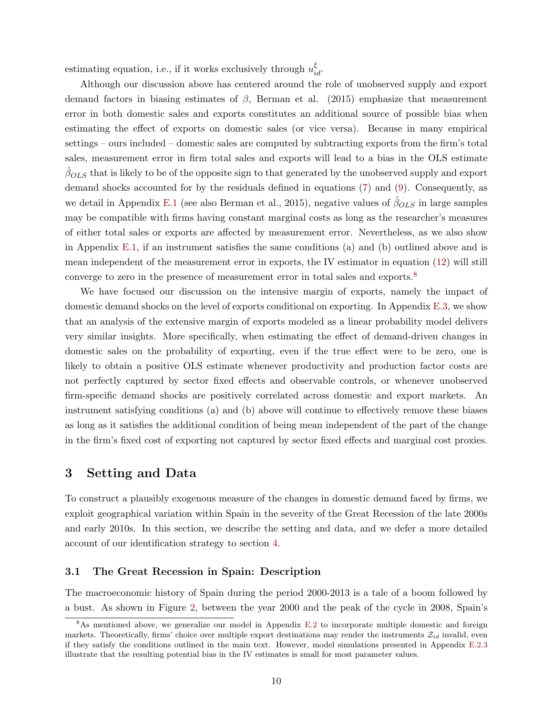estimating equation, i.e., if it works exclusively through  $u_{id}^{\xi}$ .

Although our discussion above has centered around the role of unobserved supply and export demand factors in biasing estimates of  $\beta$ , Berman et al. (2015) emphasize that measurement error in both domestic sales and exports constitutes an additional source of possible bias when estimating the effect of exports on domestic sales (or vice versa). Because in many empirical settings – ours included – domestic sales are computed by subtracting exports from the firm's total sales, measurement error in firm total sales and exports will lead to a bias in the OLS estimate  $\beta_{OLS}$  that is likely to be of the opposite sign to that generated by the unobserved supply and export demand shocks accounted for by the residuals defined in equations [\(7\)](#page-8-3) and [\(9\)](#page-8-2). Consequently, as we detail in Appendix [E.1](#page--1-1) (see also Berman et al., 2015), negative values of  $\beta_{OLS}$  in large samples may be compatible with firms having constant marginal costs as long as the researcher's measures of either total sales or exports are affected by measurement error. Nevertheless, as we also show in Appendix [E.1,](#page--1-1) if an instrument satisfies the same conditions (a) and (b) outlined above and is mean independent of the measurement error in exports, the IV estimator in equation [\(12\)](#page-9-2) will still converge to zero in the presence of measurement error in total sales and exports.[8](#page-10-1)

We have focused our discussion on the intensive margin of exports, namely the impact of domestic demand shocks on the level of exports conditional on exporting. In Appendix [E.3,](#page--1-0) we show that an analysis of the extensive margin of exports modeled as a linear probability model delivers very similar insights. More specifically, when estimating the effect of demand-driven changes in domestic sales on the probability of exporting, even if the true effect were to be zero, one is likely to obtain a positive OLS estimate whenever productivity and production factor costs are not perfectly captured by sector fixed effects and observable controls, or whenever unobserved firm-specific demand shocks are positively correlated across domestic and export markets. An instrument satisfying conditions (a) and (b) above will continue to effectively remove these biases as long as it satisfies the additional condition of being mean independent of the part of the change in the firm's fixed cost of exporting not captured by sector fixed effects and marginal cost proxies.

# <span id="page-10-0"></span>3 Setting and Data

To construct a plausibly exogenous measure of the changes in domestic demand faced by firms, we exploit geographical variation within Spain in the severity of the Great Recession of the late 2000s and early 2010s. In this section, we describe the setting and data, and we defer a more detailed account of our identification strategy to section [4.](#page-14-0)

### <span id="page-10-2"></span>3.1 The Great Recession in Spain: Description

The macroeconomic history of Spain during the period 2000-2013 is a tale of a boom followed by a bust. As shown in Figure [2,](#page-11-0) between the year 2000 and the peak of the cycle in 2008, Spain's

<span id="page-10-1"></span><sup>8</sup>As mentioned above, we generalize our model in Appendix [E.2](#page--1-3) to incorporate multiple domestic and foreign markets. Theoretically, firms' choice over multiple export destinations may render the instruments  $\mathcal{Z}_{id}$  invalid, even if they satisfy the conditions outlined in the main text. However, model simulations presented in Appendix [E.2.3](#page--1-4) illustrate that the resulting potential bias in the IV estimates is small for most parameter values.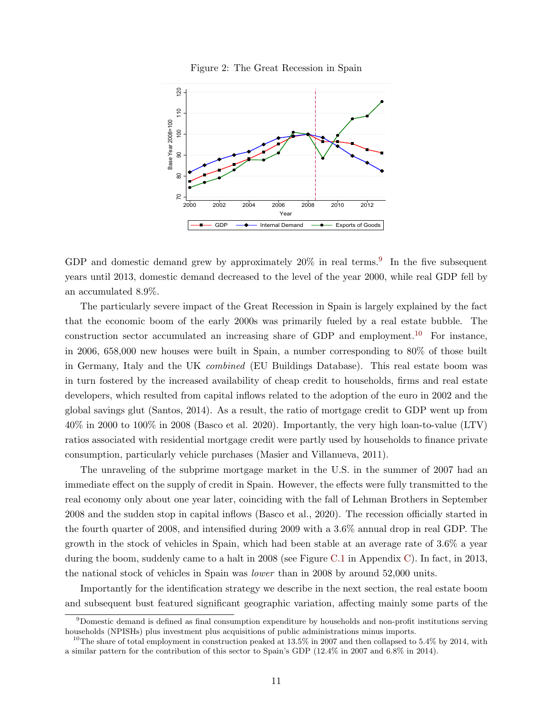

<span id="page-11-0"></span>

GDP and domestic demand grew by approximately  $20\%$  in real terms.<sup>[9](#page-11-1)</sup> In the five subsequent years until 2013, domestic demand decreased to the level of the year 2000, while real GDP fell by an accumulated 8.9%.

The particularly severe impact of the Great Recession in Spain is largely explained by the fact that the economic boom of the early 2000s was primarily fueled by a real estate bubble. The construction sector accumulated an increasing share of GDP and employment.<sup>[10](#page-11-2)</sup> For instance, in 2006, 658,000 new houses were built in Spain, a number corresponding to 80% of those built in Germany, Italy and the UK combined (EU Buildings Database). This real estate boom was in turn fostered by the increased availability of cheap credit to households, firms and real estate developers, which resulted from capital inflows related to the adoption of the euro in 2002 and the global savings glut (Santos, 2014). As a result, the ratio of mortgage credit to GDP went up from 40% in 2000 to 100% in 2008 (Basco et al. 2020). Importantly, the very high loan-to-value (LTV) ratios associated with residential mortgage credit were partly used by households to finance private consumption, particularly vehicle purchases (Masier and Villanueva, 2011).

The unraveling of the subprime mortgage market in the U.S. in the summer of 2007 had an immediate effect on the supply of credit in Spain. However, the effects were fully transmitted to the real economy only about one year later, coinciding with the fall of Lehman Brothers in September 2008 and the sudden stop in capital inflows (Basco et al., 2020). The recession officially started in the fourth quarter of 2008, and intensified during 2009 with a 3.6% annual drop in real GDP. The growth in the stock of vehicles in Spain, which had been stable at an average rate of 3.6% a year during the boom, suddenly came to a halt in 2008 (see Figure [C.1](#page--1-5) in Appendix [C\)](#page--1-0). In fact, in 2013, the national stock of vehicles in Spain was lower than in 2008 by around 52,000 units.

Importantly for the identification strategy we describe in the next section, the real estate boom and subsequent bust featured significant geographic variation, affecting mainly some parts of the

<span id="page-11-1"></span><sup>9</sup>Domestic demand is defined as final consumption expenditure by households and non-profit institutions serving households (NPISHs) plus investment plus acquisitions of public administrations minus imports.

<span id="page-11-2"></span><sup>&</sup>lt;sup>10</sup>The share of total employment in construction peaked at  $13.5\%$  in 2007 and then collapsed to 5.4% by 2014, with a similar pattern for the contribution of this sector to Spain's GDP (12.4% in 2007 and 6.8% in 2014).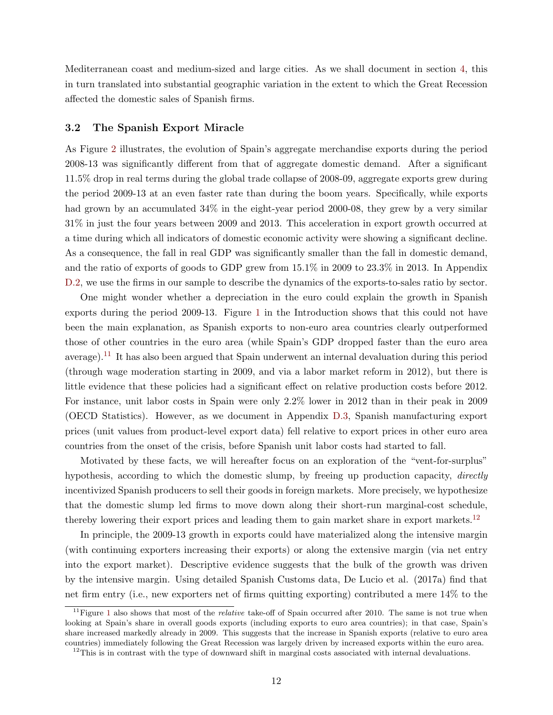Mediterranean coast and medium-sized and large cities. As we shall document in section [4,](#page-14-0) this in turn translated into substantial geographic variation in the extent to which the Great Recession affected the domestic sales of Spanish firms.

#### <span id="page-12-2"></span>3.2 The Spanish Export Miracle

As Figure [2](#page-11-0) illustrates, the evolution of Spain's aggregate merchandise exports during the period 2008-13 was significantly different from that of aggregate domestic demand. After a significant 11.5% drop in real terms during the global trade collapse of 2008-09, aggregate exports grew during the period 2009-13 at an even faster rate than during the boom years. Specifically, while exports had grown by an accumulated  $34\%$  in the eight-year period 2000-08, they grew by a very similar 31% in just the four years between 2009 and 2013. This acceleration in export growth occurred at a time during which all indicators of domestic economic activity were showing a significant decline. As a consequence, the fall in real GDP was significantly smaller than the fall in domestic demand, and the ratio of exports of goods to GDP grew from 15.1% in 2009 to 23.3% in 2013. In Appendix [D.2,](#page--1-6) we use the firms in our sample to describe the dynamics of the exports-to-sales ratio by sector.

One might wonder whether a depreciation in the euro could explain the growth in Spanish exports during the period 2009-13. Figure [1](#page-1-0) in the Introduction shows that this could not have been the main explanation, as Spanish exports to non-euro area countries clearly outperformed those of other countries in the euro area (while Spain's GDP dropped faster than the euro area average).<sup>[11](#page-12-0)</sup> It has also been argued that Spain underwent an internal devaluation during this period (through wage moderation starting in 2009, and via a labor market reform in 2012), but there is little evidence that these policies had a significant effect on relative production costs before 2012. For instance, unit labor costs in Spain were only 2.2% lower in 2012 than in their peak in 2009 (OECD Statistics). However, as we document in Appendix [D.3,](#page--1-7) Spanish manufacturing export prices (unit values from product-level export data) fell relative to export prices in other euro area countries from the onset of the crisis, before Spanish unit labor costs had started to fall.

Motivated by these facts, we will hereafter focus on an exploration of the "vent-for-surplus" hypothesis, according to which the domestic slump, by freeing up production capacity, *directly* incentivized Spanish producers to sell their goods in foreign markets. More precisely, we hypothesize that the domestic slump led firms to move down along their short-run marginal-cost schedule, thereby lowering their export prices and leading them to gain market share in export markets.<sup>[12](#page-12-1)</sup>

In principle, the 2009-13 growth in exports could have materialized along the intensive margin (with continuing exporters increasing their exports) or along the extensive margin (via net entry into the export market). Descriptive evidence suggests that the bulk of the growth was driven by the intensive margin. Using detailed Spanish Customs data, De Lucio et al. (2017a) find that net firm entry (i.e., new exporters net of firms quitting exporting) contributed a mere 14% to the

<span id="page-12-0"></span> $11$  $11$  Figure 1 also shows that most of the *relative* take-off of Spain occurred after 2010. The same is not true when looking at Spain's share in overall goods exports (including exports to euro area countries); in that case, Spain's share increased markedly already in 2009. This suggests that the increase in Spanish exports (relative to euro area countries) immediately following the Great Recession was largely driven by increased exports within the euro area.

<span id="page-12-1"></span><sup>&</sup>lt;sup>12</sup>This is in contrast with the type of downward shift in marginal costs associated with internal devaluations.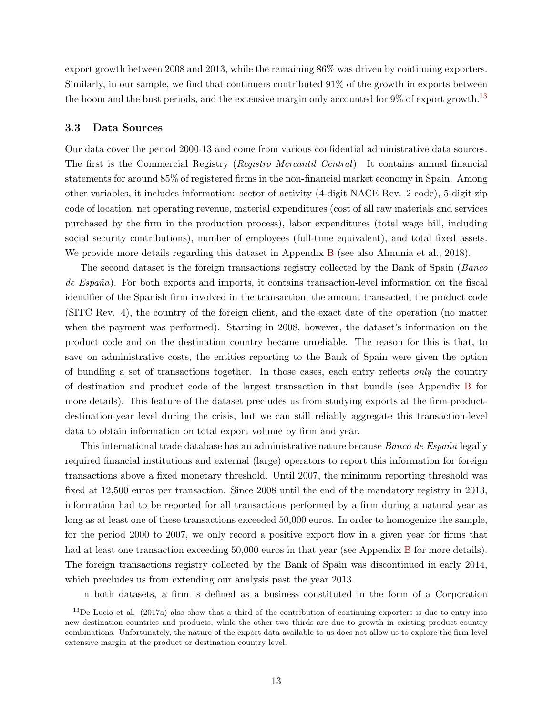export growth between 2008 and 2013, while the remaining 86% was driven by continuing exporters. Similarly, in our sample, we find that continuers contributed 91% of the growth in exports between the boom and the bust periods, and the extensive margin only accounted for  $9\%$  of export growth.<sup>[13](#page-13-0)</sup>

#### <span id="page-13-1"></span>3.3 Data Sources

Our data cover the period 2000-13 and come from various confidential administrative data sources. The first is the Commercial Registry (Registro Mercantil Central). It contains annual financial statements for around 85% of registered firms in the non-financial market economy in Spain. Among other variables, it includes information: sector of activity (4-digit NACE Rev. 2 code), 5-digit zip code of location, net operating revenue, material expenditures (cost of all raw materials and services purchased by the firm in the production process), labor expenditures (total wage bill, including social security contributions), number of employees (full-time equivalent), and total fixed assets. We provide more details regarding this dataset in Appendix [B](#page-53-0) (see also Almunia et al., 2018).

The second dataset is the foreign transactions registry collected by the Bank of Spain (Banco de  $Espan\tilde{a}$ . For both exports and imports, it contains transaction-level information on the fiscal identifier of the Spanish firm involved in the transaction, the amount transacted, the product code (SITC Rev. 4), the country of the foreign client, and the exact date of the operation (no matter when the payment was performed). Starting in 2008, however, the dataset's information on the product code and on the destination country became unreliable. The reason for this is that, to save on administrative costs, the entities reporting to the Bank of Spain were given the option of bundling a set of transactions together. In those cases, each entry reflects only the country of destination and product code of the largest transaction in that bundle (see Appendix [B](#page-53-0) for more details). This feature of the dataset precludes us from studying exports at the firm-productdestination-year level during the crisis, but we can still reliably aggregate this transaction-level data to obtain information on total export volume by firm and year.

This international trade database has an administrative nature because *Banco de España* legally required financial institutions and external (large) operators to report this information for foreign transactions above a fixed monetary threshold. Until 2007, the minimum reporting threshold was fixed at 12,500 euros per transaction. Since 2008 until the end of the mandatory registry in 2013, information had to be reported for all transactions performed by a firm during a natural year as long as at least one of these transactions exceeded 50,000 euros. In order to homogenize the sample, for the period 2000 to 2007, we only record a positive export flow in a given year for firms that had at least one transaction exceeding 50,000 euros in that year (see Appendix [B](#page-53-0) for more details). The foreign transactions registry collected by the Bank of Spain was discontinued in early 2014, which precludes us from extending our analysis past the year 2013.

<span id="page-13-0"></span>In both datasets, a firm is defined as a business constituted in the form of a Corporation

 $^{13}$ De Lucio et al. (2017a) also show that a third of the contribution of continuing exporters is due to entry into new destination countries and products, while the other two thirds are due to growth in existing product-country combinations. Unfortunately, the nature of the export data available to us does not allow us to explore the firm-level extensive margin at the product or destination country level.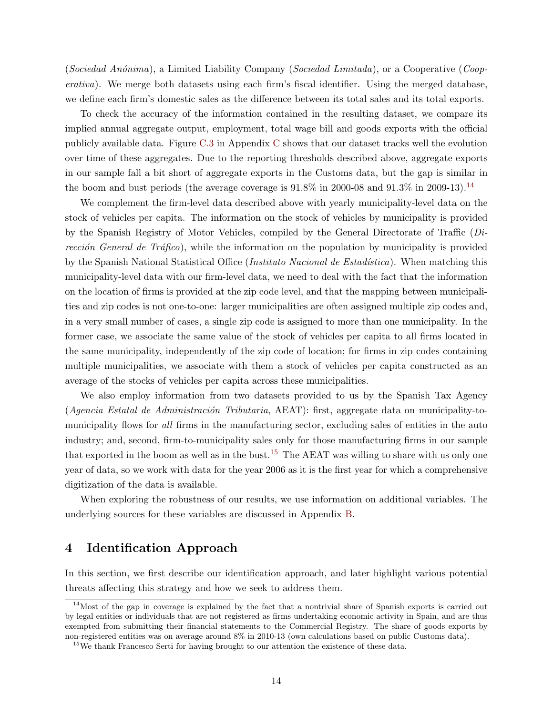(Sociedad Anónima), a Limited Liability Company (Sociedad Limitada), or a Cooperative (Cooperativa). We merge both datasets using each firm's fiscal identifier. Using the merged database, we define each firm's domestic sales as the difference between its total sales and its total exports.

To check the accuracy of the information contained in the resulting dataset, we compare its implied annual aggregate output, employment, total wage bill and goods exports with the official publicly available data. Figure [C.3](#page--1-8) in Appendix [C](#page--1-0) shows that our dataset tracks well the evolution over time of these aggregates. Due to the reporting thresholds described above, aggregate exports in our sample fall a bit short of aggregate exports in the Customs data, but the gap is similar in the boom and bust periods (the average coverage is  $91.8\%$  in 2000-08 and  $91.3\%$  in 2009-13).<sup>[14](#page-14-1)</sup>

We complement the firm-level data described above with yearly municipality-level data on the stock of vehicles per capita. The information on the stock of vehicles by municipality is provided by the Spanish Registry of Motor Vehicles, compiled by the General Directorate of Traffic (Dirección General de Tráfico), while the information on the population by municipality is provided by the Spanish National Statistical Office (*Instituto Nacional de Estadística*). When matching this municipality-level data with our firm-level data, we need to deal with the fact that the information on the location of firms is provided at the zip code level, and that the mapping between municipalities and zip codes is not one-to-one: larger municipalities are often assigned multiple zip codes and, in a very small number of cases, a single zip code is assigned to more than one municipality. In the former case, we associate the same value of the stock of vehicles per capita to all firms located in the same municipality, independently of the zip code of location; for firms in zip codes containing multiple municipalities, we associate with them a stock of vehicles per capita constructed as an average of the stocks of vehicles per capita across these municipalities.

We also employ information from two datasets provided to us by the Spanish Tax Agency  $(Agencia Estatal de Administración Tributaria, AERT)$ : first, aggregate data on municipality-tomunicipality flows for all firms in the manufacturing sector, excluding sales of entities in the auto industry; and, second, firm-to-municipality sales only for those manufacturing firms in our sample that exported in the boom as well as in the bust.<sup>[15](#page-14-2)</sup> The AEAT was willing to share with us only one year of data, so we work with data for the year 2006 as it is the first year for which a comprehensive digitization of the data is available.

When exploring the robustness of our results, we use information on additional variables. The underlying sources for these variables are discussed in Appendix [B.](#page-53-0)

# <span id="page-14-0"></span>4 Identification Approach

In this section, we first describe our identification approach, and later highlight various potential threats affecting this strategy and how we seek to address them.

<span id="page-14-1"></span> $14$ Most of the gap in coverage is explained by the fact that a nontrivial share of Spanish exports is carried out by legal entities or individuals that are not registered as firms undertaking economic activity in Spain, and are thus exempted from submitting their financial statements to the Commercial Registry. The share of goods exports by non-registered entities was on average around 8% in 2010-13 (own calculations based on public Customs data).

<span id="page-14-2"></span><sup>&</sup>lt;sup>15</sup>We thank Francesco Serti for having brought to our attention the existence of these data.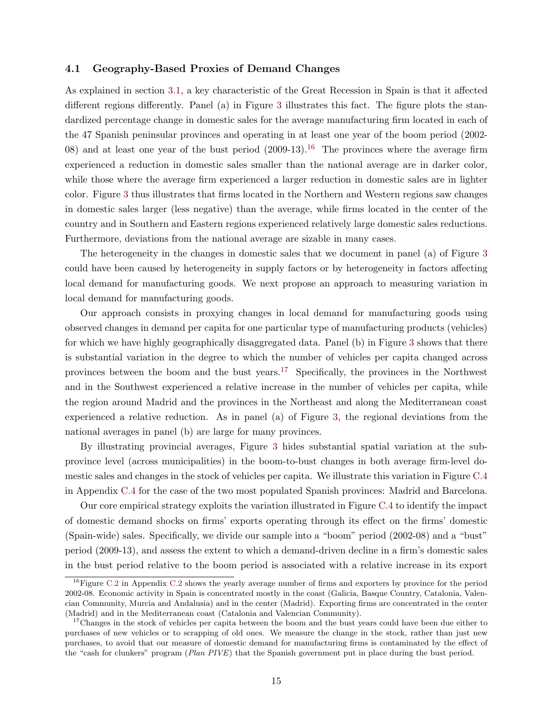#### <span id="page-15-2"></span>4.1 Geography-Based Proxies of Demand Changes

As explained in section [3.1,](#page-10-2) a key characteristic of the Great Recession in Spain is that it affected different regions differently. Panel (a) in Figure [3](#page-16-0) illustrates this fact. The figure plots the standardized percentage change in domestic sales for the average manufacturing firm located in each of the 47 Spanish peninsular provinces and operating in at least one year of the boom period (2002- 08) and at least one year of the bust period  $(2009-13).$ <sup>[16](#page-15-0)</sup> The provinces where the average firm experienced a reduction in domestic sales smaller than the national average are in darker color, while those where the average firm experienced a larger reduction in domestic sales are in lighter color. Figure [3](#page-16-0) thus illustrates that firms located in the Northern and Western regions saw changes in domestic sales larger (less negative) than the average, while firms located in the center of the country and in Southern and Eastern regions experienced relatively large domestic sales reductions. Furthermore, deviations from the national average are sizable in many cases.

The heterogeneity in the changes in domestic sales that we document in panel (a) of Figure [3](#page-16-0) could have been caused by heterogeneity in supply factors or by heterogeneity in factors affecting local demand for manufacturing goods. We next propose an approach to measuring variation in local demand for manufacturing goods.

Our approach consists in proxying changes in local demand for manufacturing goods using observed changes in demand per capita for one particular type of manufacturing products (vehicles) for which we have highly geographically disaggregated data. Panel (b) in Figure [3](#page-16-0) shows that there is substantial variation in the degree to which the number of vehicles per capita changed across provinces between the boom and the bust years.[17](#page-15-1) Specifically, the provinces in the Northwest and in the Southwest experienced a relative increase in the number of vehicles per capita, while the region around Madrid and the provinces in the Northeast and along the Mediterranean coast experienced a relative reduction. As in panel (a) of Figure [3,](#page-16-0) the regional deviations from the national averages in panel (b) are large for many provinces.

By illustrating provincial averages, Figure [3](#page-16-0) hides substantial spatial variation at the subprovince level (across municipalities) in the boom-to-bust changes in both average firm-level domestic sales and changes in the stock of vehicles per capita. We illustrate this variation in Figure [C.4](#page--1-8) in Appendix [C.4](#page--1-9) for the case of the two most populated Spanish provinces: Madrid and Barcelona.

Our core empirical strategy exploits the variation illustrated in Figure [C.4](#page--1-8) to identify the impact of domestic demand shocks on firms' exports operating through its effect on the firms' domestic (Spain-wide) sales. Specifically, we divide our sample into a "boom" period (2002-08) and a "bust" period (2009-13), and assess the extent to which a demand-driven decline in a firm's domestic sales in the bust period relative to the boom period is associated with a relative increase in its export

<span id="page-15-0"></span><sup>&</sup>lt;sup>16</sup>Figure [C.2](#page--1-11) in Appendix C.2 shows the yearly average number of firms and exporters by province for the period 2002-08. Economic activity in Spain is concentrated mostly in the coast (Galicia, Basque Country, Catalonia, Valencian Community, Murcia and Andalusia) and in the center (Madrid). Exporting firms are concentrated in the center (Madrid) and in the Mediterranean coast (Catalonia and Valencian Community).

<span id="page-15-1"></span><sup>&</sup>lt;sup>17</sup>Changes in the stock of vehicles per capita between the boom and the bust years could have been due either to purchases of new vehicles or to scrapping of old ones. We measure the change in the stock, rather than just new purchases, to avoid that our measure of domestic demand for manufacturing firms is contaminated by the effect of the "cash for clunkers" program (Plan PIVE) that the Spanish government put in place during the bust period.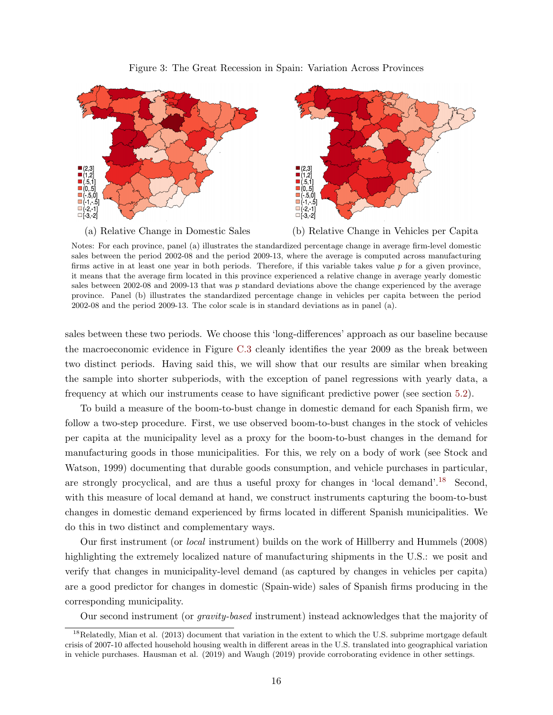#### Figure 3: The Great Recession in Spain: Variation Across Provinces

<span id="page-16-0"></span>



Notes: For each province, panel (a) illustrates the standardized percentage change in average firm-level domestic sales between the period 2002-08 and the period 2009-13, where the average is computed across manufacturing firms active in at least one year in both periods. Therefore, if this variable takes value  $p$  for a given province, it means that the average firm located in this province experienced a relative change in average yearly domestic sales between 2002-08 and 2009-13 that was p standard deviations above the change experienced by the average province. Panel (b) illustrates the standardized percentage change in vehicles per capita between the period 2002-08 and the period 2009-13. The color scale is in standard deviations as in panel (a).

sales between these two periods. We choose this 'long-differences' approach as our baseline because the macroeconomic evidence in Figure [C.3](#page--1-8) cleanly identifies the year 2009 as the break between two distinct periods. Having said this, we will show that our results are similar when breaking the sample into shorter subperiods, with the exception of panel regressions with yearly data, a frequency at which our instruments cease to have significant predictive power (see section [5.2\)](#page-24-0).

To build a measure of the boom-to-bust change in domestic demand for each Spanish firm, we follow a two-step procedure. First, we use observed boom-to-bust changes in the stock of vehicles per capita at the municipality level as a proxy for the boom-to-bust changes in the demand for manufacturing goods in those municipalities. For this, we rely on a body of work (see Stock and Watson, 1999) documenting that durable goods consumption, and vehicle purchases in particular, are strongly procyclical, and are thus a useful proxy for changes in 'local demand'.<sup>[18](#page-16-1)</sup> Second, with this measure of local demand at hand, we construct instruments capturing the boom-to-bust changes in domestic demand experienced by firms located in different Spanish municipalities. We do this in two distinct and complementary ways.

Our first instrument (or local instrument) builds on the work of Hillberry and Hummels (2008) highlighting the extremely localized nature of manufacturing shipments in the U.S.: we posit and verify that changes in municipality-level demand (as captured by changes in vehicles per capita) are a good predictor for changes in domestic (Spain-wide) sales of Spanish firms producing in the corresponding municipality.

<span id="page-16-1"></span>Our second instrument (or gravity-based instrument) instead acknowledges that the majority of

 $^{18}$ Relatedly, Mian et al. (2013) document that variation in the extent to which the U.S. subprime mortgage default crisis of 2007-10 affected household housing wealth in different areas in the U.S. translated into geographical variation in vehicle purchases. Hausman et al. (2019) and Waugh (2019) provide corroborating evidence in other settings.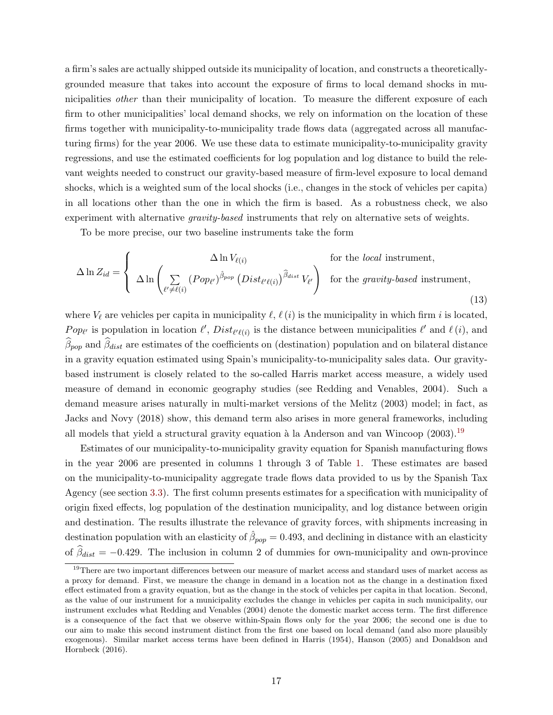a firm's sales are actually shipped outside its municipality of location, and constructs a theoreticallygrounded measure that takes into account the exposure of firms to local demand shocks in municipalities *other* than their municipality of location. To measure the different exposure of each firm to other municipalities' local demand shocks, we rely on information on the location of these firms together with municipality-to-municipality trade flows data (aggregated across all manufacturing firms) for the year 2006. We use these data to estimate municipality-to-municipality gravity regressions, and use the estimated coefficients for log population and log distance to build the relevant weights needed to construct our gravity-based measure of firm-level exposure to local demand shocks, which is a weighted sum of the local shocks (i.e., changes in the stock of vehicles per capita) in all locations other than the one in which the firm is based. As a robustness check, we also experiment with alternative *gravity-based* instruments that rely on alternative sets of weights.

To be more precise, our two baseline instruments take the form

$$
\Delta \ln Z_{id} = \begin{cases}\n\Delta \ln V_{\ell(i)} & \text{for the local instrument,} \\
\Delta \ln \left( \sum_{\ell' \neq \ell(i)} (Pop_{\ell'})^{\hat{\beta}_{pop}} (Dist_{\ell'(\ell)})^{\hat{\beta}_{dist}} V_{\ell'} \right) & \text{for the gravity-based instrument,} \\
\end{cases}
$$
\n(13)

where  $V_{\ell}$  are vehicles per capita in municipality  $\ell, \ell(i)$  is the municipality in which firm i is located, Pop<sub>l</sub> is population in location  $\ell'$ ,  $Dist_{\ell'(\ell(i))}$  is the distance between municipalities  $\ell'$  and  $\ell(i)$ , and  $\beta_{pop}$  and  $\beta_{dist}$  are estimates of the coefficients on (destination) population and on bilateral distance in a gravity equation estimated using Spain's municipality-to-municipality sales data. Our gravitybased instrument is closely related to the so-called Harris market access measure, a widely used measure of demand in economic geography studies (see Redding and Venables, 2004). Such a demand measure arises naturally in multi-market versions of the Melitz (2003) model; in fact, as Jacks and Novy (2018) show, this demand term also arises in more general frameworks, including all models that yield a structural gravity equation à la Anderson and van Wincoop  $(2003).^{19}$  $(2003).^{19}$  $(2003).^{19}$ 

Estimates of our municipality-to-municipality gravity equation for Spanish manufacturing flows in the year 2006 are presented in columns 1 through 3 of Table [1.](#page-18-0) These estimates are based on the municipality-to-municipality aggregate trade flows data provided to us by the Spanish Tax Agency (see section [3.3\)](#page-13-1). The first column presents estimates for a specification with municipality of origin fixed effects, log population of the destination municipality, and log distance between origin and destination. The results illustrate the relevance of gravity forces, with shipments increasing in destination population with an elasticity of  $\hat{\beta}_{pop} = 0.493$ , and declining in distance with an elasticity of  $\beta_{dist} = -0.429$ . The inclusion in column 2 of dummies for own-municipality and own-province

<span id="page-17-0"></span> $19$ There are two important differences between our measure of market access and standard uses of market access as a proxy for demand. First, we measure the change in demand in a location not as the change in a destination fixed effect estimated from a gravity equation, but as the change in the stock of vehicles per capita in that location. Second, as the value of our instrument for a municipality excludes the change in vehicles per capita in such municipality, our instrument excludes what Redding and Venables (2004) denote the domestic market access term. The first difference is a consequence of the fact that we observe within-Spain flows only for the year 2006; the second one is due to our aim to make this second instrument distinct from the first one based on local demand (and also more plausibly exogenous). Similar market access terms have been defined in Harris (1954), Hanson (2005) and Donaldson and Hornbeck (2016).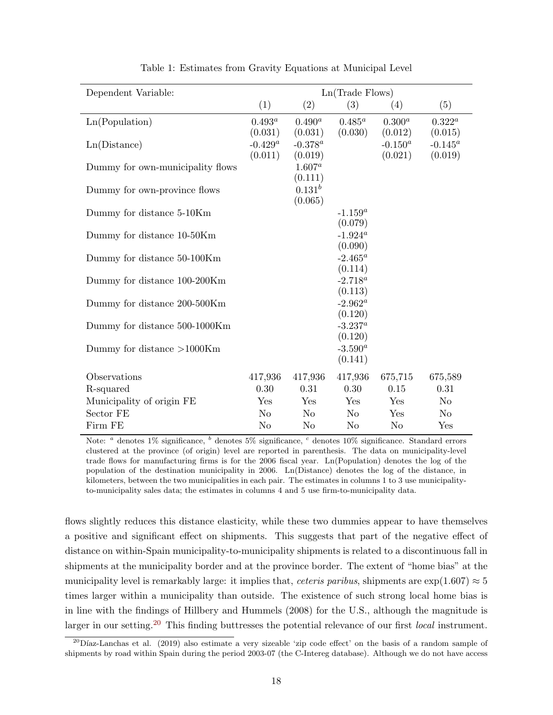<span id="page-18-0"></span>

| Dependent Variable:              |                |                | Ln(Trade Flows)       |             |                |
|----------------------------------|----------------|----------------|-----------------------|-------------|----------------|
|                                  | (1)            | (2)            | (3)                   | (4)         | (5)            |
| Ln(Population)                   | $0.493^a$      | $0.490^a$      | $0.485^a$             | $0.300^{a}$ | $0.322^a$      |
|                                  | (0.031)        | (0.031)        | (0.030)               | (0.012)     | (0.015)        |
| Ln(Distance)                     | $-0.429^a$     | $-0.378^{a}$   |                       | $-0.150^a$  | $-0.145^a$     |
|                                  | (0.011)        | (0.019)        |                       | (0.021)     | (0.019)        |
| Dummy for own-municipality flows |                | $1.607^a$      |                       |             |                |
|                                  |                | (0.111)        |                       |             |                |
| Dummy for own-province flows     |                | $0.131^{b}$    |                       |             |                |
|                                  |                | (0.065)        | $-1.159^a$            |             |                |
| Dummy for distance 5-10Km        |                |                | (0.079)               |             |                |
| Dummy for distance 10-50Km       |                |                | $-1.924^a$            |             |                |
|                                  |                |                | (0.090)               |             |                |
| Dummy for distance 50-100Km      |                |                | $-2.465^a$            |             |                |
|                                  |                |                | (0.114)               |             |                |
| Dummy for distance 100-200Km     |                |                | $-2.718^a$            |             |                |
|                                  |                |                | (0.113)               |             |                |
| Dummy for distance 200-500Km     |                |                | $-2.962^a$            |             |                |
|                                  |                |                | (0.120)               |             |                |
| Dummy for distance 500-1000Km    |                |                | $-3.237^a$            |             |                |
|                                  |                |                | (0.120)               |             |                |
| Dummy for distance $>1000$ Km    |                |                | $-3.590^a$<br>(0.141) |             |                |
|                                  |                |                |                       |             |                |
| Observations                     | 417,936        | 417,936        | 417,936               | 675,715     | 675,589        |
| R-squared                        | 0.30           | 0.31           | 0.30                  | 0.15        | 0.31           |
| Municipality of origin FE        | Yes            | Yes            | Yes                   | Yes         | N <sub>o</sub> |
| Sector FE                        | N <sub>o</sub> | N <sub>o</sub> | N <sub>o</sub>        | Yes         | N <sub>o</sub> |
| Firm FE                          | No             | No             | No                    | No          | Yes            |

Table 1: Estimates from Gravity Equations at Municipal Level

Note: <sup>a</sup> denotes  $1\%$  significance, <sup>b</sup> denotes  $5\%$  significance, <sup>c</sup> denotes  $10\%$  significance. Standard errors clustered at the province (of origin) level are reported in parenthesis. The data on municipality-level trade flows for manufacturing firms is for the 2006 fiscal year. Ln(Population) denotes the log of the population of the destination municipality in 2006. Ln(Distance) denotes the log of the distance, in kilometers, between the two municipalities in each pair. The estimates in columns 1 to 3 use municipalityto-municipality sales data; the estimates in columns 4 and 5 use firm-to-municipality data.

flows slightly reduces this distance elasticity, while these two dummies appear to have themselves a positive and significant effect on shipments. This suggests that part of the negative effect of distance on within-Spain municipality-to-municipality shipments is related to a discontinuous fall in shipments at the municipality border and at the province border. The extent of "home bias" at the municipality level is remarkably large: it implies that, *ceteris paribus*, shipments are  $\exp(1.607) \approx 5$ times larger within a municipality than outside. The existence of such strong local home bias is in line with the findings of Hillbery and Hummels (2008) for the U.S., although the magnitude is larger in our setting.<sup>[20](#page-18-1)</sup> This finding buttresses the potential relevance of our first *local* instrument.

<span id="page-18-1"></span> $^{20}$ Díaz-Lanchas et al. (2019) also estimate a very sizeable 'zip code effect' on the basis of a random sample of shipments by road within Spain during the period 2003-07 (the C-Intereg database). Although we do not have access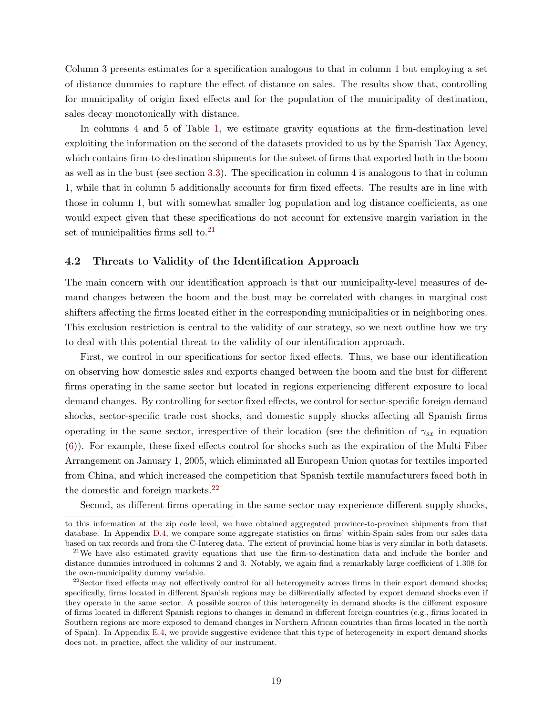Column 3 presents estimates for a specification analogous to that in column 1 but employing a set of distance dummies to capture the effect of distance on sales. The results show that, controlling for municipality of origin fixed effects and for the population of the municipality of destination, sales decay monotonically with distance.

In columns 4 and 5 of Table [1,](#page-18-0) we estimate gravity equations at the firm-destination level exploiting the information on the second of the datasets provided to us by the Spanish Tax Agency, which contains firm-to-destination shipments for the subset of firms that exported both in the boom as well as in the bust (see section [3.3\)](#page-13-1). The specification in column 4 is analogous to that in column 1, while that in column 5 additionally accounts for firm fixed effects. The results are in line with those in column 1, but with somewhat smaller log population and log distance coefficients, as one would expect given that these specifications do not account for extensive margin variation in the set of municipalities firms sell to. $^{21}$  $^{21}$  $^{21}$ 

#### <span id="page-19-2"></span>4.2 Threats to Validity of the Identification Approach

The main concern with our identification approach is that our municipality-level measures of demand changes between the boom and the bust may be correlated with changes in marginal cost shifters affecting the firms located either in the corresponding municipalities or in neighboring ones. This exclusion restriction is central to the validity of our strategy, so we next outline how we try to deal with this potential threat to the validity of our identification approach.

First, we control in our specifications for sector fixed effects. Thus, we base our identification on observing how domestic sales and exports changed between the boom and the bust for different firms operating in the same sector but located in regions experiencing different exposure to local demand changes. By controlling for sector fixed effects, we control for sector-specific foreign demand shocks, sector-specific trade cost shocks, and domestic supply shocks affecting all Spanish firms operating in the same sector, irrespective of their location (see the definition of  $\gamma_{sx}$  in equation [\(6\)](#page-8-1)). For example, these fixed effects control for shocks such as the expiration of the Multi Fiber Arrangement on January 1, 2005, which eliminated all European Union quotas for textiles imported from China, and which increased the competition that Spanish textile manufacturers faced both in the domestic and foreign markets.[22](#page-19-1)

Second, as different firms operating in the same sector may experience different supply shocks,

to this information at the zip code level, we have obtained aggregated province-to-province shipments from that database. In Appendix [D.4,](#page--1-12) we compare some aggregate statistics on firms' within-Spain sales from our sales data based on tax records and from the C-Intereg data. The extent of provincial home bias is very similar in both datasets.

<span id="page-19-0"></span><sup>&</sup>lt;sup>21</sup>We have also estimated gravity equations that use the firm-to-destination data and include the border and distance dummies introduced in columns 2 and 3. Notably, we again find a remarkably large coefficient of 1.308 for the own-municipality dummy variable.

<span id="page-19-1"></span> $22$ Sector fixed effects may not effectively control for all heterogeneity across firms in their export demand shocks; specifically, firms located in different Spanish regions may be differentially affected by export demand shocks even if they operate in the same sector. A possible source of this heterogeneity in demand shocks is the different exposure of firms located in different Spanish regions to changes in demand in different foreign countries (e.g., firms located in Southern regions are more exposed to demand changes in Northern African countries than firms located in the north of Spain). In Appendix [E.4,](#page--1-13) we provide suggestive evidence that this type of heterogeneity in export demand shocks does not, in practice, affect the validity of our instrument.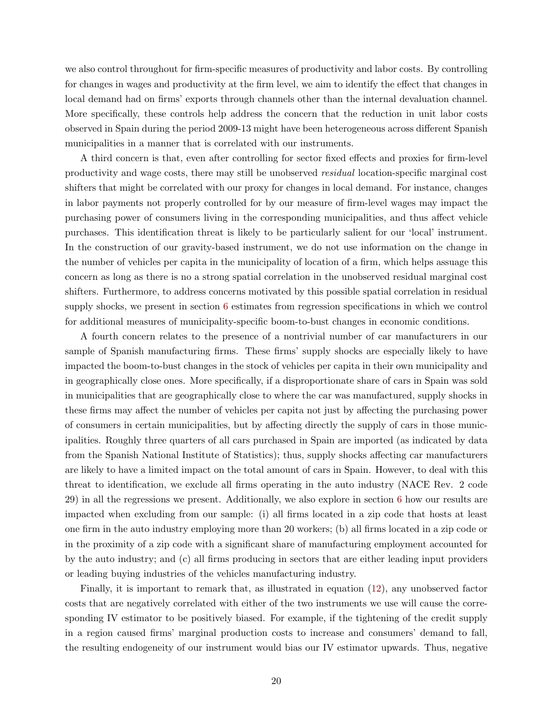we also control throughout for firm-specific measures of productivity and labor costs. By controlling for changes in wages and productivity at the firm level, we aim to identify the effect that changes in local demand had on firms' exports through channels other than the internal devaluation channel. More specifically, these controls help address the concern that the reduction in unit labor costs observed in Spain during the period 2009-13 might have been heterogeneous across different Spanish municipalities in a manner that is correlated with our instruments.

A third concern is that, even after controlling for sector fixed effects and proxies for firm-level productivity and wage costs, there may still be unobserved residual location-specific marginal cost shifters that might be correlated with our proxy for changes in local demand. For instance, changes in labor payments not properly controlled for by our measure of firm-level wages may impact the purchasing power of consumers living in the corresponding municipalities, and thus affect vehicle purchases. This identification threat is likely to be particularly salient for our 'local' instrument. In the construction of our gravity-based instrument, we do not use information on the change in the number of vehicles per capita in the municipality of location of a firm, which helps assuage this concern as long as there is no a strong spatial correlation in the unobserved residual marginal cost shifters. Furthermore, to address concerns motivated by this possible spatial correlation in residual supply shocks, we present in section [6](#page-27-0) estimates from regression specifications in which we control for additional measures of municipality-specific boom-to-bust changes in economic conditions.

A fourth concern relates to the presence of a nontrivial number of car manufacturers in our sample of Spanish manufacturing firms. These firms' supply shocks are especially likely to have impacted the boom-to-bust changes in the stock of vehicles per capita in their own municipality and in geographically close ones. More specifically, if a disproportionate share of cars in Spain was sold in municipalities that are geographically close to where the car was manufactured, supply shocks in these firms may affect the number of vehicles per capita not just by affecting the purchasing power of consumers in certain municipalities, but by affecting directly the supply of cars in those municipalities. Roughly three quarters of all cars purchased in Spain are imported (as indicated by data from the Spanish National Institute of Statistics); thus, supply shocks affecting car manufacturers are likely to have a limited impact on the total amount of cars in Spain. However, to deal with this threat to identification, we exclude all firms operating in the auto industry (NACE Rev. 2 code 29) in all the regressions we present. Additionally, we also explore in section [6](#page-27-0) how our results are impacted when excluding from our sample: (i) all firms located in a zip code that hosts at least one firm in the auto industry employing more than 20 workers; (b) all firms located in a zip code or in the proximity of a zip code with a significant share of manufacturing employment accounted for by the auto industry; and (c) all firms producing in sectors that are either leading input providers or leading buying industries of the vehicles manufacturing industry.

Finally, it is important to remark that, as illustrated in equation [\(12\)](#page-9-2), any unobserved factor costs that are negatively correlated with either of the two instruments we use will cause the corresponding IV estimator to be positively biased. For example, if the tightening of the credit supply in a region caused firms' marginal production costs to increase and consumers' demand to fall, the resulting endogeneity of our instrument would bias our IV estimator upwards. Thus, negative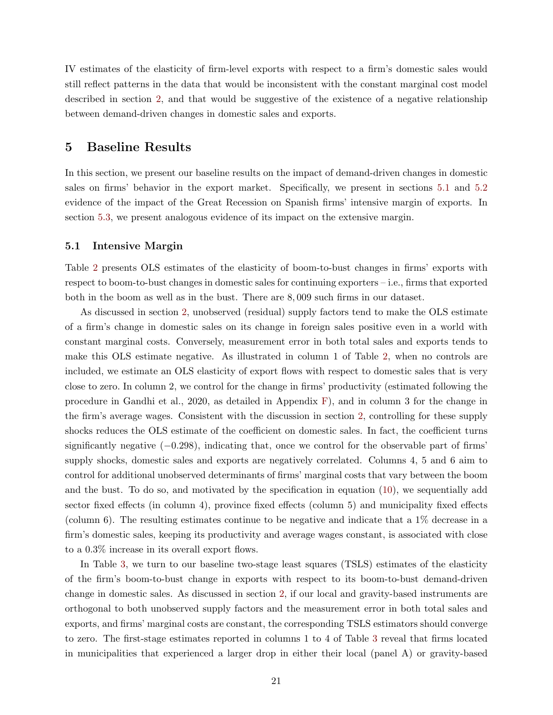IV estimates of the elasticity of firm-level exports with respect to a firm's domestic sales would still reflect patterns in the data that would be inconsistent with the constant marginal cost model described in section [2,](#page-6-2) and that would be suggestive of the existence of a negative relationship between demand-driven changes in domestic sales and exports.

## <span id="page-21-0"></span>5 Baseline Results

In this section, we present our baseline results on the impact of demand-driven changes in domestic sales on firms' behavior in the export market. Specifically, we present in sections [5.1](#page-21-1) and [5.2](#page-24-0) evidence of the impact of the Great Recession on Spanish firms' intensive margin of exports. In section [5.3,](#page-26-0) we present analogous evidence of its impact on the extensive margin.

#### <span id="page-21-1"></span>5.1 Intensive Margin

Table [2](#page-22-0) presents OLS estimates of the elasticity of boom-to-bust changes in firms' exports with respect to boom-to-bust changes in domestic sales for continuing exporters – i.e., firms that exported both in the boom as well as in the bust. There are 8, 009 such firms in our dataset.

As discussed in section [2,](#page-6-2) unobserved (residual) supply factors tend to make the OLS estimate of a firm's change in domestic sales on its change in foreign sales positive even in a world with constant marginal costs. Conversely, measurement error in both total sales and exports tends to make this OLS estimate negative. As illustrated in column 1 of Table [2,](#page-22-0) when no controls are included, we estimate an OLS elasticity of export flows with respect to domestic sales that is very close to zero. In column 2, we control for the change in firms' productivity (estimated following the procedure in Gandhi et al., 2020, as detailed in Appendix [F\)](#page--1-0), and in column 3 for the change in the firm's average wages. Consistent with the discussion in section [2,](#page-6-2) controlling for these supply shocks reduces the OLS estimate of the coefficient on domestic sales. In fact, the coefficient turns significantly negative  $(-0.298)$ , indicating that, once we control for the observable part of firms' supply shocks, domestic sales and exports are negatively correlated. Columns 4, 5 and 6 aim to control for additional unobserved determinants of firms' marginal costs that vary between the boom and the bust. To do so, and motivated by the specification in equation [\(10\)](#page-9-0), we sequentially add sector fixed effects (in column 4), province fixed effects (column 5) and municipality fixed effects (column 6). The resulting estimates continue to be negative and indicate that a 1% decrease in a firm's domestic sales, keeping its productivity and average wages constant, is associated with close to a 0.3% increase in its overall export flows.

In Table [3,](#page-23-0) we turn to our baseline two-stage least squares (TSLS) estimates of the elasticity of the firm's boom-to-bust change in exports with respect to its boom-to-bust demand-driven change in domestic sales. As discussed in section [2,](#page-6-2) if our local and gravity-based instruments are orthogonal to both unobserved supply factors and the measurement error in both total sales and exports, and firms' marginal costs are constant, the corresponding TSLS estimators should converge to zero. The first-stage estimates reported in columns 1 to 4 of Table [3](#page-23-0) reveal that firms located in municipalities that experienced a larger drop in either their local (panel A) or gravity-based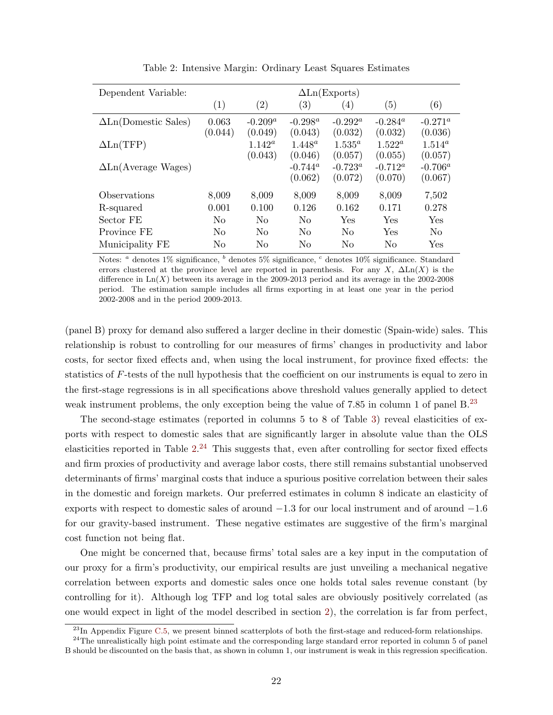<span id="page-22-0"></span>

| Dependent Variable:         | $\Delta$ Ln(Exports) |                       |                       |                       |                       |                       |  |  |
|-----------------------------|----------------------|-----------------------|-----------------------|-----------------------|-----------------------|-----------------------|--|--|
|                             | (1)                  | $\left( 2\right)$     | $\left( 3\right)$     | (4)                   | (5)                   | (6)                   |  |  |
| $\Delta$ Ln(Domestic Sales) | 0.063<br>(0.044)     | $-0.209^a$<br>(0.049) | $-0.298^a$<br>(0.043) | $-0.292^a$<br>(0.032) | $-0.284^a$<br>(0.032) | $-0.271^a$<br>(0.036) |  |  |
| $\Delta$ Ln(TFP)            |                      | $1.142^a$<br>(0.043)  | $1.448^a$<br>(0.046)  | $1.535^a$<br>(0.057)  | $1.522^a$<br>(0.055)  | $1.514^a$<br>(0.057)  |  |  |
| $\Delta$ Ln(Average Wages)  |                      |                       | $-0.744^a$<br>(0.062) | $-0.723^a$<br>(0.072) | $-0.712^a$<br>(0.070) | $-0.706^a$<br>(0.067) |  |  |
| Observations                | 8,009                | 8,009                 | 8,009                 | 8,009                 | 8,009                 | 7,502                 |  |  |
| R-squared                   | 0.001                | 0.100                 | 0.126                 | 0.162                 | 0.171                 | 0.278                 |  |  |
| Sector FE                   | N <sub>0</sub>       | No                    | N <sub>0</sub>        | Yes                   | Yes                   | Yes                   |  |  |
| Province FE                 | N <sub>0</sub>       | N <sub>0</sub>        | N <sub>0</sub>        | N <sub>0</sub>        | Yes                   | N <sub>o</sub>        |  |  |
| Municipality FE             | N <sub>0</sub>       | No                    | N <sub>0</sub>        | N <sub>0</sub>        | N <sub>0</sub>        | Yes                   |  |  |

Table 2: Intensive Margin: Ordinary Least Squares Estimates

Notes:  $a$  denotes 1% significance,  $b$  denotes 5% significance,  $c$  denotes 10% significance. Standard errors clustered at the province level are reported in parenthesis. For any X,  $\Delta$ Ln(X) is the difference in  $\text{Ln}(X)$  between its average in the 2009-2013 period and its average in the 2002-2008 period. The estimation sample includes all firms exporting in at least one year in the period 2002-2008 and in the period 2009-2013.

(panel B) proxy for demand also suffered a larger decline in their domestic (Spain-wide) sales. This relationship is robust to controlling for our measures of firms' changes in productivity and labor costs, for sector fixed effects and, when using the local instrument, for province fixed effects: the statistics of F-tests of the null hypothesis that the coefficient on our instruments is equal to zero in the first-stage regressions is in all specifications above threshold values generally applied to detect weak instrument problems, the only exception being the value of 7.85 in column 1 of panel  $B^{23}$  $B^{23}$  $B^{23}$ 

The second-stage estimates (reported in columns 5 to 8 of Table [3\)](#page-23-0) reveal elasticities of exports with respect to domestic sales that are significantly larger in absolute value than the OLS elasticities reported in Table  $2^{24}$  $2^{24}$  $2^{24}$  This suggests that, even after controlling for sector fixed effects and firm proxies of productivity and average labor costs, there still remains substantial unobserved determinants of firms' marginal costs that induce a spurious positive correlation between their sales in the domestic and foreign markets. Our preferred estimates in column 8 indicate an elasticity of exports with respect to domestic sales of around −1.3 for our local instrument and of around −1.6 for our gravity-based instrument. These negative estimates are suggestive of the firm's marginal cost function not being flat.

One might be concerned that, because firms' total sales are a key input in the computation of our proxy for a firm's productivity, our empirical results are just unveiling a mechanical negative correlation between exports and domestic sales once one holds total sales revenue constant (by controlling for it). Although log TFP and log total sales are obviously positively correlated (as one would expect in light of the model described in section [2\)](#page-6-2), the correlation is far from perfect,

<span id="page-22-2"></span><span id="page-22-1"></span> $^{23}$ In Appendix Figure [C.5,](#page--1-14) we present binned scatterplots of both the first-stage and reduced-form relationships.

<sup>&</sup>lt;sup>24</sup>The unrealistically high point estimate and the corresponding large standard error reported in column 5 of panel B should be discounted on the basis that, as shown in column 1, our instrument is weak in this regression specification.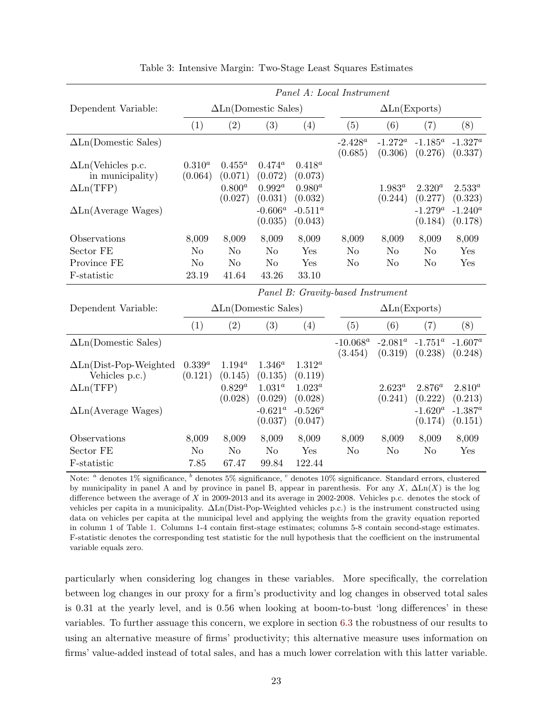<span id="page-23-0"></span>

|                                | Panel A: Local Instrument |                             |                |             |                                   |                      |             |             |  |
|--------------------------------|---------------------------|-----------------------------|----------------|-------------|-----------------------------------|----------------------|-------------|-------------|--|
| Dependent Variable:            |                           | $\Delta$ Ln(Domestic Sales) |                |             |                                   | $\Delta$ Ln(Exports) |             |             |  |
|                                | (1)                       | (2)                         | (3)            | (4)         | (5)                               | (6)                  | (7)         | (8)         |  |
| $\Delta$ Ln(Domestic Sales)    |                           |                             |                |             | $-2.428^a$                        | $-1.272^a$           | $-1.185^a$  | $-1.327^a$  |  |
|                                |                           |                             |                |             | (0.685)                           | (0.306)              | (0.276)     | (0.337)     |  |
| $\Delta$ Ln(Vehicles p.c.      | $0.310^{a}$               | $0.455^a$                   | $0.474^a$      | $0.418^{a}$ |                                   |                      |             |             |  |
| in municipality)               | (0.064)                   | (0.071)                     | (0.072)        | (0.073)     |                                   |                      |             |             |  |
| $\Delta$ Ln(TFP)               |                           | $0.800^{a}$                 | $0.992^a$      | $0.980^{a}$ |                                   | $1.983^{a}$          | $2.320^{a}$ | $2.533^{a}$ |  |
|                                |                           | (0.027)                     | (0.031)        | (0.032)     |                                   | (0.244)              | (0.277)     | (0.323)     |  |
| $\Delta$ Ln(Average Wages)     |                           |                             | $-0.606^a$     | $-0.511^a$  |                                   |                      | $-1.279^a$  | $-1.240^a$  |  |
|                                |                           |                             | (0.035)        | (0.043)     |                                   |                      | (0.184)     | (0.178)     |  |
| Observations                   | 8,009                     | 8,009                       | 8,009          | 8,009       | 8,009                             | 8,009                | 8,009       | 8,009       |  |
| Sector FE                      | N <sub>o</sub>            | N <sub>o</sub>              | N <sub>o</sub> | Yes         | N <sub>o</sub>                    | N <sub>o</sub>       | $\rm No$    | Yes         |  |
| Province FE                    | N <sub>o</sub>            | N <sub>o</sub>              | N <sub>o</sub> | Yes         | N <sub>o</sub>                    | N <sub>o</sub>       | No          | Yes         |  |
| F-statistic                    | 23.19                     | 41.64                       | 43.26          | 33.10       |                                   |                      |             |             |  |
|                                |                           |                             |                |             | Panel B: Gravity-based Instrument |                      |             |             |  |
| Dependent Variable:            |                           | $\Delta$ Ln(Domestic Sales) |                |             |                                   | $\Delta$ Ln(Exports) |             |             |  |
|                                | (1)                       | (2)                         | (3)            | (4)         | (5)                               | (6)                  | (7)         | (8)         |  |
| $\Delta$ Ln(Domestic Sales)    |                           |                             |                |             | $-10.068^a$                       | $-2.081^a$           | $-1.751^a$  | $-1.607^a$  |  |
|                                |                           |                             |                |             | (3.454)                           | (0.319)              | (0.238)     | (0.248)     |  |
| $\Delta$ Ln(Dist-Pop-Weighted  | $0.339^{a}$               | $1.194^{a}$                 | $1.346^{a}$    | $1.312^{a}$ |                                   |                      |             |             |  |
| Vehicles p.c.)                 | (0.121)                   | (0.145)                     | (0.135)        | (0.119)     |                                   |                      |             |             |  |
| $\Delta \text{Ln}(\text{TFP})$ |                           | $0.829^{a}$                 | $1.031^{a}$    | $1.023^a$   |                                   | $2.623^{a}$          | $2.876^{a}$ | $2.810^{a}$ |  |
|                                |                           | (0.028)                     | (0.029)        | (0.028)     |                                   | (0.241)              | (0.222)     | (0.213)     |  |
| $\Delta$ Ln(Average Wages)     |                           |                             | $-0.621^a$     | $-0.526^a$  |                                   |                      | $-1.620^a$  | $-1.387^a$  |  |
|                                |                           |                             | (0.037)        | (0.047)     |                                   |                      | (0.174)     | (0.151)     |  |
| Observations                   | 8,009                     | 8,009                       | 8,009          | 8,009       | 8,009                             | 8,009                | 8,009       | 8,009       |  |
| Sector FE                      | No                        | N <sub>o</sub>              | N <sub>o</sub> | Yes         | N <sub>o</sub>                    | N <sub>o</sub>       | No          | Yes         |  |
| F-statistic                    | 7.85                      | 67.47                       | 99.84          | 122.44      |                                   |                      |             |             |  |

|  |  |  |  | Table 3: Intensive Margin: Two-Stage Least Squares Estimates |  |  |  |
|--|--|--|--|--------------------------------------------------------------|--|--|--|
|--|--|--|--|--------------------------------------------------------------|--|--|--|

Note:  $a$  denotes  $1\%$  significance,  $b$  denotes  $5\%$  significance,  $c$  denotes  $10\%$  significance. Standard errors, clustered by municipality in panel A and by province in panel B, appear in parenthesis. For any X,  $\Delta \text{Ln}(X)$  is the log difference between the average of X in 2009-2013 and its average in 2002-2008. Vehicles p.c. denotes the stock of vehicles per capita in a municipality. ∆Ln(Dist-Pop-Weighted vehicles p.c.) is the instrument constructed using data on vehicles per capita at the municipal level and applying the weights from the gravity equation reported in column 1 of Table [1.](#page-18-0) Columns 1-4 contain first-stage estimates; columns 5-8 contain second-stage estimates. F-statistic denotes the corresponding test statistic for the null hypothesis that the coefficient on the instrumental variable equals zero.

particularly when considering log changes in these variables. More specifically, the correlation between log changes in our proxy for a firm's productivity and log changes in observed total sales is 0.31 at the yearly level, and is 0.56 when looking at boom-to-bust 'long differences' in these variables. To further assuage this concern, we explore in section [6.3](#page-31-0) the robustness of our results to using an alternative measure of firms' productivity; this alternative measure uses information on firms' value-added instead of total sales, and has a much lower correlation with this latter variable.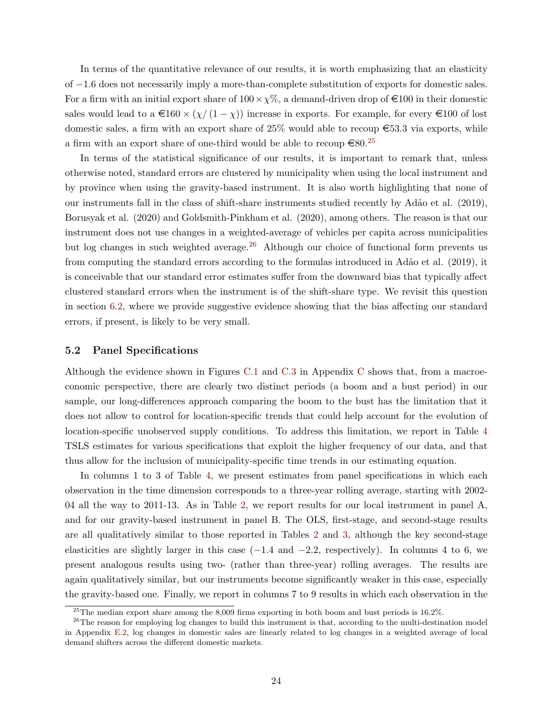In terms of the quantitative relevance of our results, it is worth emphasizing that an elasticity of −1.6 does not necessarily imply a more-than-complete substitution of exports for domestic sales. For a firm with an initial export share of  $100 \times \chi\%$ , a demand-driven drop of  $\epsilon$ 100 in their domestic sales would lead to a  $\epsilon 160 \times (\chi/(1-\chi))$  increase in exports. For example, for every  $\epsilon 100$  of lost domestic sales, a firm with an export share of  $25\%$  would able to recoup  $\epsilon$ 53.3 via exports, while a firm with an export share of one-third would be able to recoup  $\epsilon 80.^{25}$  $\epsilon 80.^{25}$  $\epsilon 80.^{25}$ 

In terms of the statistical significance of our results, it is important to remark that, unless otherwise noted, standard errors are clustered by municipality when using the local instrument and by province when using the gravity-based instrument. It is also worth highlighting that none of our instruments fall in the class of shift-share instruments studied recently by Ad˜ao et al. (2019), Borusyak et al. (2020) and Goldsmith-Pinkham et al. (2020), among others. The reason is that our instrument does not use changes in a weighted-average of vehicles per capita across municipalities but log changes in such weighted average.<sup>[26](#page-24-2)</sup> Although our choice of functional form prevents us from computing the standard errors according to the formulas introduced in Ad˜ao et al. (2019), it is conceivable that our standard error estimates suffer from the downward bias that typically affect clustered standard errors when the instrument is of the shift-share type. We revisit this question in section [6.2,](#page-29-0) where we provide suggestive evidence showing that the bias affecting our standard errors, if present, is likely to be very small.

#### <span id="page-24-0"></span>5.2 Panel Specifications

Although the evidence shown in Figures [C.1](#page--1-5) and [C.3](#page--1-8) in Appendix [C](#page--1-0) shows that, from a macroeconomic perspective, there are clearly two distinct periods (a boom and a bust period) in our sample, our long-differences approach comparing the boom to the bust has the limitation that it does not allow to control for location-specific trends that could help account for the evolution of location-specific unobserved supply conditions. To address this limitation, we report in Table [4](#page-25-0) TSLS estimates for various specifications that exploit the higher frequency of our data, and that thus allow for the inclusion of municipality-specific time trends in our estimating equation.

In columns 1 to 3 of Table [4,](#page-25-0) we present estimates from panel specifications in which each observation in the time dimension corresponds to a three-year rolling average, starting with 2002- 04 all the way to 2011-13. As in Table [2,](#page-22-0) we report results for our local instrument in panel A, and for our gravity-based instrument in panel B. The OLS, first-stage, and second-stage results are all qualitatively similar to those reported in Tables [2](#page-22-0) and [3,](#page-23-0) although the key second-stage elasticities are slightly larger in this case  $(-1.4 \text{ and } -2.2, \text{ respectively})$ . In columns 4 to 6, we present analogous results using two- (rather than three-year) rolling averages. The results are again qualitatively similar, but our instruments become significantly weaker in this case, especially the gravity-based one. Finally, we report in columns 7 to 9 results in which each observation in the

<span id="page-24-2"></span><span id="page-24-1"></span> $^{25}$ The median export share among the 8,009 firms exporting in both boom and bust periods is 16.2%.

<sup>&</sup>lt;sup>26</sup>The reason for employing log changes to build this instrument is that, according to the multi-destination model in Appendix [E.2,](#page--1-3) log changes in domestic sales are linearly related to log changes in a weighted average of local demand shifters across the different domestic markets.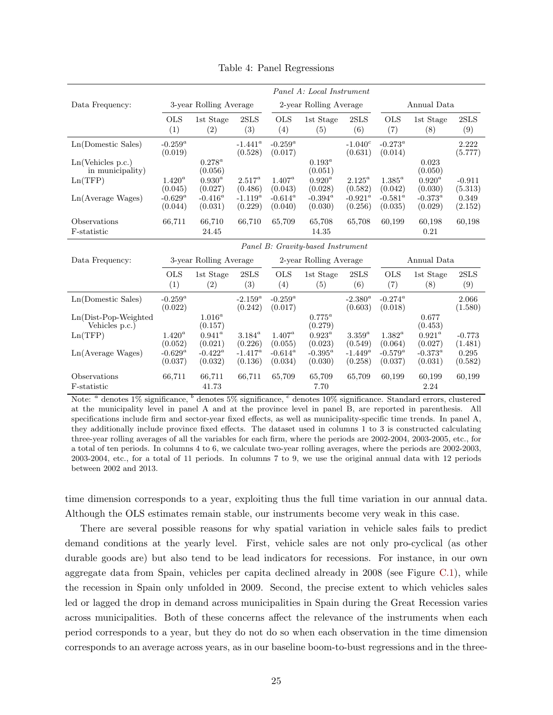<span id="page-25-0"></span>

|                                           | Panel A: Local Instrument |                            |                       |                        |                                   |                        |                             |                       |                     |  |
|-------------------------------------------|---------------------------|----------------------------|-----------------------|------------------------|-----------------------------------|------------------------|-----------------------------|-----------------------|---------------------|--|
| Data Frequency:                           |                           | 3-year Rolling Average     |                       | 2-year Rolling Average |                                   |                        |                             | Annual Data           |                     |  |
|                                           | <b>OLS</b><br>(1)         | 1st Stage<br>(2)           | 2SLS<br>(3)           | <b>OLS</b><br>(4)      | 1st Stage<br>(5)                  | 2SLS<br>(6)            | <b>OLS</b><br>(7)           | 1st Stage<br>(8)      | $2{\rm SLS}$<br>(9) |  |
| Ln(Domestic Sales)                        | $-0.259^a$<br>(0.019)     |                            | $-1.441^a$<br>(0.528) | $-0.259^a$<br>(0.017)  |                                   | $-1.040^c$<br>(0.631)  | $-0.273^{\circ}$<br>(0.014) |                       | 2.222<br>(5.777)    |  |
| Ln(Vehicles p.c.)<br>in municipality)     |                           | $0.278^a$<br>(0.056)       |                       |                        | $0.193^a$<br>(0.051)              |                        |                             | 0.023<br>(0.050)      |                     |  |
| Ln(TFP)                                   | $1.420^a$<br>(0.045)      | $0.930^a$<br>(0.027)       | $2.517^a$<br>(0.486)  | $1.407^a$<br>(0.043)   | $0.920^a$<br>(0.028)              | $2.125^a$<br>(0.582)   | $1.385^{a}$<br>(0.042)      | $0.920^a$<br>(0.030)  | $-0.911$<br>(5.313) |  |
| Ln(Average Wages)                         | $-0.629^a$<br>(0.044)     | $-0.416^a$<br>(0.031)      | $-1.119^a$<br>(0.229) | $-0.614^a$<br>(0.040)  | $-0.394^{\circ}$<br>(0.030)       | $-0.921^a$<br>(0.256)  | $-0.581^a$<br>(0.035)       | $-0.373^a$<br>(0.029) | 0.349<br>(2.152)    |  |
| Observations                              | 66,711                    | 66,710                     | 66,710                | 65,709                 | 65,708                            | 65,708                 | 60,199                      | 60,198                | 60,198              |  |
| F-statistic                               |                           | 24.45                      |                       |                        | 14.35                             |                        |                             | 0.21                  |                     |  |
|                                           |                           |                            |                       |                        | Panel B: Gravity-based Instrument |                        |                             |                       |                     |  |
| Data Frequency:                           |                           | 3-year Rolling Average     |                       | 2-year Rolling Average |                                   |                        | Annual Data                 |                       |                     |  |
|                                           | <b>OLS</b><br>(1)         | 1st Stage<br>(2)           | 2SLS<br>(3)           | <b>OLS</b><br>(4)      | 1st Stage<br>(5)                  | 2SLS<br>(6)            | <b>OLS</b><br>(7)           | 1st Stage<br>(8)      | 2SLS<br>(9)         |  |
| Ln(Domestic Sales)                        | $-0.259^a$<br>(0.022)     |                            | $-2.159^a$<br>(0.242) | $-0.259^a$<br>(0.017)  |                                   | $-2.380^a$<br>(0.603)  | $-0.274^a$<br>(0.018)       |                       | 2.066<br>(1.580)    |  |
| $Ln(Dist-Pop-Weighted)$<br>Vehicles p.c.) |                           | $1.016^a$<br>(0.157)       |                       |                        | $0.775^a$<br>(0.279)              |                        |                             | 0.677<br>(0.453)      |                     |  |
| Ln(TFP)                                   | $1.420^{a}$<br>(0.052)    | $0.941^{\circ}$<br>(0.021) | $3.184^a$<br>(0.226)  | $1.407^a$<br>(0.055)   | $0.923^a$<br>(0.023)              | $3.359^{a}$<br>(0.549) | $1.382^{a}$<br>(0.064)      | $0.921^a$<br>(0.027)  | $-0.773$<br>(1.481) |  |
| Ln(Average Wages)                         | $-0.629^a$<br>(0.037)     | $-0.422^a$<br>(0.032)      | $-1.417^a$<br>(0.136) | $-0.614^a$<br>(0.034)  | $-0.395^a$<br>(0.030)             | $-1.449^a$<br>(0.258)  | $-0.579^a$<br>(0.037)       | $-0.373^a$<br>(0.031) | 0.295<br>(0.582)    |  |
| Observations<br>F-statistic               | 66,711                    | 66,711<br>41.73            | 66,711                | 65,709                 | 65,709<br>7.70                    | 65,709                 | 60,199                      | 60,199<br>2.24        | 60,199              |  |

Table 4: Panel Regressions

Note:  $a$  denotes  $1\%$  significance,  $b$  denotes  $5\%$  significance,  $c$  denotes  $10\%$  significance. Standard errors, clustered at the municipality level in panel A and at the province level in panel B, are reported in parenthesis. All specifications include firm and sector-year fixed effects, as well as municipality-specific time trends. In panel A, they additionally include province fixed effects. The dataset used in columns 1 to 3 is constructed calculating three-year rolling averages of all the variables for each firm, where the periods are 2002-2004, 2003-2005, etc., for a total of ten periods. In columns 4 to 6, we calculate two-year rolling averages, where the periods are 2002-2003, 2003-2004, etc., for a total of 11 periods. In columns 7 to 9, we use the original annual data with 12 periods between 2002 and 2013.

time dimension corresponds to a year, exploiting thus the full time variation in our annual data. Although the OLS estimates remain stable, our instruments become very weak in this case.

There are several possible reasons for why spatial variation in vehicle sales fails to predict demand conditions at the yearly level. First, vehicle sales are not only pro-cyclical (as other durable goods are) but also tend to be lead indicators for recessions. For instance, in our own aggregate data from Spain, vehicles per capita declined already in 2008 (see Figure [C.1\)](#page--1-5), while the recession in Spain only unfolded in 2009. Second, the precise extent to which vehicles sales led or lagged the drop in demand across municipalities in Spain during the Great Recession varies across municipalities. Both of these concerns affect the relevance of the instruments when each period corresponds to a year, but they do not do so when each observation in the time dimension corresponds to an average across years, as in our baseline boom-to-bust regressions and in the three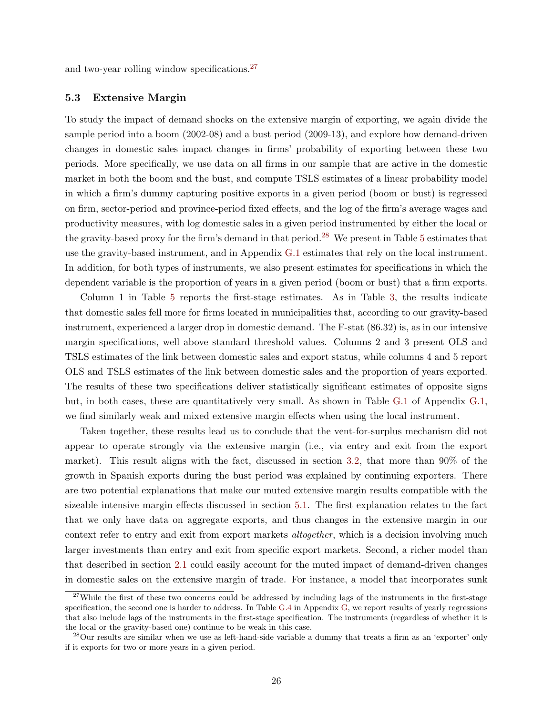and two-year rolling window specifications.[27](#page-26-1)

#### <span id="page-26-0"></span>5.3 Extensive Margin

To study the impact of demand shocks on the extensive margin of exporting, we again divide the sample period into a boom (2002-08) and a bust period (2009-13), and explore how demand-driven changes in domestic sales impact changes in firms' probability of exporting between these two periods. More specifically, we use data on all firms in our sample that are active in the domestic market in both the boom and the bust, and compute TSLS estimates of a linear probability model in which a firm's dummy capturing positive exports in a given period (boom or bust) is regressed on firm, sector-period and province-period fixed effects, and the log of the firm's average wages and productivity measures, with log domestic sales in a given period instrumented by either the local or the gravity-based proxy for the firm's demand in that period.[28](#page-26-2) We present in Table [5](#page-27-1) estimates that use the gravity-based instrument, and in Appendix [G.1](#page--1-1) estimates that rely on the local instrument. In addition, for both types of instruments, we also present estimates for specifications in which the dependent variable is the proportion of years in a given period (boom or bust) that a firm exports.

Column 1 in Table [5](#page-27-1) reports the first-stage estimates. As in Table [3,](#page-23-0) the results indicate that domestic sales fell more for firms located in municipalities that, according to our gravity-based instrument, experienced a larger drop in domestic demand. The F-stat (86.32) is, as in our intensive margin specifications, well above standard threshold values. Columns 2 and 3 present OLS and TSLS estimates of the link between domestic sales and export status, while columns 4 and 5 report OLS and TSLS estimates of the link between domestic sales and the proportion of years exported. The results of these two specifications deliver statistically significant estimates of opposite signs but, in both cases, these are quantitatively very small. As shown in Table [G.1](#page--1-15) of Appendix [G.1,](#page--1-1) we find similarly weak and mixed extensive margin effects when using the local instrument.

Taken together, these results lead us to conclude that the vent-for-surplus mechanism did not appear to operate strongly via the extensive margin (i.e., via entry and exit from the export market). This result aligns with the fact, discussed in section [3.2,](#page-12-2) that more than 90% of the growth in Spanish exports during the bust period was explained by continuing exporters. There are two potential explanations that make our muted extensive margin results compatible with the sizeable intensive margin effects discussed in section [5.1.](#page-21-1) The first explanation relates to the fact that we only have data on aggregate exports, and thus changes in the extensive margin in our context refer to entry and exit from export markets altogether, which is a decision involving much larger investments than entry and exit from specific export markets. Second, a richer model than that described in section [2.1](#page-7-0) could easily account for the muted impact of demand-driven changes in domestic sales on the extensive margin of trade. For instance, a model that incorporates sunk

<span id="page-26-1"></span> $27$ While the first of these two concerns could be addressed by including lags of the instruments in the first-stage specification, the second one is harder to address. In Table [G.4](#page--1-8) in Appendix [G,](#page--1-0) we report results of yearly regressions that also include lags of the instruments in the first-stage specification. The instruments (regardless of whether it is the local or the gravity-based one) continue to be weak in this case.

<span id="page-26-2"></span> $^{28}$ Our results are similar when we use as left-hand-side variable a dummy that treats a firm as an 'exporter' only if it exports for two or more years in a given period.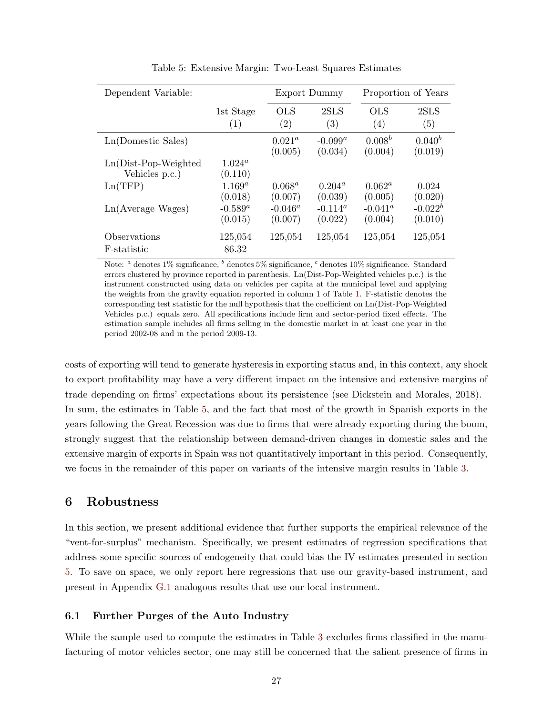<span id="page-27-1"></span>

| Dependent Variable:                       |                        | Export Dummy                 |                       | Proportion of Years   |                        |  |
|-------------------------------------------|------------------------|------------------------------|-----------------------|-----------------------|------------------------|--|
|                                           | 1st Stage<br>(1)       | OLS<br>(2)                   | 2SLS<br>(3)           | OLS<br>(4)            | 2SLS<br>(5)            |  |
| Ln(Domestic Sales)                        |                        | $0.021^a$<br>(0.005)         | $-0.099^a$<br>(0.034) | $0.008^b$<br>(0.004)  | $0.040^{b}$<br>(0.019) |  |
| $Ln(Dist-Pop-Weighted)$<br>Vehicles p.c.) | $1.024^a$<br>(0.110)   |                              |                       |                       |                        |  |
| Ln(TFP)                                   | $1.169^{a}$<br>(0.018) | $0.068^a$<br>(0.007)         | $0.204^a$<br>(0.039)  | $0.062^a$<br>(0.005)  | 0.024<br>(0.020)       |  |
| Ln(Average Wages)                         | $-0.589^a$<br>(0.015)  | $-0.046^{\alpha}$<br>(0.007) | $-0.114^a$<br>(0.022) | $-0.041^a$<br>(0.004) | $-0.022^b$<br>(0.010)  |  |
| Observations<br>F-statistic               | 125,054<br>86.32       | 125,054                      | 125,054               | 125,054               | 125,054                |  |

Table 5: Extensive Margin: Two-Least Squares Estimates

Note:  $a$  denotes 1% significance,  $b$  denotes 5% significance,  $c$  denotes 10% significance. Standard errors clustered by province reported in parenthesis. Ln(Dist-Pop-Weighted vehicles p.c.) is the instrument constructed using data on vehicles per capita at the municipal level and applying the weights from the gravity equation reported in column 1 of Table [1.](#page-18-0) F-statistic denotes the corresponding test statistic for the null hypothesis that the coefficient on Ln(Dist-Pop-Weighted Vehicles p.c.) equals zero. All specifications include firm and sector-period fixed effects. The estimation sample includes all firms selling in the domestic market in at least one year in the period 2002-08 and in the period 2009-13.

costs of exporting will tend to generate hysteresis in exporting status and, in this context, any shock to export profitability may have a very different impact on the intensive and extensive margins of trade depending on firms' expectations about its persistence (see Dickstein and Morales, 2018). In sum, the estimates in Table [5,](#page-27-1) and the fact that most of the growth in Spanish exports in the years following the Great Recession was due to firms that were already exporting during the boom, strongly suggest that the relationship between demand-driven changes in domestic sales and the extensive margin of exports in Spain was not quantitatively important in this period. Consequently, we focus in the remainder of this paper on variants of the intensive margin results in Table [3.](#page-23-0)

# <span id="page-27-0"></span>6 Robustness

In this section, we present additional evidence that further supports the empirical relevance of the "vent-for-surplus" mechanism. Specifically, we present estimates of regression specifications that address some specific sources of endogeneity that could bias the IV estimates presented in section [5.](#page-21-0) To save on space, we only report here regressions that use our gravity-based instrument, and present in Appendix [G.1](#page--1-1) analogous results that use our local instrument.

## 6.1 Further Purges of the Auto Industry

While the sample used to compute the estimates in Table [3](#page-23-0) excludes firms classified in the manufacturing of motor vehicles sector, one may still be concerned that the salient presence of firms in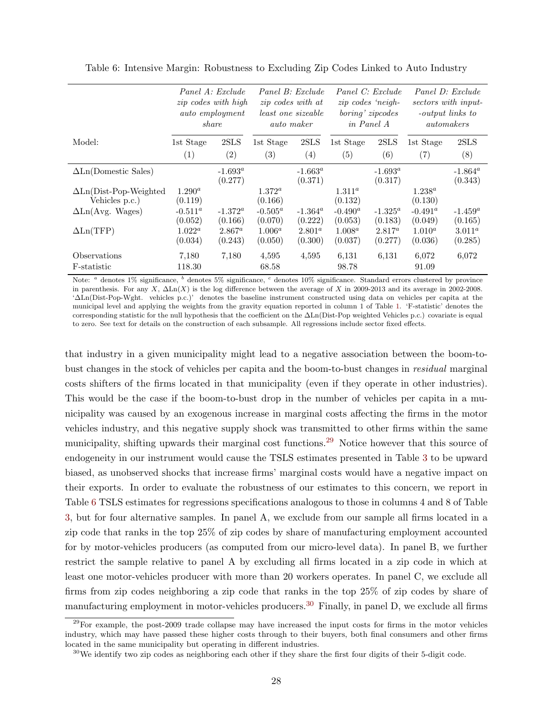|                                                 | Panel A: Exclude<br><i>zip</i> codes with high<br><i>auto</i> employment<br>share |                       | Panel B: Exclude<br><i>zip</i> codes with at<br><i>least one sizeable</i><br><i>auto maker</i> |                             | Panel C: Exclude<br>$zip \ codes \ 'neigh-$<br>boring' zipcodes<br>in Panel A |                       | Panel D: Exclude<br>sectors with input-<br>-output links to<br>automakers |                       |
|-------------------------------------------------|-----------------------------------------------------------------------------------|-----------------------|------------------------------------------------------------------------------------------------|-----------------------------|-------------------------------------------------------------------------------|-----------------------|---------------------------------------------------------------------------|-----------------------|
| Model:                                          | 1st Stage                                                                         | 2SLS                  | 1st Stage                                                                                      | 2SLS                        | 1st Stage                                                                     | 2SLS                  | 1st Stage                                                                 | 2SLS                  |
|                                                 | (1)                                                                               | (2)                   | (3)                                                                                            | (4)                         | (5)                                                                           | (6)                   | (7)                                                                       | (8)                   |
| $\Delta$ Ln(Domestic Sales)                     |                                                                                   | $-1.693^a$<br>(0.277) |                                                                                                | $-1.663^{\circ}$<br>(0.371) |                                                                               | $-1.693^a$<br>(0.317) |                                                                           | $-1.864^a$<br>(0.343) |
| $\Delta$ Ln(Dist-Pop-Weighted<br>Vehicles p.c.) | $1.290^a$<br>(0.119)                                                              |                       | $1.372^a$<br>(0.166)                                                                           |                             | $1.311^a$<br>(0.132)                                                          |                       | $1.238^{a}$<br>(0.130)                                                    |                       |
| $\Delta$ Ln(Avg. Wages)                         | $-0.511^a$<br>(0.052)                                                             | $-1.372^a$<br>(0.166) | $-0.505^a$<br>(0.070)                                                                          | $-1.364^{\circ}$<br>(0.222) | $-0.490^a$<br>(0.053)                                                         | $-1.325^a$<br>(0.183) | $-0.491^a$<br>(0.049)                                                     | $-1.459^a$<br>(0.165) |
| $\Delta \text{Ln}(\text{TFP})$                  | $1.022^a$<br>(0.034)                                                              | $2.867^a$<br>(0.243)  | $1.006^a$<br>(0.050)                                                                           | $2.801^a$<br>(0.300)        | $1.008^a$<br>(0.037)                                                          | $2.817^a$<br>(0.277)  | $1.010^a$<br>(0.036)                                                      | $3.011^a$<br>(0.285)  |
| <i><b>Observations</b></i><br>F-statistic       | 7,180<br>118.30                                                                   | 7.180                 | 4,595<br>68.58                                                                                 | 4,595                       | 6,131<br>98.78                                                                | 6.131                 | 6.072<br>91.09                                                            | 6,072                 |

<span id="page-28-1"></span>Table 6: Intensive Margin: Robustness to Excluding Zip Codes Linked to Auto Industry

Note: <sup>a</sup> denotes 1% significance, <sup>b</sup> denotes 5% significance, <sup>c</sup> denotes 10% significance. Standard errors clustered by province in parenthesis. For any  $X$ ,  $\Delta \text{Ln}(X)$  is the log difference between the average of X in 2009-2013 and its average in 2002-2008. '∆Ln(Dist-Pop-Wght. vehicles p.c.)' denotes the baseline instrument constructed using data on vehicles per capita at the municipal level and applying the weights from the gravity equation reported in column 1 of Table [1.](#page-18-0) 'F-statistic' denotes the corresponding statistic for the null hypothesis that the coefficient on the ∆Ln(Dist-Pop weighted Vehicles p.c.) covariate is equal to zero. See text for details on the construction of each subsample. All regressions include sector fixed effects.

that industry in a given municipality might lead to a negative association between the boom-tobust changes in the stock of vehicles per capita and the boom-to-bust changes in residual marginal costs shifters of the firms located in that municipality (even if they operate in other industries). This would be the case if the boom-to-bust drop in the number of vehicles per capita in a municipality was caused by an exogenous increase in marginal costs affecting the firms in the motor vehicles industry, and this negative supply shock was transmitted to other firms within the same municipality, shifting upwards their marginal cost functions.<sup>[29](#page-28-0)</sup> Notice however that this source of endogeneity in our instrument would cause the TSLS estimates presented in Table [3](#page-23-0) to be upward biased, as unobserved shocks that increase firms' marginal costs would have a negative impact on their exports. In order to evaluate the robustness of our estimates to this concern, we report in Table [6](#page-28-1) TSLS estimates for regressions specifications analogous to those in columns 4 and 8 of Table [3,](#page-23-0) but for four alternative samples. In panel A, we exclude from our sample all firms located in a zip code that ranks in the top 25% of zip codes by share of manufacturing employment accounted for by motor-vehicles producers (as computed from our micro-level data). In panel B, we further restrict the sample relative to panel A by excluding all firms located in a zip code in which at least one motor-vehicles producer with more than 20 workers operates. In panel C, we exclude all firms from zip codes neighboring a zip code that ranks in the top 25% of zip codes by share of manufacturing employment in motor-vehicles producers.<sup>[30](#page-28-2)</sup> Finally, in panel D, we exclude all firms

<span id="page-28-0"></span> $^{29}$ For example, the post-2009 trade collapse may have increased the input costs for firms in the motor vehicles industry, which may have passed these higher costs through to their buyers, both final consumers and other firms located in the same municipality but operating in different industries.

<span id="page-28-2"></span> $30\,\text{We identify two zip codes as neighboring each other if they share the first four digits of their 5-digit code.}$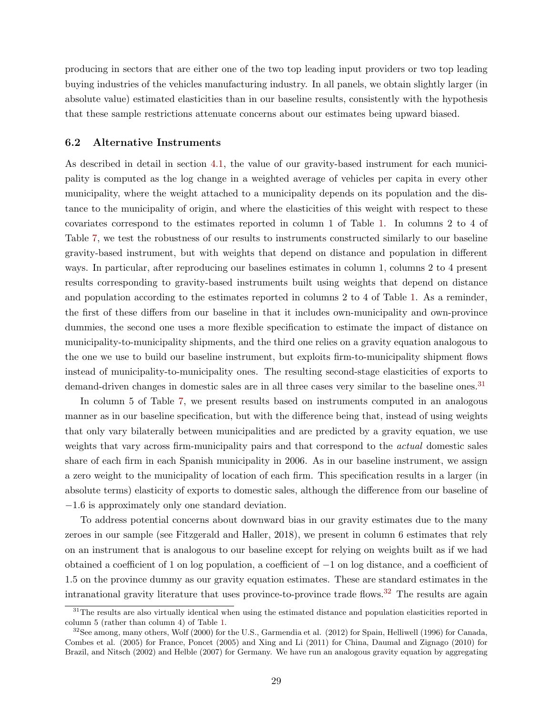producing in sectors that are either one of the two top leading input providers or two top leading buying industries of the vehicles manufacturing industry. In all panels, we obtain slightly larger (in absolute value) estimated elasticities than in our baseline results, consistently with the hypothesis that these sample restrictions attenuate concerns about our estimates being upward biased.

#### <span id="page-29-0"></span>6.2 Alternative Instruments

As described in detail in section [4.1,](#page-15-2) the value of our gravity-based instrument for each municipality is computed as the log change in a weighted average of vehicles per capita in every other municipality, where the weight attached to a municipality depends on its population and the distance to the municipality of origin, and where the elasticities of this weight with respect to these covariates correspond to the estimates reported in column 1 of Table [1.](#page-18-0) In columns 2 to 4 of Table [7,](#page-30-0) we test the robustness of our results to instruments constructed similarly to our baseline gravity-based instrument, but with weights that depend on distance and population in different ways. In particular, after reproducing our baselines estimates in column 1, columns 2 to 4 present results corresponding to gravity-based instruments built using weights that depend on distance and population according to the estimates reported in columns 2 to 4 of Table [1.](#page-18-0) As a reminder, the first of these differs from our baseline in that it includes own-municipality and own-province dummies, the second one uses a more flexible specification to estimate the impact of distance on municipality-to-municipality shipments, and the third one relies on a gravity equation analogous to the one we use to build our baseline instrument, but exploits firm-to-municipality shipment flows instead of municipality-to-municipality ones. The resulting second-stage elasticities of exports to demand-driven changes in domestic sales are in all three cases very similar to the baseline ones.<sup>[31](#page-29-1)</sup>

In column 5 of Table [7,](#page-30-0) we present results based on instruments computed in an analogous manner as in our baseline specification, but with the difference being that, instead of using weights that only vary bilaterally between municipalities and are predicted by a gravity equation, we use weights that vary across firm-municipality pairs and that correspond to the *actual* domestic sales share of each firm in each Spanish municipality in 2006. As in our baseline instrument, we assign a zero weight to the municipality of location of each firm. This specification results in a larger (in absolute terms) elasticity of exports to domestic sales, although the difference from our baseline of −1.6 is approximately only one standard deviation.

To address potential concerns about downward bias in our gravity estimates due to the many zeroes in our sample (see Fitzgerald and Haller, 2018), we present in column 6 estimates that rely on an instrument that is analogous to our baseline except for relying on weights built as if we had obtained a coefficient of 1 on log population, a coefficient of −1 on log distance, and a coefficient of 1.5 on the province dummy as our gravity equation estimates. These are standard estimates in the intranational gravity literature that uses province-to-province trade flows.<sup>[32](#page-29-2)</sup> The results are again

<span id="page-29-1"></span> $31$ The results are also virtually identical when using the estimated distance and population elasticities reported in column 5 (rather than column 4) of Table [1.](#page-18-0)

<span id="page-29-2"></span> $32$ See among, many others, Wolf (2000) for the U.S., Garmendia et al. (2012) for Spain, Helliwell (1996) for Canada, Combes et al. (2005) for France, Poncet (2005) and Xing and Li (2011) for China, Daumal and Zignago (2010) for Brazil, and Nitsch (2002) and Helble (2007) for Germany. We have run an analogous gravity equation by aggregating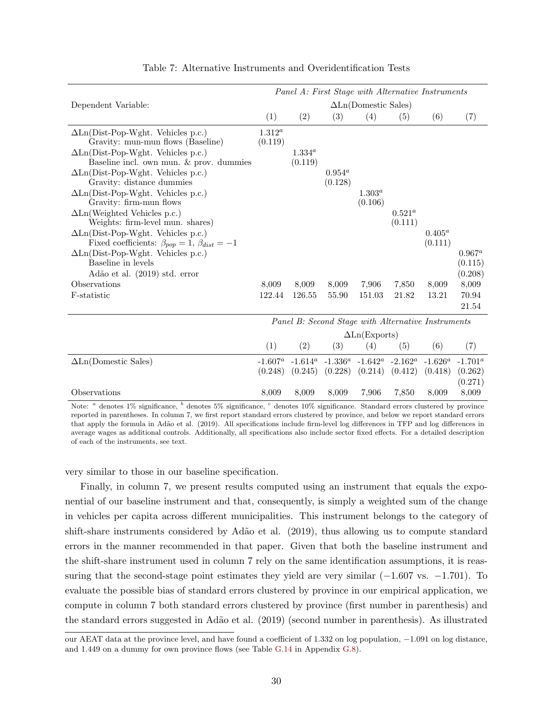<span id="page-30-0"></span>

|                                                                                                       | Panel A: First Stage with Alternative Instruments |             |                                                    |                      |            |            |            |  |  |
|-------------------------------------------------------------------------------------------------------|---------------------------------------------------|-------------|----------------------------------------------------|----------------------|------------|------------|------------|--|--|
| Dependent Variable:                                                                                   | $\Delta$ Ln(Domestic Sales)                       |             |                                                    |                      |            |            |            |  |  |
|                                                                                                       | (1)                                               | (2)         | (3)                                                | (4)                  | (5)        | (6)        | (7)        |  |  |
| $\Delta$ Ln(Dist-Pop-Wght. Vehicles p.c.)                                                             | $1.312^a$                                         |             |                                                    |                      |            |            |            |  |  |
| Gravity: mun-mun flows (Baseline)<br>$\Delta$ Ln(Dist-Pop-Wght. Vehicles p.c.)                        | (0.119)                                           | $1.334^{a}$ |                                                    |                      |            |            |            |  |  |
| Baseline incl. own mun. & prov. dummies                                                               |                                                   | (0.119)     |                                                    |                      |            |            |            |  |  |
| $\Delta$ Ln(Dist-Pop-Wght. Vehicles p.c.)                                                             |                                                   |             | $0.954^a$                                          |                      |            |            |            |  |  |
| Gravity: distance dummies                                                                             |                                                   |             | (0.128)                                            |                      |            |            |            |  |  |
| $\Delta$ Ln(Dist-Pop-Wght. Vehicles p.c.)                                                             |                                                   |             |                                                    | $1.303^{a}$          |            |            |            |  |  |
| Gravity: firm-mun flows                                                                               |                                                   |             |                                                    | (0.106)              |            |            |            |  |  |
| $\Delta$ Ln(Weighted Vehicles p.c.)                                                                   |                                                   |             |                                                    |                      | $0.521^a$  |            |            |  |  |
| Weights: firm-level mun. shares)                                                                      |                                                   |             |                                                    |                      | (0.111)    | $0.405^a$  |            |  |  |
| $\Delta$ Ln(Dist-Pop-Wght. Vehicles p.c.)<br>Fixed coefficients: $\beta_{pop} = 1, \beta_{dist} = -1$ |                                                   |             |                                                    |                      |            | (0.111)    |            |  |  |
| $\Delta$ Ln(Dist-Pop-Wght. Vehicles p.c.)                                                             |                                                   |             |                                                    |                      |            |            | $0.967^a$  |  |  |
| Baseline in levels                                                                                    |                                                   |             |                                                    |                      |            |            | (0.115)    |  |  |
| Adão et al. (2019) std. error                                                                         |                                                   |             |                                                    |                      |            |            | (0.208)    |  |  |
| Observations                                                                                          | 8,009                                             | 8,009       | 8,009                                              | 7,906                | 7.850      | 8,009      | 8,009      |  |  |
| F-statistic                                                                                           | 122.44                                            | 126.55      | 55.90                                              | 151.03               | 21.82      | 13.21      | 70.94      |  |  |
|                                                                                                       |                                                   |             |                                                    |                      |            |            | 21.54      |  |  |
|                                                                                                       |                                                   |             | Panel B: Second Stage with Alternative Instruments |                      |            |            |            |  |  |
|                                                                                                       |                                                   |             |                                                    | $\Delta$ Ln(Exports) |            |            |            |  |  |
|                                                                                                       | (1)                                               | (2)         | (3)                                                | (4)                  | (5)        | (6)        | (7)        |  |  |
| $\Delta$ Ln(Domestic Sales)                                                                           | $-1.607^a$                                        | $-1.614^a$  | $-1.336^a$                                         | -1.642 $^a$          | $-2.162^a$ | $-1.626^a$ | $-1.701^a$ |  |  |
|                                                                                                       | (0.248)                                           | (0.245)     | (0.228)                                            | (0.214)              | (0.412)    | (0.418)    | (0.262)    |  |  |
|                                                                                                       |                                                   |             |                                                    |                      |            |            | (0.271)    |  |  |
| Observations                                                                                          | 8,009                                             | 8,009       | 8,009                                              | 7,906                | 7,850      | 8,009      | 8,009      |  |  |

#### Table 7: Alternative Instruments and Overidentification Tests

Note: <sup>a</sup> denotes 1% significance, <sup>b</sup> denotes 5% significance, <sup>c</sup> denotes 10% significance. Standard errors clustered by province reported in parentheses. In column 7, we first report standard errors clustered by province, and below we report standard errors that apply the formula in Adão et al. (2019). All specifications include firm-level log differences in TFP and log differences in average wages as additional controls. Additionally, all specifications also include sector fixed effects. For a detailed description of each of the instruments, see text.

very similar to those in our baseline specification.

Finally, in column 7, we present results computed using an instrument that equals the exponential of our baseline instrument and that, consequently, is simply a weighted sum of the change in vehicles per capita across different municipalities. This instrument belongs to the category of shift-share instruments considered by Adão et al. (2019), thus allowing us to compute standard errors in the manner recommended in that paper. Given that both the baseline instrument and the shift-share instrument used in column 7 rely on the same identification assumptions, it is reassuring that the second-stage point estimates they yield are very similar  $(-1.607 \text{ vs. } -1.701)$ . To evaluate the possible bias of standard errors clustered by province in our empirical application, we compute in column 7 both standard errors clustered by province (first number in parenthesis) and the standard errors suggested in Ad˜ao et al. (2019) (second number in parenthesis). As illustrated

our AEAT data at the province level, and have found a coefficient of 1.332 on log population, −1.091 on log distance, and 1.449 on a dummy for own province flows (see Table [G.14](#page--1-8) in Appendix [G.8\)](#page--1-16).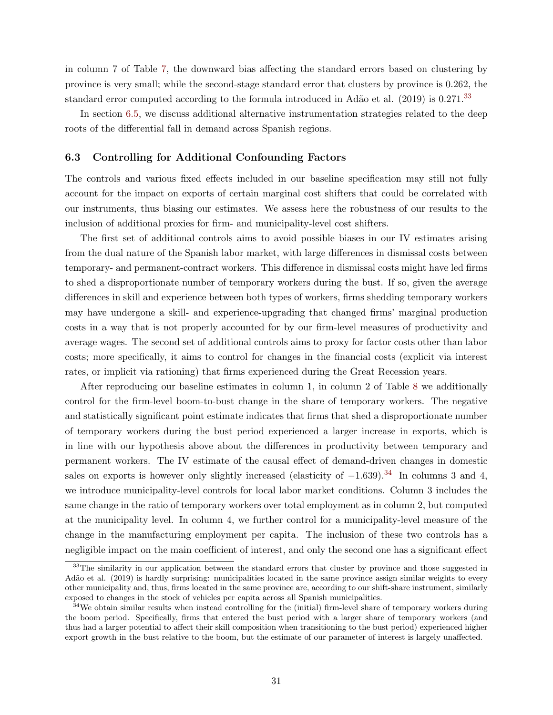in column 7 of Table [7,](#page-30-0) the downward bias affecting the standard errors based on clustering by province is very small; while the second-stage standard error that clusters by province is 0.262, the standard error computed according to the formula introduced in Adão et al.  $(2019)$  is 0.271.<sup>[33](#page-31-1)</sup>

In section [6.5,](#page-34-0) we discuss additional alternative instrumentation strategies related to the deep roots of the differential fall in demand across Spanish regions.

#### <span id="page-31-0"></span>6.3 Controlling for Additional Confounding Factors

The controls and various fixed effects included in our baseline specification may still not fully account for the impact on exports of certain marginal cost shifters that could be correlated with our instruments, thus biasing our estimates. We assess here the robustness of our results to the inclusion of additional proxies for firm- and municipality-level cost shifters.

The first set of additional controls aims to avoid possible biases in our IV estimates arising from the dual nature of the Spanish labor market, with large differences in dismissal costs between temporary- and permanent-contract workers. This difference in dismissal costs might have led firms to shed a disproportionate number of temporary workers during the bust. If so, given the average differences in skill and experience between both types of workers, firms shedding temporary workers may have undergone a skill- and experience-upgrading that changed firms' marginal production costs in a way that is not properly accounted for by our firm-level measures of productivity and average wages. The second set of additional controls aims to proxy for factor costs other than labor costs; more specifically, it aims to control for changes in the financial costs (explicit via interest rates, or implicit via rationing) that firms experienced during the Great Recession years.

After reproducing our baseline estimates in column 1, in column 2 of Table [8](#page-32-0) we additionally control for the firm-level boom-to-bust change in the share of temporary workers. The negative and statistically significant point estimate indicates that firms that shed a disproportionate number of temporary workers during the bust period experienced a larger increase in exports, which is in line with our hypothesis above about the differences in productivity between temporary and permanent workers. The IV estimate of the causal effect of demand-driven changes in domestic sales on exports is however only slightly increased (elasticity of  $-1.639$ ).<sup>[34](#page-31-2)</sup> In columns 3 and 4, we introduce municipality-level controls for local labor market conditions. Column 3 includes the same change in the ratio of temporary workers over total employment as in column 2, but computed at the municipality level. In column 4, we further control for a municipality-level measure of the change in the manufacturing employment per capita. The inclusion of these two controls has a negligible impact on the main coefficient of interest, and only the second one has a significant effect

<span id="page-31-1"></span><sup>&</sup>lt;sup>33</sup>The similarity in our application between the standard errors that cluster by province and those suggested in Adão et al. (2019) is hardly surprising: municipalities located in the same province assign similar weights to every other municipality and, thus, firms located in the same province are, according to our shift-share instrument, similarly exposed to changes in the stock of vehicles per capita across all Spanish municipalities.

<span id="page-31-2"></span> $34$ We obtain similar results when instead controlling for the (initial) firm-level share of temporary workers during the boom period. Specifically, firms that entered the bust period with a larger share of temporary workers (and thus had a larger potential to affect their skill composition when transitioning to the bust period) experienced higher export growth in the bust relative to the boom, but the estimate of our parameter of interest is largely unaffected.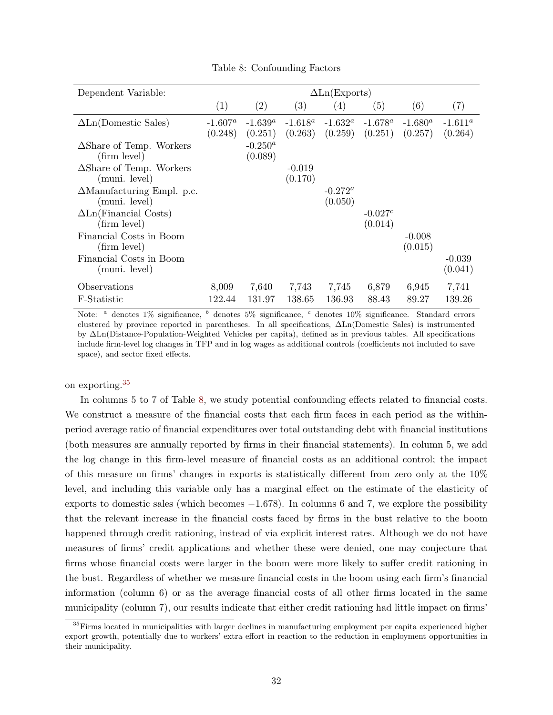<span id="page-32-0"></span>

| Dependent Variable:                                |                       |                       |                       | $\Delta$ Ln(Exports)         |                        |                       |                       |
|----------------------------------------------------|-----------------------|-----------------------|-----------------------|------------------------------|------------------------|-----------------------|-----------------------|
|                                                    | (1)                   | (2)                   | (3)                   | (4)                          | (5)                    | (6)                   | (7)                   |
| $\Delta$ Ln(Domestic Sales)                        | $-1.607^a$<br>(0.248) | $-1.639^a$<br>(0.251) | $-1.618^a$<br>(0.263) | $-1.632^a$<br>(0.259)        | - $1.678^a$<br>(0.251) | $-1.680^a$<br>(0.257) | $-1.611^a$<br>(0.264) |
| $\Delta$ Share of Temp. Workers<br>(firm level)    |                       | $-0.250^a$<br>(0.089) |                       |                              |                        |                       |                       |
| $\Delta$ Share of Temp. Workers<br>(muni. level)   |                       |                       | $-0.019$<br>(0.170)   |                              |                        |                       |                       |
| $\Delta$ Manufacturing Empl. p.c.<br>(muni. level) |                       |                       |                       | $-0.272^{\alpha}$<br>(0.050) |                        |                       |                       |
| $\Delta$ Ln(Financial Costs)<br>(firm level)       |                       |                       |                       |                              | $-0.027c$<br>(0.014)   |                       |                       |
| Financial Costs in Boom<br>(firm level)            |                       |                       |                       |                              |                        | $-0.008$<br>(0.015)   |                       |
| Financial Costs in Boom<br>(muni. level)           |                       |                       |                       |                              |                        |                       | $-0.039$<br>(0.041)   |
| Observations                                       | 8,009                 | 7,640                 | 7,743                 | 7,745                        | 6,879                  | 6,945                 | 7,741                 |
| F-Statistic                                        | 122.44                | 131.97                | 138.65                | 136.93                       | 88.43                  | 89.27                 | 139.26                |

Table 8: Confounding Factors

Note: <sup>a</sup> denotes  $1\%$  significance, <sup>b</sup> denotes  $5\%$  significance, <sup>c</sup> denotes  $10\%$  significance. Standard errors clustered by province reported in parentheses. In all specifications, ∆Ln(Domestic Sales) is instrumented by ∆Ln(Distance-Population-Weighted Vehicles per capita), defined as in previous tables. All specifications include firm-level log changes in TFP and in log wages as additional controls (coefficients not included to save space), and sector fixed effects.

on exporting.<sup>[35](#page-32-1)</sup>

In columns 5 to 7 of Table [8,](#page-32-0) we study potential confounding effects related to financial costs. We construct a measure of the financial costs that each firm faces in each period as the withinperiod average ratio of financial expenditures over total outstanding debt with financial institutions (both measures are annually reported by firms in their financial statements). In column 5, we add the log change in this firm-level measure of financial costs as an additional control; the impact of this measure on firms' changes in exports is statistically different from zero only at the 10% level, and including this variable only has a marginal effect on the estimate of the elasticity of exports to domestic sales (which becomes  $-1.678$ ). In columns 6 and 7, we explore the possibility that the relevant increase in the financial costs faced by firms in the bust relative to the boom happened through credit rationing, instead of via explicit interest rates. Although we do not have measures of firms' credit applications and whether these were denied, one may conjecture that firms whose financial costs were larger in the boom were more likely to suffer credit rationing in the bust. Regardless of whether we measure financial costs in the boom using each firm's financial information (column 6) or as the average financial costs of all other firms located in the same municipality (column 7), our results indicate that either credit rationing had little impact on firms'

<span id="page-32-1"></span> $35$  Firms located in municipalities with larger declines in manufacturing employment per capita experienced higher export growth, potentially due to workers' extra effort in reaction to the reduction in employment opportunities in their municipality.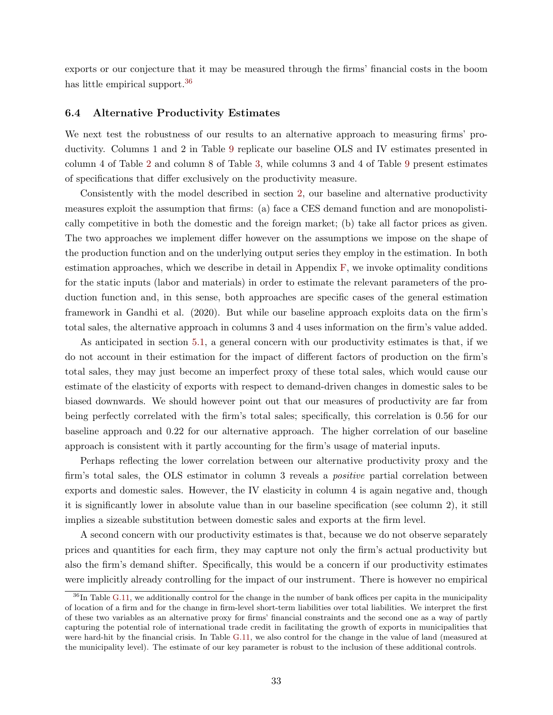exports or our conjecture that it may be measured through the firms' financial costs in the boom has little empirical support.<sup>[36](#page-33-0)</sup>

#### 6.4 Alternative Productivity Estimates

We next test the robustness of our results to an alternative approach to measuring firms' productivity. Columns 1 and 2 in Table [9](#page-34-1) replicate our baseline OLS and IV estimates presented in column 4 of Table [2](#page-22-0) and column 8 of Table [3,](#page-23-0) while columns 3 and 4 of Table [9](#page-34-1) present estimates of specifications that differ exclusively on the productivity measure.

Consistently with the model described in section [2,](#page-6-2) our baseline and alternative productivity measures exploit the assumption that firms: (a) face a CES demand function and are monopolistically competitive in both the domestic and the foreign market; (b) take all factor prices as given. The two approaches we implement differ however on the assumptions we impose on the shape of the production function and on the underlying output series they employ in the estimation. In both estimation approaches, which we describe in detail in Appendix [F,](#page--1-0) we invoke optimality conditions for the static inputs (labor and materials) in order to estimate the relevant parameters of the production function and, in this sense, both approaches are specific cases of the general estimation framework in Gandhi et al. (2020). But while our baseline approach exploits data on the firm's total sales, the alternative approach in columns 3 and 4 uses information on the firm's value added.

As anticipated in section [5.1,](#page-21-1) a general concern with our productivity estimates is that, if we do not account in their estimation for the impact of different factors of production on the firm's total sales, they may just become an imperfect proxy of these total sales, which would cause our estimate of the elasticity of exports with respect to demand-driven changes in domestic sales to be biased downwards. We should however point out that our measures of productivity are far from being perfectly correlated with the firm's total sales; specifically, this correlation is 0.56 for our baseline approach and 0.22 for our alternative approach. The higher correlation of our baseline approach is consistent with it partly accounting for the firm's usage of material inputs.

Perhaps reflecting the lower correlation between our alternative productivity proxy and the firm's total sales, the OLS estimator in column 3 reveals a positive partial correlation between exports and domestic sales. However, the IV elasticity in column 4 is again negative and, though it is significantly lower in absolute value than in our baseline specification (see column 2), it still implies a sizeable substitution between domestic sales and exports at the firm level.

A second concern with our productivity estimates is that, because we do not observe separately prices and quantities for each firm, they may capture not only the firm's actual productivity but also the firm's demand shifter. Specifically, this would be a concern if our productivity estimates were implicitly already controlling for the impact of our instrument. There is however no empirical

<span id="page-33-0"></span> $36$ In Table [G.11,](#page--1-17) we additionally control for the change in the number of bank offices per capita in the municipality of location of a firm and for the change in firm-level short-term liabilities over total liabilities. We interpret the first of these two variables as an alternative proxy for firms' financial constraints and the second one as a way of partly capturing the potential role of international trade credit in facilitating the growth of exports in municipalities that were hard-hit by the financial crisis. In Table [G.11,](#page--1-17) we also control for the change in the value of land (measured at the municipality level). The estimate of our key parameter is robust to the inclusion of these additional controls.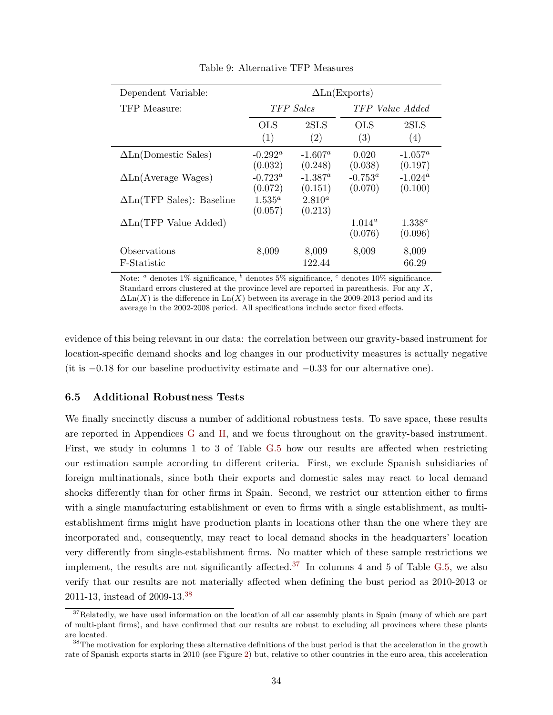<span id="page-34-1"></span>

| Dependent Variable:              | $\Delta$ Ln(Exports)         |                        |                             |                             |  |  |  |  |
|----------------------------------|------------------------------|------------------------|-----------------------------|-----------------------------|--|--|--|--|
| TFP Measure:                     |                              | TFP Sales              | TFP Value Added             |                             |  |  |  |  |
|                                  | OLS<br>(1)                   | 2SLS<br>(2)            | OLS<br>(3)                  | 2SLS<br>(4)                 |  |  |  |  |
| $\Delta$ Ln(Domestic Sales)      | $-0.292^{\alpha}$<br>(0.032) | $-1.607^a$<br>(0.248)  | 0.020<br>(0.038)            | $-1.057^a$<br>(0.197)       |  |  |  |  |
| $\Delta$ Ln(Average Wages)       | $-0.723^{\circ}$<br>(0.072)  | $-1.387^a$<br>(0.151)  | $-0.753^{\circ}$<br>(0.070) | $-1.024^{\rm a}$<br>(0.100) |  |  |  |  |
| $\Delta$ Ln(TFP Sales): Baseline | $1.535^{\circ}$<br>(0.057)   | $2.810^{a}$<br>(0.213) |                             |                             |  |  |  |  |
| $\Delta$ Ln(TFP Value Added)     |                              |                        | $1.014^a$<br>(0.076)        | $1.338^{a}$<br>(0.096)      |  |  |  |  |
| Observations<br>F-Statistic      | 8,009                        | 8,009<br>122.44        | 8,009                       | 8,009<br>66.29              |  |  |  |  |

Table 9: Alternative TFP Measures

Note:  $a$  denotes 1% significance,  $b$  denotes 5% significance,  $c$  denotes 10% significance. Standard errors clustered at the province level are reported in parenthesis. For any  $X$ ,  $\Delta \text{Ln}(X)$  is the difference in  $\text{Ln}(X)$  between its average in the 2009-2013 period and its average in the 2002-2008 period. All specifications include sector fixed effects.

evidence of this being relevant in our data: the correlation between our gravity-based instrument for location-specific demand shocks and log changes in our productivity measures is actually negative (it is  $-0.18$  for our baseline productivity estimate and  $-0.33$  for our alternative one).

### <span id="page-34-0"></span>6.5 Additional Robustness Tests

We finally succinctly discuss a number of additional robustness tests. To save space, these results are reported in Appendices [G](#page--1-0) and [H,](#page--1-0) and we focus throughout on the gravity-based instrument. First, we study in columns 1 to 3 of Table [G.5](#page--1-18) how our results are affected when restricting our estimation sample according to different criteria. First, we exclude Spanish subsidiaries of foreign multinationals, since both their exports and domestic sales may react to local demand shocks differently than for other firms in Spain. Second, we restrict our attention either to firms with a single manufacturing establishment or even to firms with a single establishment, as multiestablishment firms might have production plants in locations other than the one where they are incorporated and, consequently, may react to local demand shocks in the headquarters' location very differently from single-establishment firms. No matter which of these sample restrictions we implement, the results are not significantly affected.<sup>[37](#page-34-2)</sup> In columns 4 and 5 of Table [G.5,](#page--1-18) we also verify that our results are not materially affected when defining the bust period as 2010-2013 or 2011-13, instead of 2009-13.[38](#page-34-3)

<span id="page-34-2"></span><sup>&</sup>lt;sup>37</sup>Relatedly, we have used information on the location of all car assembly plants in Spain (many of which are part of multi-plant firms), and have confirmed that our results are robust to excluding all provinces where these plants are located.

<span id="page-34-3"></span> $38$ The motivation for exploring these alternative definitions of the bust period is that the acceleration in the growth rate of Spanish exports starts in 2010 (see Figure [2\)](#page-11-0) but, relative to other countries in the euro area, this acceleration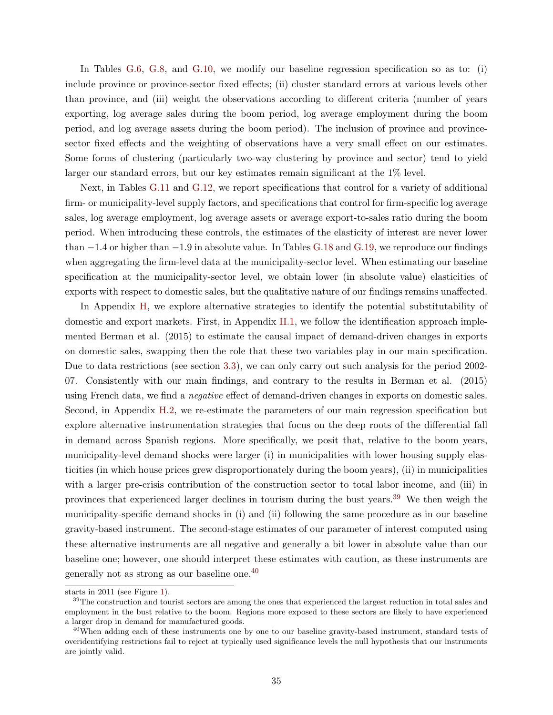In Tables [G.6,](#page--1-8) [G.8,](#page--1-19) and [G.10,](#page--1-8) we modify our baseline regression specification so as to: (i) include province or province-sector fixed effects; (ii) cluster standard errors at various levels other than province, and (iii) weight the observations according to different criteria (number of years exporting, log average sales during the boom period, log average employment during the boom period, and log average assets during the boom period). The inclusion of province and provincesector fixed effects and the weighting of observations have a very small effect on our estimates. Some forms of clustering (particularly two-way clustering by province and sector) tend to yield larger our standard errors, but our key estimates remain significant at the 1% level.

Next, in Tables [G.11](#page--1-17) and [G.12,](#page--1-20) we report specifications that control for a variety of additional firm- or municipality-level supply factors, and specifications that control for firm-specific log average sales, log average employment, log average assets or average export-to-sales ratio during the boom period. When introducing these controls, the estimates of the elasticity of interest are never lower than −1.4 or higher than −1.9 in absolute value. In Tables [G.18](#page--1-21) and [G.19,](#page--1-22) we reproduce our findings when aggregating the firm-level data at the municipality-sector level. When estimating our baseline specification at the municipality-sector level, we obtain lower (in absolute value) elasticities of exports with respect to domestic sales, but the qualitative nature of our findings remains unaffected.

In Appendix [H,](#page--1-0) we explore alternative strategies to identify the potential substitutability of domestic and export markets. First, in Appendix [H.1,](#page--1-2) we follow the identification approach implemented Berman et al. (2015) to estimate the causal impact of demand-driven changes in exports on domestic sales, swapping then the role that these two variables play in our main specification. Due to data restrictions (see section [3.3\)](#page-13-1), we can only carry out such analysis for the period 2002- 07. Consistently with our main findings, and contrary to the results in Berman et al. (2015) using French data, we find a *negative* effect of demand-driven changes in exports on domestic sales. Second, in Appendix [H.2,](#page--1-23) we re-estimate the parameters of our main regression specification but explore alternative instrumentation strategies that focus on the deep roots of the differential fall in demand across Spanish regions. More specifically, we posit that, relative to the boom years, municipality-level demand shocks were larger (i) in municipalities with lower housing supply elasticities (in which house prices grew disproportionately during the boom years), (ii) in municipalities with a larger pre-crisis contribution of the construction sector to total labor income, and (iii) in provinces that experienced larger declines in tourism during the bust years.[39](#page-35-0) We then weigh the municipality-specific demand shocks in (i) and (ii) following the same procedure as in our baseline gravity-based instrument. The second-stage estimates of our parameter of interest computed using these alternative instruments are all negative and generally a bit lower in absolute value than our baseline one; however, one should interpret these estimates with caution, as these instruments are generally not as strong as our baseline one.[40](#page-35-1)

starts in 2011 (see Figure [1\)](#page-1-0).

<span id="page-35-0"></span><sup>&</sup>lt;sup>39</sup>The construction and tourist sectors are among the ones that experienced the largest reduction in total sales and employment in the bust relative to the boom. Regions more exposed to these sectors are likely to have experienced a larger drop in demand for manufactured goods.

<span id="page-35-1"></span><sup>&</sup>lt;sup>40</sup>When adding each of these instruments one by one to our baseline gravity-based instrument, standard tests of overidentifying restrictions fail to reject at typically used significance levels the null hypothesis that our instruments are jointly valid.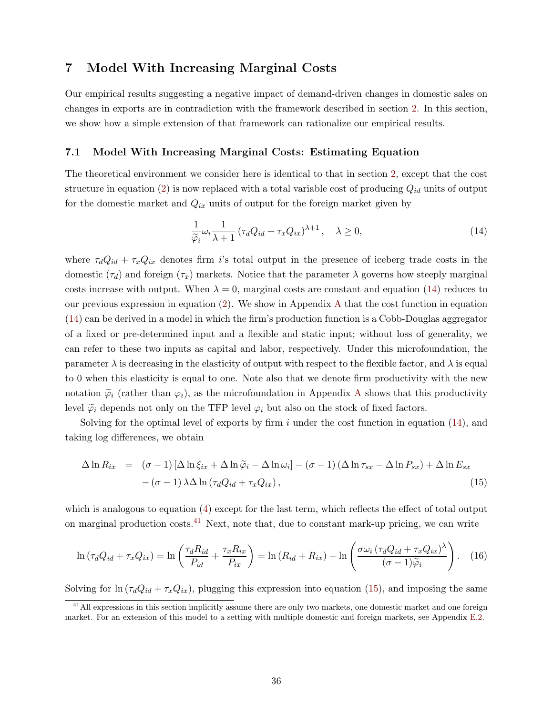# <span id="page-36-0"></span>7 Model With Increasing Marginal Costs

Our empirical results suggesting a negative impact of demand-driven changes in domestic sales on changes in exports are in contradiction with the framework described in section [2.](#page-6-2) In this section, we show how a simple extension of that framework can rationalize our empirical results.

#### <span id="page-36-5"></span>7.1 Model With Increasing Marginal Costs: Estimating Equation

The theoretical environment we consider here is identical to that in section [2,](#page-6-2) except that the cost structure in equation [\(2\)](#page-7-1) is now replaced with a total variable cost of producing  $Q_{id}$  units of output for the domestic market and  $Q_{ix}$  units of output for the foreign market given by

<span id="page-36-1"></span>
$$
\frac{1}{\widetilde{\varphi}_i} \omega_i \frac{1}{\lambda + 1} \left( \tau_d Q_{id} + \tau_x Q_{ix} \right)^{\lambda + 1}, \quad \lambda \ge 0,
$$
\n(14)

where  $\tau_d Q_{id} + \tau_x Q_{ix}$  denotes firm is total output in the presence of iceberg trade costs in the domestic  $(\tau_d)$  and foreign  $(\tau_x)$  markets. Notice that the parameter  $\lambda$  governs how steeply marginal costs increase with output. When  $\lambda = 0$ , marginal costs are constant and equation [\(14\)](#page-36-1) reduces to our previous expression in equation [\(2\)](#page-7-1). We show in Appendix [A](#page-52-0) that the cost function in equation [\(14\)](#page-36-1) can be derived in a model in which the firm's production function is a Cobb-Douglas aggregator of a fixed or pre-determined input and a flexible and static input; without loss of generality, we can refer to these two inputs as capital and labor, respectively. Under this microfoundation, the parameter  $\lambda$  is decreasing in the elasticity of output with respect to the flexible factor, and  $\lambda$  is equal to 0 when this elasticity is equal to one. Note also that we denote firm productivity with the new notation  $\tilde{\varphi}_i$  (rather than  $\varphi_i$ ), as the microfoundation in [A](#page-52-0)ppendix A shows that this productivity level  $\tilde{\varphi}_i$  depends not only on the TFP level  $\varphi_i$  but also on the stock of fixed factors.

Solving for the optimal level of exports by firm  $i$  under the cost function in equation [\(14\)](#page-36-1), and taking log differences, we obtain

<span id="page-36-3"></span>
$$
\Delta \ln R_{ix} = (\sigma - 1) [\Delta \ln \xi_{ix} + \Delta \ln \widetilde{\varphi}_i - \Delta \ln \omega_i] - (\sigma - 1) (\Delta \ln \tau_{sx} - \Delta \ln P_{sx}) + \Delta \ln E_{sx} - (\sigma - 1) \lambda \Delta \ln (\tau_d Q_{id} + \tau_x Q_{ix}),
$$
\n(15)

which is analogous to equation [\(4\)](#page-8-0) except for the last term, which reflects the effect of total output on marginal production costs.<sup>[41](#page-36-2)</sup> Next, note that, due to constant mark-up pricing, we can write

<span id="page-36-4"></span>
$$
\ln\left(\tau_d Q_{id} + \tau_x Q_{ix}\right) = \ln\left(\frac{\tau_d R_{id}}{P_{id}} + \frac{\tau_x R_{ix}}{P_{ix}}\right) = \ln\left(R_{id} + R_{ix}\right) - \ln\left(\frac{\sigma\omega_i\left(\tau_d Q_{id} + \tau_x Q_{ix}\right)^{\lambda}}{(\sigma - 1)\tilde{\varphi}_i}\right). \tag{16}
$$

Solving for  $\ln(\tau_d Q_{id} + \tau_x Q_{ix})$ , plugging this expression into equation [\(15\)](#page-36-3), and imposing the same

<span id="page-36-2"></span> $^{41}$ All expressions in this section implicitly assume there are only two markets, one domestic market and one foreign market. For an extension of this model to a setting with multiple domestic and foreign markets, see Appendix [E.2.](#page--1-3)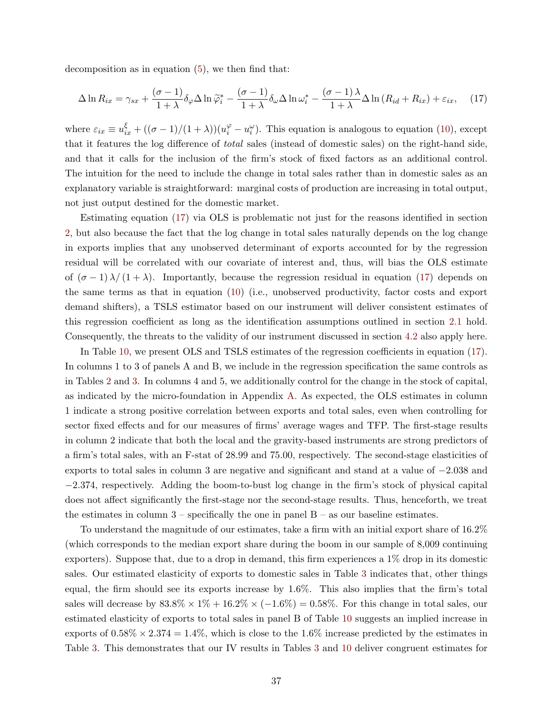decomposition as in equation  $(5)$ , we then find that:

<span id="page-37-0"></span>
$$
\Delta \ln R_{ix} = \gamma_{sx} + \frac{(\sigma - 1)}{1 + \lambda} \delta_{\varphi} \Delta \ln \widetilde{\varphi}_i^* - \frac{(\sigma - 1)}{1 + \lambda} \delta_{\omega} \Delta \ln \omega_i^* - \frac{(\sigma - 1)\lambda}{1 + \lambda} \Delta \ln (R_{id} + R_{ix}) + \varepsilon_{ix}, \quad (17)
$$

where  $\varepsilon_{ix} \equiv u_{ix}^{\xi} + ((\sigma - 1)/(1 + \lambda))(u_i^{\varphi} - u_i^{\omega})$ . This equation is analogous to equation [\(10\)](#page-9-0), except that it features the log difference of total sales (instead of domestic sales) on the right-hand side, and that it calls for the inclusion of the firm's stock of fixed factors as an additional control. The intuition for the need to include the change in total sales rather than in domestic sales as an explanatory variable is straightforward: marginal costs of production are increasing in total output, not just output destined for the domestic market.

Estimating equation [\(17\)](#page-37-0) via OLS is problematic not just for the reasons identified in section [2,](#page-6-2) but also because the fact that the log change in total sales naturally depends on the log change in exports implies that any unobserved determinant of exports accounted for by the regression residual will be correlated with our covariate of interest and, thus, will bias the OLS estimate of  $(\sigma - 1) \lambda/(1 + \lambda)$ . Importantly, because the regression residual in equation [\(17\)](#page-37-0) depends on the same terms as that in equation [\(10\)](#page-9-0) (i.e., unobserved productivity, factor costs and export demand shifters), a TSLS estimator based on our instrument will deliver consistent estimates of this regression coefficient as long as the identification assumptions outlined in section [2.1](#page-7-0) hold. Consequently, the threats to the validity of our instrument discussed in section [4.2](#page-19-2) also apply here.

In Table [10,](#page-38-0) we present OLS and TSLS estimates of the regression coefficients in equation [\(17\)](#page-37-0). In columns 1 to 3 of panels A and B, we include in the regression specification the same controls as in Tables [2](#page-22-0) and [3.](#page-23-0) In columns 4 and 5, we additionally control for the change in the stock of capital, as indicated by the micro-foundation in Appendix [A.](#page-52-0) As expected, the OLS estimates in column 1 indicate a strong positive correlation between exports and total sales, even when controlling for sector fixed effects and for our measures of firms' average wages and TFP. The first-stage results in column 2 indicate that both the local and the gravity-based instruments are strong predictors of a firm's total sales, with an F-stat of 28.99 and 75.00, respectively. The second-stage elasticities of exports to total sales in column 3 are negative and significant and stand at a value of −2.038 and −2.374, respectively. Adding the boom-to-bust log change in the firm's stock of physical capital does not affect significantly the first-stage nor the second-stage results. Thus, henceforth, we treat the estimates in column  $3$  – specifically the one in panel  $B$  – as our baseline estimates.

To understand the magnitude of our estimates, take a firm with an initial export share of 16.2% (which corresponds to the median export share during the boom in our sample of 8,009 continuing exporters). Suppose that, due to a drop in demand, this firm experiences a 1% drop in its domestic sales. Our estimated elasticity of exports to domestic sales in Table [3](#page-23-0) indicates that, other things equal, the firm should see its exports increase by 1.6%. This also implies that the firm's total sales will decrease by  $83.8\% \times 1\% + 16.2\% \times (-1.6\%) = 0.58\%$ . For this change in total sales, our estimated elasticity of exports to total sales in panel B of Table [10](#page-38-0) suggests an implied increase in exports of  $0.58\% \times 2.374 = 1.4\%$ , which is close to the 1.6% increase predicted by the estimates in Table [3.](#page-23-0) This demonstrates that our IV results in Tables [3](#page-23-0) and [10](#page-38-0) deliver congruent estimates for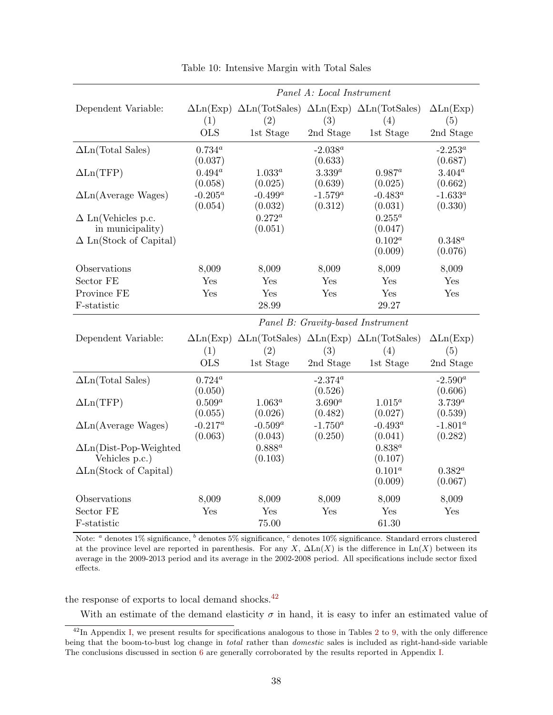<span id="page-38-0"></span>

|                                | Panel A: Local Instrument         |                                                                                                                                       |             |             |                                |  |  |  |  |
|--------------------------------|-----------------------------------|---------------------------------------------------------------------------------------------------------------------------------------|-------------|-------------|--------------------------------|--|--|--|--|
| Dependent Variable:            |                                   | $\Delta \text{Ln}(\text{Exp}) \Delta \text{Ln}(\text{TotSales}) \Delta \text{Ln}(\text{Exp}) \Delta \text{Ln}(\text{TotSales})$       |             |             | $\Delta \text{Ln}(\text{Exp})$ |  |  |  |  |
|                                | (1)                               | (2)                                                                                                                                   | (3)         | (4)         | (5)                            |  |  |  |  |
|                                | <b>OLS</b>                        | 1st Stage                                                                                                                             | 2nd Stage   | 1st Stage   | 2nd Stage                      |  |  |  |  |
| $\Delta$ Ln(Total Sales)       | $0.734^{a}$                       |                                                                                                                                       | $-2.038^a$  |             | $-2.253^a$                     |  |  |  |  |
|                                | (0.037)                           |                                                                                                                                       | (0.633)     |             | (0.687)                        |  |  |  |  |
| $\Delta \text{Ln}(\text{TFP})$ | $0.494^a$                         | $1.033^{a}$                                                                                                                           | $3.339^{a}$ | $0.987^a$   | $3.404^a$                      |  |  |  |  |
|                                | (0.058)                           | (0.025)                                                                                                                               | (0.639)     | (0.025)     | (0.662)                        |  |  |  |  |
| $\Delta$ Ln(Average Wages)     | $-0.205^a$                        | $-0.499^a$                                                                                                                            | $-1.579^a$  | $-0.483^a$  | $-1.633^a$                     |  |  |  |  |
|                                | (0.054)                           | (0.032)                                                                                                                               | (0.312)     | (0.031)     | (0.330)                        |  |  |  |  |
| $\Delta$ Ln(Vehicles p.c.      |                                   | $0.272^a$                                                                                                                             |             | $0.255^a$   |                                |  |  |  |  |
| in municipality)               |                                   | (0.051)                                                                                                                               |             | (0.047)     |                                |  |  |  |  |
| $\Delta$ Ln(Stock of Capital)  |                                   |                                                                                                                                       |             | $0.102^a$   | $0.348^{a}$                    |  |  |  |  |
|                                |                                   |                                                                                                                                       |             | (0.009)     | (0.076)                        |  |  |  |  |
| Observations                   | 8,009                             | 8,009                                                                                                                                 | 8,009       | 8,009       | 8,009                          |  |  |  |  |
| Sector FE                      | Yes                               | Yes                                                                                                                                   | Yes         | Yes         | Yes                            |  |  |  |  |
| Province FE                    | Yes                               | Yes                                                                                                                                   | Yes         | Yes         | Yes                            |  |  |  |  |
| F-statistic                    |                                   | 28.99                                                                                                                                 |             | 29.27       |                                |  |  |  |  |
|                                | Panel B: Gravity-based Instrument |                                                                                                                                       |             |             |                                |  |  |  |  |
| Dependent Variable:            |                                   | $\Delta \text{Ln}(\text{Exp}) \ \Delta \text{Ln}(\text{TotSales}) \ \Delta \text{Ln}(\text{Exp}) \ \Delta \text{Ln}(\text{TotSales})$ |             |             | $\Delta \text{Ln}(\text{Exp})$ |  |  |  |  |
|                                | (1)                               | (2)                                                                                                                                   | (3)         | (4)         | (5)                            |  |  |  |  |
|                                | <b>OLS</b>                        | 1st Stage                                                                                                                             | 2nd Stage   | 1st Stage   | 2nd Stage                      |  |  |  |  |
| $\Delta$ Ln(Total Sales)       | $0.724^{\circ}$                   |                                                                                                                                       | $-2.374^a$  |             | $-2.590^a$                     |  |  |  |  |
|                                | (0.050)                           |                                                                                                                                       | (0.526)     |             | (0.606)                        |  |  |  |  |
| $\Delta \text{Ln}(\text{TFP})$ | $0.509^{a}$                       | $1.063^a$                                                                                                                             | $3.690^{a}$ | $1.015^a$   | $3.739^a$                      |  |  |  |  |
|                                | (0.055)                           | (0.026)                                                                                                                               | (0.482)     | (0.027)     | (0.539)                        |  |  |  |  |
| $\Delta$ Ln(Average Wages)     | $-0.217^a$                        | $-0.509^a$                                                                                                                            | $-1.750^a$  | $-0.493^a$  | $-1.801^a$                     |  |  |  |  |
|                                | (0.063)                           | (0.043)                                                                                                                               | (0.250)     | (0.041)     | (0.282)                        |  |  |  |  |
| $\Delta$ Ln(Dist-Pop-Weighted  |                                   | $0.888^a$                                                                                                                             |             | $0.838^{a}$ |                                |  |  |  |  |
| Vehicles p.c.)                 |                                   | (0.103)                                                                                                                               |             | (0.107)     |                                |  |  |  |  |
| $\Delta$ Ln(Stock of Capital)  |                                   |                                                                                                                                       |             | $0.101^a$   | $0.382^{a}$                    |  |  |  |  |
|                                |                                   |                                                                                                                                       |             | (0.009)     | (0.067)                        |  |  |  |  |
| Observations                   | 8,009                             | 8,009                                                                                                                                 | 8,009       | 8,009       | 8,009                          |  |  |  |  |
| Sector FE                      | Yes                               | Yes                                                                                                                                   | Yes         | Yes         | Yes                            |  |  |  |  |
| F-statistic                    |                                   | 75.00                                                                                                                                 |             | 61.30       |                                |  |  |  |  |

Table 10: Intensive Margin with Total Sales

Note: <sup>a</sup> denotes 1% significance, <sup>b</sup> denotes 5% significance, <sup>c</sup> denotes 10% significance. Standard errors clustered at the province level are reported in parenthesis. For any X,  $\Delta \text{Ln}(X)$  is the difference in  $\text{Ln}(X)$  between its average in the 2009-2013 period and its average in the 2002-2008 period. All specifications include sector fixed effects.

the response of exports to local demand shocks.<sup>[42](#page-38-1)</sup>

With an estimate of the demand elasticity  $\sigma$  in hand, it is easy to infer an estimated value of

<span id="page-38-1"></span> $\frac{42}{\text{In Appendix I, we present results for specifications analogous to those in Tables 2 to 9, with the only difference}}$  $\frac{42}{\text{In Appendix I, we present results for specifications analogous to those in Tables 2 to 9, with the only difference}}$  $\frac{42}{\text{In Appendix I, we present results for specifications analogous to those in Tables 2 to 9, with the only difference}}$  $\frac{42}{\text{In Appendix I, we present results for specifications analogous to those in Tables 2 to 9, with the only difference}}$  $\frac{42}{\text{In Appendix I, we present results for specifications analogous to those in Tables 2 to 9, with the only difference}}$  $\frac{42}{\text{In Appendix I, we present results for specifications analogous to those in Tables 2 to 9, with the only difference}}$  $\frac{42}{\text{In Appendix I, we present results for specifications analogous to those in Tables 2 to 9, with the only difference}}$ being that the boom-to-bust log change in total rather than domestic sales is included as right-hand-side variable The conclusions discussed in section [6](#page-27-0) are generally corroborated by the results reported in Appendix [I.](#page--1-0)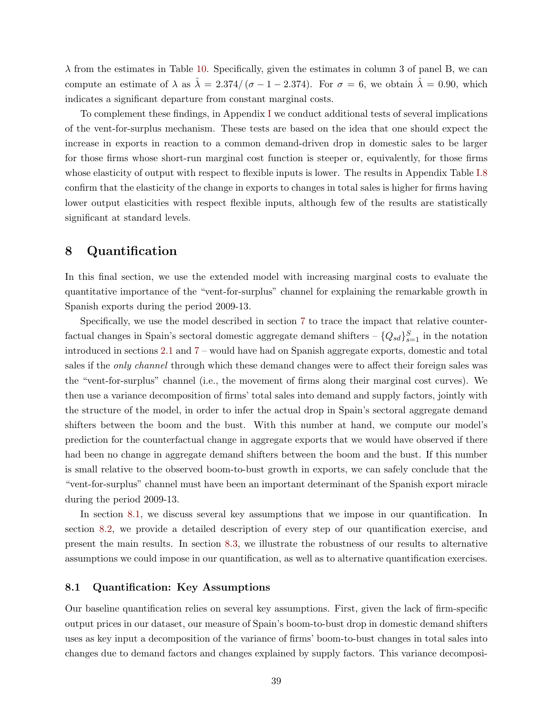$\lambda$  from the estimates in Table [10.](#page-38-0) Specifically, given the estimates in column 3 of panel B, we can compute an estimate of  $\lambda$  as  $\hat{\lambda} = 2.374/(\sigma - 1 - 2.374)$ . For  $\sigma = 6$ , we obtain  $\hat{\lambda} = 0.90$ , which indicates a significant departure from constant marginal costs.

To complement these findings, in Appendix [I](#page--1-0) we conduct additional tests of several implications of the vent-for-surplus mechanism. These tests are based on the idea that one should expect the increase in exports in reaction to a common demand-driven drop in domestic sales to be larger for those firms whose short-run marginal cost function is steeper or, equivalently, for those firms whose elasticity of output with respect to flexible inputs is lower. The results in Appendix Table [I.8](#page--1-24) confirm that the elasticity of the change in exports to changes in total sales is higher for firms having lower output elasticities with respect flexible inputs, although few of the results are statistically significant at standard levels.

## <span id="page-39-0"></span>8 Quantification

In this final section, we use the extended model with increasing marginal costs to evaluate the quantitative importance of the "vent-for-surplus" channel for explaining the remarkable growth in Spanish exports during the period 2009-13.

Specifically, we use the model described in section [7](#page-36-0) to trace the impact that relative counterfactual changes in Spain's sectoral domestic aggregate demand shifters  $-\{Q_{sd}\}_{s=1}^S$  in the notation introduced in sections [2.1](#page-7-0) and [7](#page-36-0) – would have had on Spanish aggregate exports, domestic and total sales if the *only channel* through which these demand changes were to affect their foreign sales was the "vent-for-surplus" channel (i.e., the movement of firms along their marginal cost curves). We then use a variance decomposition of firms' total sales into demand and supply factors, jointly with the structure of the model, in order to infer the actual drop in Spain's sectoral aggregate demand shifters between the boom and the bust. With this number at hand, we compute our model's prediction for the counterfactual change in aggregate exports that we would have observed if there had been no change in aggregate demand shifters between the boom and the bust. If this number is small relative to the observed boom-to-bust growth in exports, we can safely conclude that the "vent-for-surplus" channel must have been an important determinant of the Spanish export miracle during the period 2009-13.

In section [8.1,](#page-39-1) we discuss several key assumptions that we impose in our quantification. In section [8.2,](#page-40-0) we provide a detailed description of every step of our quantification exercise, and present the main results. In section [8.3,](#page-44-0) we illustrate the robustness of our results to alternative assumptions we could impose in our quantification, as well as to alternative quantification exercises.

#### <span id="page-39-1"></span>8.1 Quantification: Key Assumptions

Our baseline quantification relies on several key assumptions. First, given the lack of firm-specific output prices in our dataset, our measure of Spain's boom-to-bust drop in domestic demand shifters uses as key input a decomposition of the variance of firms' boom-to-bust changes in total sales into changes due to demand factors and changes explained by supply factors. This variance decomposi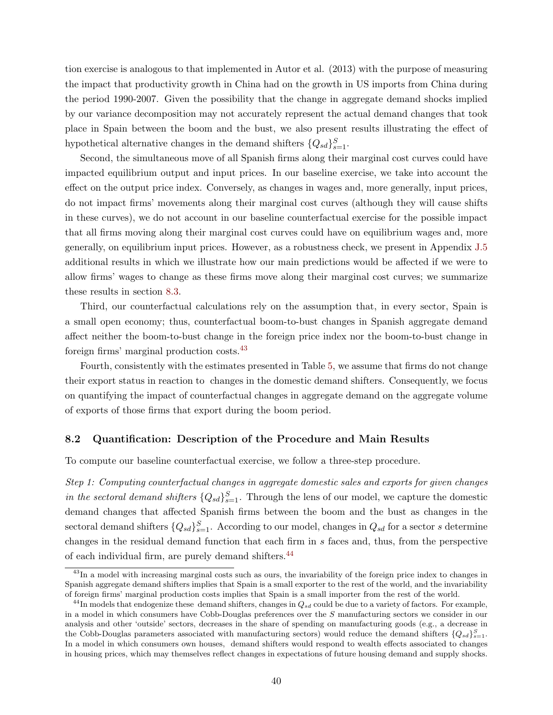tion exercise is analogous to that implemented in Autor et al. (2013) with the purpose of measuring the impact that productivity growth in China had on the growth in US imports from China during the period 1990-2007. Given the possibility that the change in aggregate demand shocks implied by our variance decomposition may not accurately represent the actual demand changes that took place in Spain between the boom and the bust, we also present results illustrating the effect of hypothetical alternative changes in the demand shifters  ${Q_{sd}}_{s=1}^S$ .

Second, the simultaneous move of all Spanish firms along their marginal cost curves could have impacted equilibrium output and input prices. In our baseline exercise, we take into account the effect on the output price index. Conversely, as changes in wages and, more generally, input prices, do not impact firms' movements along their marginal cost curves (although they will cause shifts in these curves), we do not account in our baseline counterfactual exercise for the possible impact that all firms moving along their marginal cost curves could have on equilibrium wages and, more generally, on equilibrium input prices. However, as a robustness check, we present in Appendix [J.5](#page--1-25) additional results in which we illustrate how our main predictions would be affected if we were to allow firms' wages to change as these firms move along their marginal cost curves; we summarize these results in section [8.3.](#page-44-0)

Third, our counterfactual calculations rely on the assumption that, in every sector, Spain is a small open economy; thus, counterfactual boom-to-bust changes in Spanish aggregate demand affect neither the boom-to-bust change in the foreign price index nor the boom-to-bust change in foreign firms' marginal production costs.[43](#page-40-1)

Fourth, consistently with the estimates presented in Table [5,](#page-27-1) we assume that firms do not change their export status in reaction to changes in the domestic demand shifters. Consequently, we focus on quantifying the impact of counterfactual changes in aggregate demand on the aggregate volume of exports of those firms that export during the boom period.

### <span id="page-40-0"></span>8.2 Quantification: Description of the Procedure and Main Results

To compute our baseline counterfactual exercise, we follow a three-step procedure.

Step 1: Computing counterfactual changes in aggregate domestic sales and exports for given changes in the sectoral demand shifters  ${Q_{sd}}_{s=1}^S$ . Through the lens of our model, we capture the domestic demand changes that affected Spanish firms between the boom and the bust as changes in the sectoral demand shifters  ${Q_{sd}}_{s=1}^S$ . According to our model, changes in  $Q_{sd}$  for a sector s determine changes in the residual demand function that each firm in s faces and, thus, from the perspective of each individual firm, are purely demand shifters.[44](#page-40-2)

<span id="page-40-1"></span><sup>&</sup>lt;sup>43</sup>In a model with increasing marginal costs such as ours, the invariability of the foreign price index to changes in Spanish aggregate demand shifters implies that Spain is a small exporter to the rest of the world, and the invariability of foreign firms' marginal production costs implies that Spain is a small importer from the rest of the world.

<span id="page-40-2"></span> $^{44}$ In models that endogenize these demand shifters, changes in  $Q_{sd}$  could be due to a variety of factors. For example, in a model in which consumers have Cobb-Douglas preferences over the S manufacturing sectors we consider in our analysis and other 'outside' sectors, decreases in the share of spending on manufacturing goods (e.g., a decrease in the Cobb-Douglas parameters associated with manufacturing sectors) would reduce the demand shifters  ${Q_{sd}}_{s=1}^{S}$ . In a model in which consumers own houses, demand shifters would respond to wealth effects associated to changes in housing prices, which may themselves reflect changes in expectations of future housing demand and supply shocks.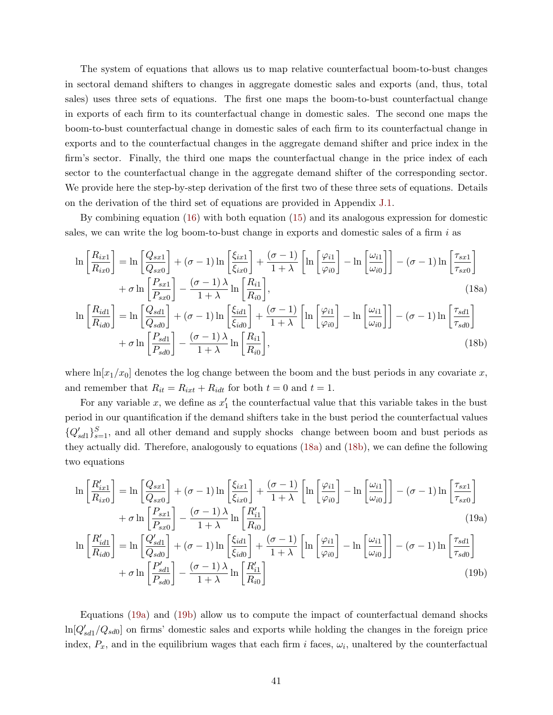The system of equations that allows us to map relative counterfactual boom-to-bust changes in sectoral demand shifters to changes in aggregate domestic sales and exports (and, thus, total sales) uses three sets of equations. The first one maps the boom-to-bust counterfactual change in exports of each firm to its counterfactual change in domestic sales. The second one maps the boom-to-bust counterfactual change in domestic sales of each firm to its counterfactual change in exports and to the counterfactual changes in the aggregate demand shifter and price index in the firm's sector. Finally, the third one maps the counterfactual change in the price index of each sector to the counterfactual change in the aggregate demand shifter of the corresponding sector. We provide here the step-by-step derivation of the first two of these three sets of equations. Details on the derivation of the third set of equations are provided in Appendix [J.1.](#page--1-2)

By combining equation [\(16\)](#page-36-4) with both equation [\(15\)](#page-36-3) and its analogous expression for domestic sales, we can write the log boom-to-bust change in exports and domestic sales of a firm  $i$  as

$$
\ln\left[\frac{R_{ix1}}{R_{ix0}}\right] = \ln\left[\frac{Q_{sx1}}{Q_{sx0}}\right] + (\sigma - 1)\ln\left[\frac{\xi_{ix1}}{\xi_{ix0}}\right] + \frac{(\sigma - 1)}{1 + \lambda}\left[\ln\left[\frac{\varphi_{i1}}{\varphi_{i0}}\right] - \ln\left[\frac{\omega_{i1}}{\omega_{i0}}\right]\right] - (\sigma - 1)\ln\left[\frac{\tau_{sx1}}{\tau_{sx0}}\right] + \sigma\ln\left[\frac{P_{sx1}}{P_{sx0}}\right] - \frac{(\sigma - 1)\lambda}{1 + \lambda}\ln\left[\frac{R_{i1}}{R_{i0}}\right],\tag{18a}
$$
\n
$$
\left[R_{ix1}\right] = \left[R_{ix1}\right] = \left[R_{ix1}\right] = \left[R_{ix1}\right] = \left[R_{ix1}\right]
$$

<span id="page-41-1"></span><span id="page-41-0"></span>
$$
\ln\left[\frac{R_{id1}}{R_{id0}}\right] = \ln\left[\frac{Q_{sd1}}{Q_{sd0}}\right] + (\sigma - 1)\ln\left[\frac{\xi_{id1}}{\xi_{id0}}\right] + \frac{(\sigma - 1)}{1 + \lambda}\left[\ln\left[\frac{\varphi_{i1}}{\varphi_{i0}}\right] - \ln\left[\frac{\omega_{i1}}{\omega_{i0}}\right]\right] - (\sigma - 1)\ln\left[\frac{\tau_{sd1}}{\tau_{sd0}}\right] + \sigma\ln\left[\frac{P_{sd1}}{P_{sd0}}\right] - \frac{(\sigma - 1)\lambda}{1 + \lambda}\ln\left[\frac{R_{i1}}{R_{i0}}\right],\tag{18b}
$$

where  $\ln[x_1/x_0]$  denotes the log change between the boom and the bust periods in any covariate x, and remember that  $R_{it} = R_{ixt} + R_{idt}$  for both  $t = 0$  and  $t = 1$ .

For any variable x, we define as  $x'_1$  the counterfactual value that this variable takes in the bust period in our quantification if the demand shifters take in the bust period the counterfactual values  ${Q'_{sd1}}_{s=1}^{S}$ , and all other demand and supply shocks change between boom and bust periods as they actually did. Therefore, analogously to equations [\(18a\)](#page-41-0) and [\(18b\)](#page-41-1), we can define the following two equations

$$
\ln\left[\frac{R'_{ix1}}{R_{ix0}}\right] = \ln\left[\frac{Q_{sx1}}{Q_{sx0}}\right] + (\sigma - 1)\ln\left[\frac{\xi_{ix1}}{\xi_{ix0}}\right] + \frac{(\sigma - 1)}{1 + \lambda}\left[\ln\left[\frac{\varphi_{i1}}{\varphi_{i0}}\right] - \ln\left[\frac{\omega_{i1}}{\omega_{i0}}\right]\right] - (\sigma - 1)\ln\left[\frac{\tau_{sx1}}{\tau_{sx0}}\right] + \sigma\ln\left[\frac{P_{sx1}}{P_{sx0}}\right] - \frac{(\sigma - 1)\lambda}{1 + \lambda}\ln\left[\frac{R'_{i1}}{R_{i0}}\right]
$$
\n(19a)

<span id="page-41-3"></span><span id="page-41-2"></span>
$$
\ln\left[\frac{R'_{id1}}{R_{id0}}\right] = \ln\left[\frac{Q'_{sd1}}{Q_{sd0}}\right] + (\sigma - 1)\ln\left[\frac{\xi_{id1}}{\xi_{id0}}\right] + \frac{(\sigma - 1)}{1 + \lambda}\left[\ln\left[\frac{\varphi_{i1}}{\varphi_{i0}}\right] - \ln\left[\frac{\omega_{i1}}{\omega_{i0}}\right]\right] - (\sigma - 1)\ln\left[\frac{\tau_{sd1}}{\tau_{sd0}}\right] + \sigma \ln\left[\frac{P'_{sd1}}{P_{sd0}}\right] - \frac{(\sigma - 1)\lambda}{1 + \lambda}\ln\left[\frac{R'_{i1}}{R_{i0}}\right]
$$
\n(19b)

Equations [\(19a\)](#page-41-2) and [\(19b\)](#page-41-3) allow us to compute the impact of counterfactual demand shocks  $\ln[Q'_{sd1}/Q_{sd0}]$  on firms' domestic sales and exports while holding the changes in the foreign price index,  $P_x$ , and in the equilibrium wages that each firm i faces,  $\omega_i$ , unaltered by the counterfactual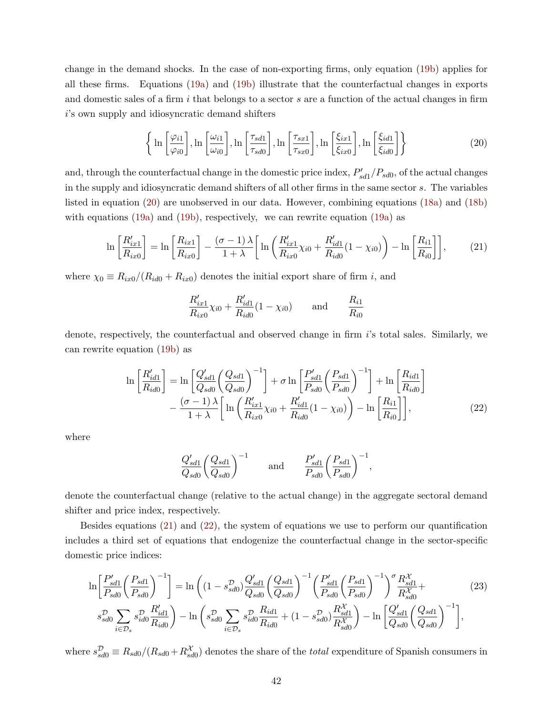change in the demand shocks. In the case of non-exporting firms, only equation [\(19b\)](#page-41-3) applies for all these firms. Equations [\(19a\)](#page-41-2) and [\(19b\)](#page-41-3) illustrate that the counterfactual changes in exports and domestic sales of a firm  $i$  that belongs to a sector  $s$  are a function of the actual changes in firm i's own supply and idiosyncratic demand shifters

<span id="page-42-0"></span>
$$
\left\{ \ln \left[ \frac{\varphi_{i1}}{\varphi_{i0}} \right], \ln \left[ \frac{\omega_{i1}}{\omega_{i0}} \right], \ln \left[ \frac{\tau_{sd1}}{\tau_{sd0}} \right], \ln \left[ \frac{\tau_{sx1}}{\tau_{sx0}} \right], \ln \left[ \frac{\xi_{ix1}}{\xi_{ix0}} \right], \ln \left[ \frac{\xi_{id1}}{\xi_{id0}} \right] \right\}
$$
(20)

and, through the counterfactual change in the domestic price index,  $P'_{sd1}/P_{sd0}$ , of the actual changes in the supply and idiosyncratic demand shifters of all other firms in the same sector s. The variables listed in equation [\(20\)](#page-42-0) are unobserved in our data. However, combining equations [\(18a\)](#page-41-0) and [\(18b\)](#page-41-1) with equations [\(19a\)](#page-41-2) and [\(19b\)](#page-41-3), respectively, we can rewrite equation [\(19a\)](#page-41-2) as

$$
\ln\left[\frac{R'_{ix1}}{R_{ix0}}\right] = \ln\left[\frac{R_{ix1}}{R_{ix0}}\right] - \frac{(\sigma - 1)\lambda}{1 + \lambda}\left[\ln\left(\frac{R'_{ix1}}{R_{ix0}}\chi_{i0} + \frac{R'_{id1}}{R_{id0}}(1 - \chi_{i0})\right) - \ln\left[\frac{R_{i1}}{R_{i0}}\right]\right],\tag{21}
$$

where  $\chi_0 \equiv R_{ix0}/(R_{id0} + R_{ix0})$  denotes the initial export share of firm i, and

<span id="page-42-1"></span>
$$
\frac{R'_{ix1}}{R_{ix0}}\chi_{i0} + \frac{R'_{id1}}{R_{id0}}(1 - \chi_{i0}) \quad \text{and} \quad \frac{R_{i1}}{R_{i0}}
$$

denote, respectively, the counterfactual and observed change in firm i's total sales. Similarly, we can rewrite equation [\(19b\)](#page-41-3) as

$$
\ln\left[\frac{R'_{id1}}{R_{id0}}\right] = \ln\left[\frac{Q'_{sd1}}{Q_{sd0}}\left(\frac{Q_{sd1}}{Q_{sd0}}\right)^{-1}\right] + \sigma \ln\left[\frac{P'_{sd1}}{P_{sd0}}\left(\frac{P_{sd1}}{P_{sd0}}\right)^{-1}\right] + \ln\left[\frac{R_{id1}}{R_{id0}}\right] - \frac{(\sigma - 1)\lambda}{1 + \lambda} \left[\ln\left(\frac{R'_{ix1}}{R_{ix0}}\chi_{i0} + \frac{R'_{id1}}{R_{id0}}(1 - \chi_{i0})\right) - \ln\left[\frac{R_{i1}}{R_{i0}}\right]\right],
$$
\n(22)

where

<span id="page-42-3"></span><span id="page-42-2"></span>
$$
\frac{Q'_{sd1}}{Q_{sd0}} \left(\frac{Q_{sd1}}{Q_{sd0}}\right)^{-1} \quad \text{and} \quad \frac{P'_{sd1}}{P_{sd0}} \left(\frac{P_{sd1}}{P_{sd0}}\right)^{-1},
$$

denote the counterfactual change (relative to the actual change) in the aggregate sectoral demand shifter and price index, respectively.

Besides equations [\(21\)](#page-42-1) and [\(22\)](#page-42-2), the system of equations we use to perform our quantification includes a third set of equations that endogenize the counterfactual change in the sector-specific domestic price indices:

$$
\ln\left[\frac{P'_{sd1}}{P_{sd0}}\left(\frac{P_{sd1}}{P_{sd0}}\right)^{-1}\right] = \ln\left((1 - s_{sd0}^{\mathcal{D}})\frac{Q'_{sd1}}{Q_{sd0}}\left(\frac{Q_{sd1}}{Q_{sd0}}\right)^{-1}\left(\frac{P'_{sd1}}{P_{sd0}}\left(\frac{P_{sd1}}{P_{sd0}}\right)^{-1}\right)^{\sigma}\frac{R_{sd1}^{\mathcal{X}}}{R_{sd0}^{\mathcal{X}}} + \frac{\sum_{d=0}^{3} P_{sd0}^{\mathcal{X}}}{R_{sd0}^{\mathcal{X}}} \left(\frac{P_{sd1}}{P_{sd0}}\right)^{-1} \left(\frac{P_{sd1}^{\mathcal{X}}}{P_{sd0}}\right)^{-1} \left(\frac{Q'_{sd1}}{P_{sd0}}\right)^{-1} \left(\frac{Q'_{sd1}}{P_{sd0}}\right)^{-1} \left(\frac{Q'_{sd1}}{Q_{sd0}}\right)^{-1} \left(\frac{Q'_{sd1}}{Q_{sd0}}\right)^{-1} \left(\frac{Q'_{sd1}}{Q_{sd0}}\right)^{-1} \left(\frac{Q'_{sd1}}{Q_{sd0}}\right)^{-1} \left(\frac{Q'_{sd1}}{Q_{sd0}}\right)^{-1} \left(\frac{Q'_{sd1}}{Q_{sd0}}\right)^{-1} \left(\frac{Q'_{sd1}}{Q_{sd0}}\right)^{-1} \left(\frac{Q'_{sd1}}{Q_{sd0}}\right)^{-1} \left(\frac{Q'_{sd1}}{Q_{sd0}}\right)^{-1} \left(\frac{Q'_{sd1}}{Q_{sd0}}\right)^{-1} \left(\frac{Q'_{sd1}}{Q_{sd0}}\right)^{-1} \left(\frac{Q'_{sd1}}{Q_{sd0}}\right)^{-1} \left(\frac{Q'_{sd1}}{Q_{sd0}}\right)^{-1} \left(\frac{Q'_{sd1}}{Q_{sd0}}\right)^{-1} \left(\frac{Q'_{sd1}}{Q_{sd0}}\right)^{-1} \left(\frac{Q'_{sd1}}{Q_{sd0}}\right)^{-1} \left(\frac{Q'_{sd1}}{Q_{sd0}}\right)^{-1} \left(\frac{Q'_{sd1}}{Q_{sd0}}\right)^{-1} \left(\frac{Q'_{sd1}}{Q_{sd0}}\right)^{-1} \left(\frac{Q'_{sd1}}{Q_{sd0}}\
$$

where  $s_{sd0}^{\mathcal{D}} \equiv R_{sd0}/(R_{sd0} + R_{sd0}^{\mathcal{X}})$  denotes the share of the *total* expenditure of Spanish consumers in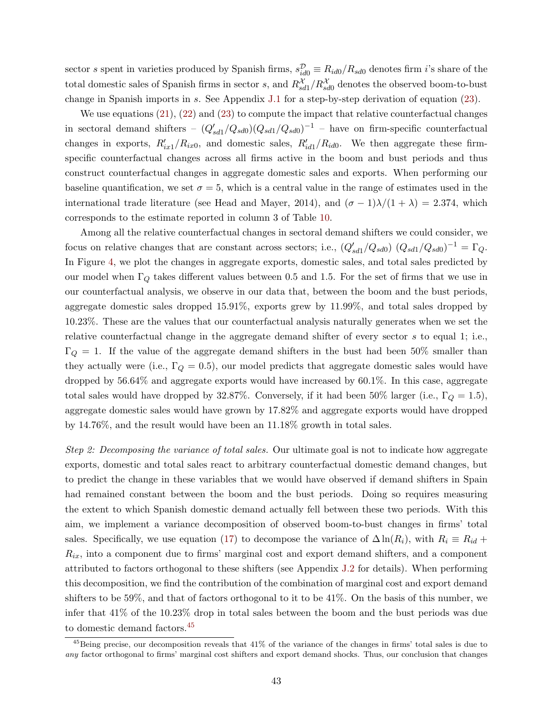sector s spent in varieties produced by Spanish firms,  $s_{id0}^{\mathcal{D}} \equiv R_{id0}/R_{sd0}$  denotes firm *i*'s share of the total domestic sales of Spanish firms in sector s, and  $R_{sd1}^{\mathcal{X}}/R_{sd0}^{\mathcal{X}}$  denotes the observed boom-to-bust change in Spanish imports in s. See Appendix [J.1](#page--1-2) for a step-by-step derivation of equation [\(23\)](#page-42-3).

We use equations [\(21\)](#page-42-1), [\(22\)](#page-42-2) and [\(23\)](#page-42-3) to compute the impact that relative counterfactual changes in sectoral demand shifters –  $(Q'_{sd1}/Q_{sd0})(Q_{sd1}/Q_{sd0})^{-1}$  – have on firm-specific counterfactual changes in exports,  $R'_{ix1}/R_{ix0}$ , and domestic sales,  $R'_{id1}/R_{id0}$ . We then aggregate these firmspecific counterfactual changes across all firms active in the boom and bust periods and thus construct counterfactual changes in aggregate domestic sales and exports. When performing our baseline quantification, we set  $\sigma = 5$ , which is a central value in the range of estimates used in the international trade literature (see Head and Mayer, 2014), and  $(\sigma - 1)\lambda/(1 + \lambda) = 2.374$ , which corresponds to the estimate reported in column 3 of Table [10.](#page-38-0)

Among all the relative counterfactual changes in sectoral demand shifters we could consider, we focus on relative changes that are constant across sectors; i.e.,  $(Q'_{sd1}/Q_{sd0}) (Q_{sd1}/Q_{sd0})^{-1} = \Gamma_Q$ . In Figure [4,](#page-44-1) we plot the changes in aggregate exports, domestic sales, and total sales predicted by our model when  $\Gamma_Q$  takes different values between 0.5 and 1.5. For the set of firms that we use in our counterfactual analysis, we observe in our data that, between the boom and the bust periods, aggregate domestic sales dropped 15.91%, exports grew by 11.99%, and total sales dropped by 10.23%. These are the values that our counterfactual analysis naturally generates when we set the relative counterfactual change in the aggregate demand shifter of every sector s to equal 1; i.e.,  $\Gamma_Q = 1$ . If the value of the aggregate demand shifters in the bust had been 50% smaller than they actually were (i.e.,  $\Gamma_Q = 0.5$ ), our model predicts that aggregate domestic sales would have dropped by 56.64% and aggregate exports would have increased by 60.1%. In this case, aggregate total sales would have dropped by 32.87%. Conversely, if it had been 50% larger (i.e.,  $\Gamma_Q = 1.5$ ), aggregate domestic sales would have grown by 17.82% and aggregate exports would have dropped by 14.76%, and the result would have been an 11.18% growth in total sales.

Step 2: Decomposing the variance of total sales. Our ultimate goal is not to indicate how aggregate exports, domestic and total sales react to arbitrary counterfactual domestic demand changes, but to predict the change in these variables that we would have observed if demand shifters in Spain had remained constant between the boom and the bust periods. Doing so requires measuring the extent to which Spanish domestic demand actually fell between these two periods. With this aim, we implement a variance decomposition of observed boom-to-bust changes in firms' total sales. Specifically, we use equation [\(17\)](#page-37-0) to decompose the variance of  $\Delta \ln(R_i)$ , with  $R_i \equiv R_{id} +$  $R_{ix}$ , into a component due to firms' marginal cost and export demand shifters, and a component attributed to factors orthogonal to these shifters (see Appendix [J.2](#page--1-26) for details). When performing this decomposition, we find the contribution of the combination of marginal cost and export demand shifters to be 59%, and that of factors orthogonal to it to be 41%. On the basis of this number, we infer that 41% of the 10.23% drop in total sales between the boom and the bust periods was due to domestic demand factors.[45](#page-43-0)

<span id="page-43-0"></span> $^{45}$ Being precise, our decomposition reveals that  $41\%$  of the variance of the changes in firms' total sales is due to any factor orthogonal to firms' marginal cost shifters and export demand shocks. Thus, our conclusion that changes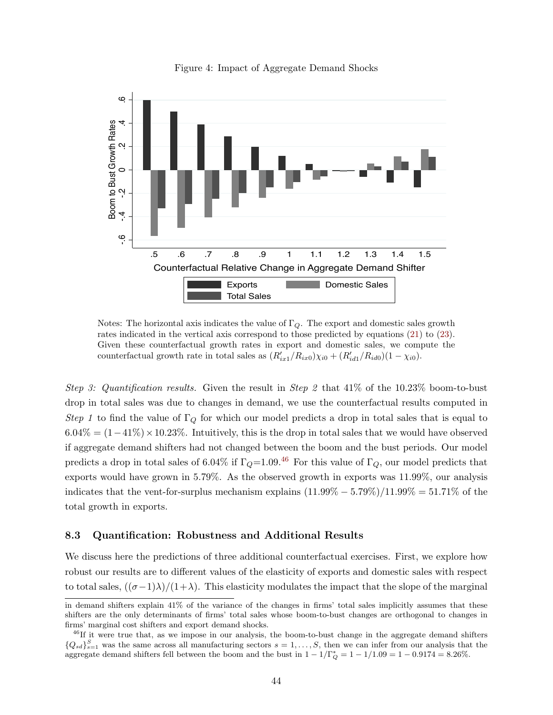<span id="page-44-1"></span>

Figure 4: Impact of Aggregate Demand Shocks

Notes: The horizontal axis indicates the value of  $\Gamma_Q$ . The export and domestic sales growth rates indicated in the vertical axis correspond to those predicted by equations [\(21\)](#page-42-1) to [\(23\)](#page-42-3). Given these counterfactual growth rates in export and domestic sales, we compute the counterfactual growth rate in total sales as  $(R'_{ix1}/R_{ix0})\chi_{i0} + (R'_{id1}/R_{id0})(1 - \chi_{i0}).$ 

Step 3: Quantification results. Given the result in Step 2 that  $41\%$  of the 10.23% boom-to-bust drop in total sales was due to changes in demand, we use the counterfactual results computed in Step 1 to find the value of  $\Gamma_Q$  for which our model predicts a drop in total sales that is equal to  $6.04\% = (1-41\%) \times 10.23\%$ . Intuitively, this is the drop in total sales that we would have observed if aggregate demand shifters had not changed between the boom and the bust periods. Our model predicts a drop in total sales of 6.04% if  $\Gamma_Q=1.09$ .<sup>[46](#page-44-2)</sup> For this value of  $\Gamma_Q$ , our model predicts that exports would have grown in 5.79%. As the observed growth in exports was 11.99%, our analysis indicates that the vent-for-surplus mechanism explains  $(11.99\% - 5.79\%)/11.99\% = 51.71\%$  of the total growth in exports.

### <span id="page-44-0"></span>8.3 Quantification: Robustness and Additional Results

We discuss here the predictions of three additional counterfactual exercises. First, we explore how robust our results are to different values of the elasticity of exports and domestic sales with respect to total sales,  $((\sigma-1)\lambda)/(1+\lambda)$ . This elasticity modulates the impact that the slope of the marginal

in demand shifters explain 41% of the variance of the changes in firms' total sales implicitly assumes that these shifters are the only determinants of firms' total sales whose boom-to-bust changes are orthogonal to changes in firms' marginal cost shifters and export demand shocks.

<span id="page-44-2"></span><sup>&</sup>lt;sup>46</sup>If it were true that, as we impose in our analysis, the boom-to-bust change in the aggregate demand shifters  ${Q_{sd}}_{s=1}^S$  was the same across all manufacturing sectors  $s=1,\ldots,S$ , then we can infer from our analysis that the aggregate demand shifters fell between the boom and the bust in  $1 - 1/\Gamma_Q^* = 1 - 1/1.09 = 1 - 0.9174 = 8.26\%$ .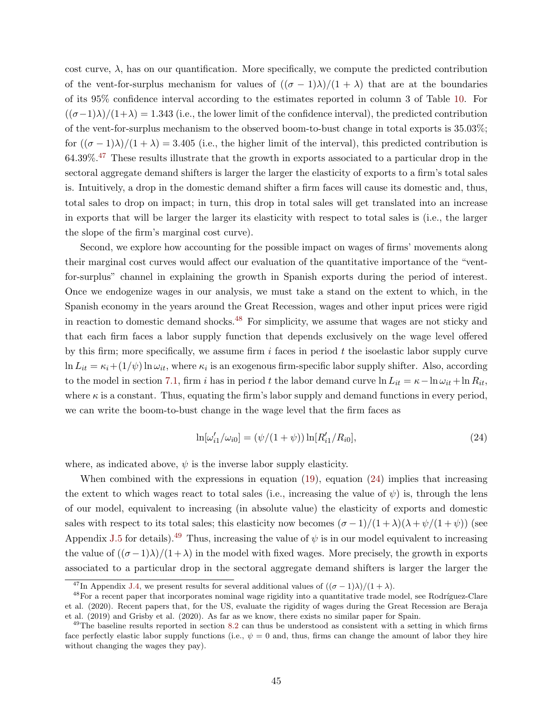cost curve,  $\lambda$ , has on our quantification. More specifically, we compute the predicted contribution of the vent-for-surplus mechanism for values of  $((\sigma - 1)\lambda)/(1 + \lambda)$  that are at the boundaries of its 95% confidence interval according to the estimates reported in column 3 of Table [10.](#page-38-0) For  $((\sigma-1)\lambda)/(1+\lambda) = 1.343$  (i.e., the lower limit of the confidence interval), the predicted contribution of the vent-for-surplus mechanism to the observed boom-to-bust change in total exports is 35.03%; for  $((\sigma - 1)\lambda)/(1 + \lambda) = 3.405$  (i.e., the higher limit of the interval), this predicted contribution is  $64.39\%$ <sup>[47](#page-45-0)</sup> These results illustrate that the growth in exports associated to a particular drop in the sectoral aggregate demand shifters is larger the larger the elasticity of exports to a firm's total sales is. Intuitively, a drop in the domestic demand shifter a firm faces will cause its domestic and, thus, total sales to drop on impact; in turn, this drop in total sales will get translated into an increase in exports that will be larger the larger its elasticity with respect to total sales is (i.e., the larger the slope of the firm's marginal cost curve).

Second, we explore how accounting for the possible impact on wages of firms' movements along their marginal cost curves would affect our evaluation of the quantitative importance of the "ventfor-surplus" channel in explaining the growth in Spanish exports during the period of interest. Once we endogenize wages in our analysis, we must take a stand on the extent to which, in the Spanish economy in the years around the Great Recession, wages and other input prices were rigid in reaction to domestic demand shocks. $48$  For simplicity, we assume that wages are not sticky and that each firm faces a labor supply function that depends exclusively on the wage level offered by this firm; more specifically, we assume firm  $i$  faces in period  $t$  the isoelastic labor supply curve  $\ln L_{it} = \kappa_i + (1/\psi) \ln \omega_{it}$ , where  $\kappa_i$  is an exogenous firm-specific labor supply shifter. Also, according to the model in section [7.1,](#page-36-5) firm i has in period t the labor demand curve  $\ln L_{it} = \kappa - \ln \omega_{it} + \ln R_{it}$ , where  $\kappa$  is a constant. Thus, equating the firm's labor supply and demand functions in every period, we can write the boom-to-bust change in the wage level that the firm faces as

<span id="page-45-2"></span>
$$
\ln[\omega'_{i1}/\omega_{i0}] = (\psi/(1+\psi))\ln[R'_{i1}/R_{i0}],\tag{24}
$$

where, as indicated above,  $\psi$  is the inverse labor supply elasticity.

When combined with the expressions in equation [\(19\)](#page-41-3), equation [\(24\)](#page-45-2) implies that increasing the extent to which wages react to total sales (i.e., increasing the value of  $\psi$ ) is, through the lens of our model, equivalent to increasing (in absolute value) the elasticity of exports and domestic sales with respect to its total sales; this elasticity now becomes  $(\sigma - 1)/(1 + \lambda)(\lambda + \psi/(1 + \psi))$  (see Appendix [J.5](#page--1-25) for details).<sup>[49](#page-45-3)</sup> Thus, increasing the value of  $\psi$  is in our model equivalent to increasing the value of  $((\sigma-1)\lambda)/(1+\lambda)$  in the model with fixed wages. More precisely, the growth in exports associated to a particular drop in the sectoral aggregate demand shifters is larger the larger the

<span id="page-45-1"></span><span id="page-45-0"></span><sup>&</sup>lt;sup>47</sup>In Appendix [J.4,](#page--1-27) we present results for several additional values of  $((\sigma - 1)\lambda)/(1 + \lambda)$ .

 $48$ For a recent paper that incorporates nominal wage rigidity into a quantitative trade model, see Rodríguez-Clare et al. (2020). Recent papers that, for the US, evaluate the rigidity of wages during the Great Recession are Beraja et al. (2019) and Grisby et al. (2020). As far as we know, there exists no similar paper for Spain.

<span id="page-45-3"></span> $^{49}$ The baseline results reported in section [8.2](#page-40-0) can thus be understood as consistent with a setting in which firms face perfectly elastic labor supply functions (i.e.,  $\psi = 0$  and, thus, firms can change the amount of labor they hire without changing the wages they pay).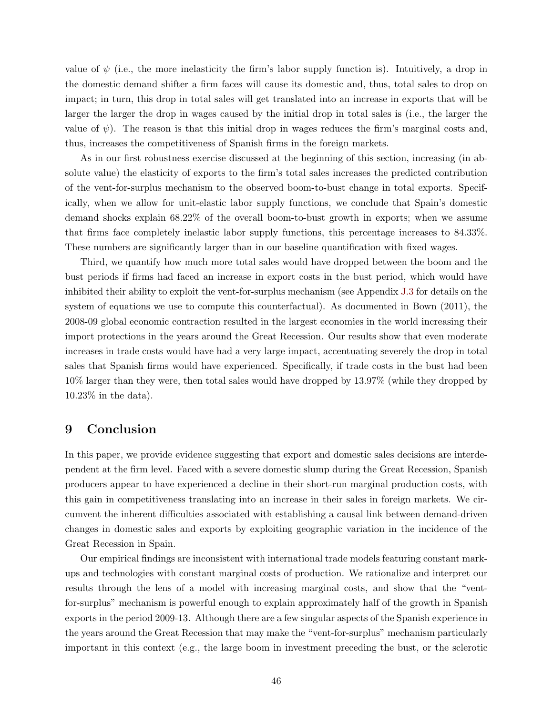value of  $\psi$  (i.e., the more inelasticity the firm's labor supply function is). Intuitively, a drop in the domestic demand shifter a firm faces will cause its domestic and, thus, total sales to drop on impact; in turn, this drop in total sales will get translated into an increase in exports that will be larger the larger the drop in wages caused by the initial drop in total sales is (i.e., the larger the value of  $\psi$ ). The reason is that this initial drop in wages reduces the firm's marginal costs and, thus, increases the competitiveness of Spanish firms in the foreign markets.

As in our first robustness exercise discussed at the beginning of this section, increasing (in absolute value) the elasticity of exports to the firm's total sales increases the predicted contribution of the vent-for-surplus mechanism to the observed boom-to-bust change in total exports. Specifically, when we allow for unit-elastic labor supply functions, we conclude that Spain's domestic demand shocks explain 68.22% of the overall boom-to-bust growth in exports; when we assume that firms face completely inelastic labor supply functions, this percentage increases to 84.33%. These numbers are significantly larger than in our baseline quantification with fixed wages.

Third, we quantify how much more total sales would have dropped between the boom and the bust periods if firms had faced an increase in export costs in the bust period, which would have inhibited their ability to exploit the vent-for-surplus mechanism (see Appendix [J.3](#page--1-28) for details on the system of equations we use to compute this counterfactual). As documented in Bown (2011), the 2008-09 global economic contraction resulted in the largest economies in the world increasing their import protections in the years around the Great Recession. Our results show that even moderate increases in trade costs would have had a very large impact, accentuating severely the drop in total sales that Spanish firms would have experienced. Specifically, if trade costs in the bust had been 10% larger than they were, then total sales would have dropped by 13.97% (while they dropped by 10.23% in the data).

# <span id="page-46-0"></span>9 Conclusion

In this paper, we provide evidence suggesting that export and domestic sales decisions are interdependent at the firm level. Faced with a severe domestic slump during the Great Recession, Spanish producers appear to have experienced a decline in their short-run marginal production costs, with this gain in competitiveness translating into an increase in their sales in foreign markets. We circumvent the inherent difficulties associated with establishing a causal link between demand-driven changes in domestic sales and exports by exploiting geographic variation in the incidence of the Great Recession in Spain.

Our empirical findings are inconsistent with international trade models featuring constant markups and technologies with constant marginal costs of production. We rationalize and interpret our results through the lens of a model with increasing marginal costs, and show that the "ventfor-surplus" mechanism is powerful enough to explain approximately half of the growth in Spanish exports in the period 2009-13. Although there are a few singular aspects of the Spanish experience in the years around the Great Recession that may make the "vent-for-surplus" mechanism particularly important in this context (e.g., the large boom in investment preceding the bust, or the sclerotic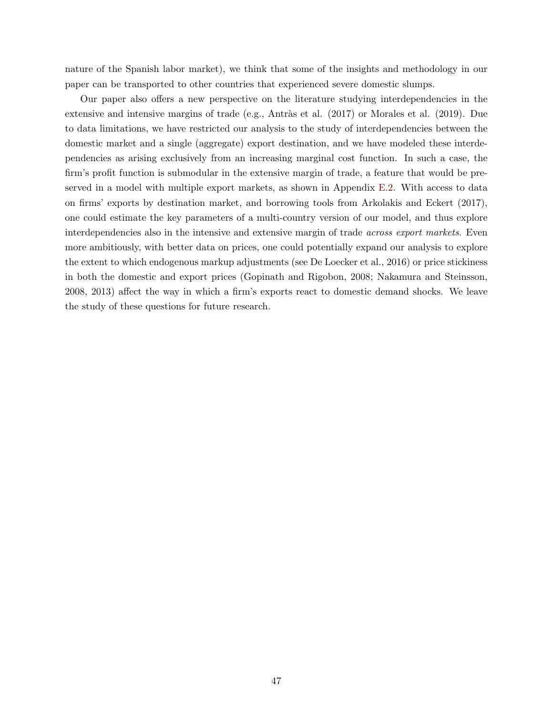nature of the Spanish labor market), we think that some of the insights and methodology in our paper can be transported to other countries that experienced severe domestic slumps.

Our paper also offers a new perspective on the literature studying interdependencies in the extensive and intensive margins of trade (e.g., Antràs et al.  $(2017)$  or Morales et al.  $(2019)$ . Due to data limitations, we have restricted our analysis to the study of interdependencies between the domestic market and a single (aggregate) export destination, and we have modeled these interdependencies as arising exclusively from an increasing marginal cost function. In such a case, the firm's profit function is submodular in the extensive margin of trade, a feature that would be preserved in a model with multiple export markets, as shown in Appendix [E.2.](#page--1-3) With access to data on firms' exports by destination market, and borrowing tools from Arkolakis and Eckert (2017), one could estimate the key parameters of a multi-country version of our model, and thus explore interdependencies also in the intensive and extensive margin of trade across export markets. Even more ambitiously, with better data on prices, one could potentially expand our analysis to explore the extent to which endogenous markup adjustments (see De Loecker et al., 2016) or price stickiness in both the domestic and export prices (Gopinath and Rigobon, 2008; Nakamura and Steinsson, 2008, 2013) affect the way in which a firm's exports react to domestic demand shocks. We leave the study of these questions for future research.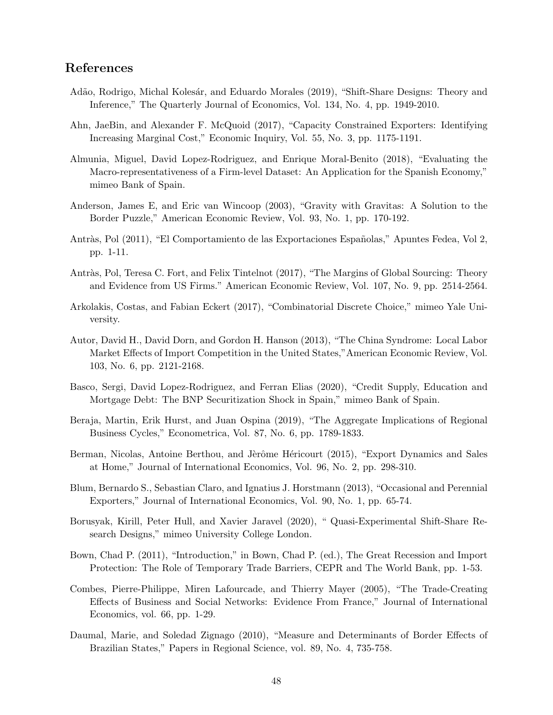# References

- Adão, Rodrigo, Michal Kolesár, and Eduardo Morales (2019), "Shift-Share Designs: Theory and Inference," The Quarterly Journal of Economics, Vol. 134, No. 4, pp. 1949-2010.
- Ahn, JaeBin, and Alexander F. McQuoid (2017), "Capacity Constrained Exporters: Identifying Increasing Marginal Cost," Economic Inquiry, Vol. 55, No. 3, pp. 1175-1191.
- Almunia, Miguel, David Lopez-Rodriguez, and Enrique Moral-Benito (2018), "Evaluating the Macro-representativeness of a Firm-level Dataset: An Application for the Spanish Economy," mimeo Bank of Spain.
- Anderson, James E, and Eric van Wincoop (2003), "Gravity with Gravitas: A Solution to the Border Puzzle," American Economic Review, Vol. 93, No. 1, pp. 170-192.
- Antràs, Pol (2011), "El Comportamiento de las Exportaciones Españolas," Apuntes Fedea, Vol 2, pp. 1-11.
- Antràs, Pol, Teresa C. Fort, and Felix Tintelnot (2017), "The Margins of Global Sourcing: Theory and Evidence from US Firms." American Economic Review, Vol. 107, No. 9, pp. 2514-2564.
- Arkolakis, Costas, and Fabian Eckert (2017), "Combinatorial Discrete Choice," mimeo Yale University.
- Autor, David H., David Dorn, and Gordon H. Hanson (2013), "The China Syndrome: Local Labor Market Effects of Import Competition in the United States,"American Economic Review, Vol. 103, No. 6, pp. 2121-2168.
- Basco, Sergi, David Lopez-Rodriguez, and Ferran Elias (2020), "Credit Supply, Education and Mortgage Debt: The BNP Securitization Shock in Spain," mimeo Bank of Spain.
- Beraja, Martin, Erik Hurst, and Juan Ospina (2019), "The Aggregate Implications of Regional Business Cycles," Econometrica, Vol. 87, No. 6, pp. 1789-1833.
- Berman, Nicolas, Antoine Berthou, and Jèrôme Héricourt (2015), "Export Dynamics and Sales at Home," Journal of International Economics, Vol. 96, No. 2, pp. 298-310.
- Blum, Bernardo S., Sebastian Claro, and Ignatius J. Horstmann (2013), "Occasional and Perennial Exporters," Journal of International Economics, Vol. 90, No. 1, pp. 65-74.
- Borusyak, Kirill, Peter Hull, and Xavier Jaravel (2020), " Quasi-Experimental Shift-Share Research Designs," mimeo University College London.
- Bown, Chad P. (2011), "Introduction," in Bown, Chad P. (ed.), The Great Recession and Import Protection: The Role of Temporary Trade Barriers, CEPR and The World Bank, pp. 1-53.
- Combes, Pierre-Philippe, Miren Lafourcade, and Thierry Mayer (2005), "The Trade-Creating Effects of Business and Social Networks: Evidence From France," Journal of International Economics, vol. 66, pp. 1-29.
- Daumal, Marie, and Soledad Zignago (2010), "Measure and Determinants of Border Effects of Brazilian States," Papers in Regional Science, vol. 89, No. 4, 735-758.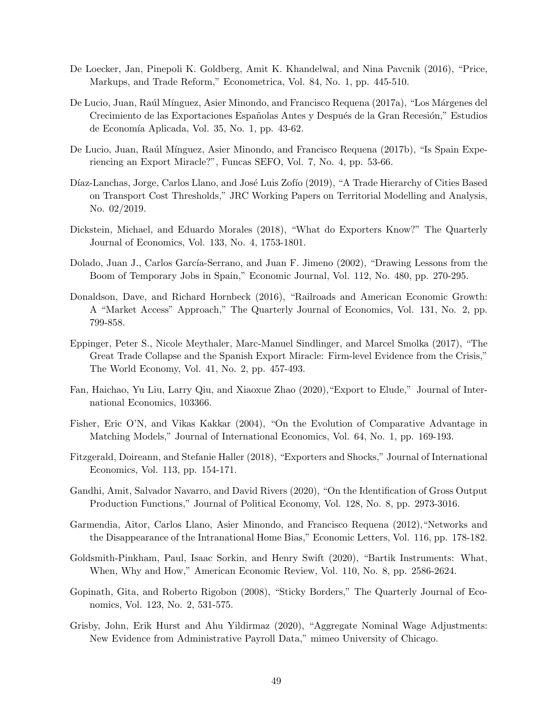- De Loecker, Jan, Pinepoli K. Goldberg, Amit K. Khandelwal, and Nina Pavcnik (2016), "Price, Markups, and Trade Reform," Econometrica, Vol. 84, No. 1, pp. 445-510.
- De Lucio, Juan, Raúl Mínguez, Asier Minondo, and Francisco Requena (2017a), "Los Márgenes del Crecimiento de las Exportaciones Españolas Antes y Después de la Gran Recesión," Estudios de Economía Aplicada, Vol. 35, No. 1, pp. 43-62.
- De Lucio, Juan, Raúl Mínguez, Asier Minondo, and Francisco Requena (2017b), "Is Spain Experiencing an Export Miracle?", Funcas SEFO, Vol. 7, No. 4, pp. 53-66.
- Díaz-Lanchas, Jorge, Carlos Llano, and José Luis Zofío (2019), "A Trade Hierarchy of Cities Based on Transport Cost Thresholds," JRC Working Papers on Territorial Modelling and Analysis, No. 02/2019.
- Dickstein, Michael, and Eduardo Morales (2018), "What do Exporters Know?" The Quarterly Journal of Economics, Vol. 133, No. 4, 1753-1801.
- Dolado, Juan J., Carlos García-Serrano, and Juan F. Jimeno (2002), "Drawing Lessons from the Boom of Temporary Jobs in Spain," Economic Journal, Vol. 112, No. 480, pp. 270-295.
- Donaldson, Dave, and Richard Hornbeck (2016), "Railroads and American Economic Growth: A "Market Access" Approach," The Quarterly Journal of Economics, Vol. 131, No. 2, pp. 799-858.
- Eppinger, Peter S., Nicole Meythaler, Marc-Manuel Sindlinger, and Marcel Smolka (2017), "The Great Trade Collapse and the Spanish Export Miracle: Firm-level Evidence from the Crisis," The World Economy, Vol. 41, No. 2, pp. 457-493.
- Fan, Haichao, Yu Liu, Larry Qiu, and Xiaoxue Zhao (2020),"Export to Elude," Journal of International Economics, 103366.
- Fisher, Eric O'N, and Vikas Kakkar (2004), "On the Evolution of Comparative Advantage in Matching Models," Journal of International Economics, Vol. 64, No. 1, pp. 169-193.
- Fitzgerald, Doireann, and Stefanie Haller (2018), "Exporters and Shocks," Journal of International Economics, Vol. 113, pp. 154-171.
- Gandhi, Amit, Salvador Navarro, and David Rivers (2020), "On the Identification of Gross Output Production Functions," Journal of Political Economy, Vol. 128, No. 8, pp. 2973-3016.
- Garmendia, Aitor, Carlos Llano, Asier Minondo, and Francisco Requena (2012),"Networks and the Disappearance of the Intranational Home Bias," Economic Letters, Vol. 116, pp. 178-182.
- Goldsmith-Pinkham, Paul, Isaac Sorkin, and Henry Swift (2020), "Bartik Instruments: What, When, Why and How," American Economic Review, Vol. 110, No. 8, pp. 2586-2624.
- Gopinath, Gita, and Roberto Rigobon (2008), "Sticky Borders," The Quarterly Journal of Economics, Vol. 123, No. 2, 531-575.
- Grisby, John, Erik Hurst and Ahu Yildirmaz (2020), "Aggregate Nominal Wage Adjustments: New Evidence from Administrative Payroll Data," mimeo University of Chicago.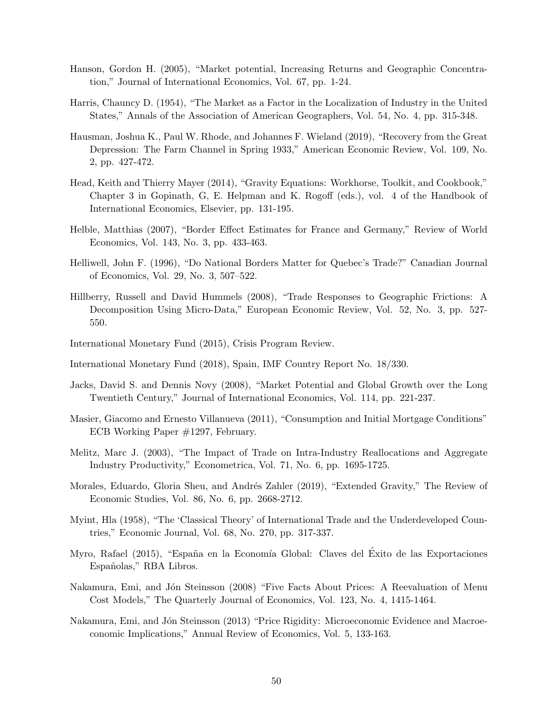- Hanson, Gordon H. (2005), "Market potential, Increasing Returns and Geographic Concentration," Journal of International Economics, Vol. 67, pp. 1-24.
- Harris, Chauncy D. (1954), "The Market as a Factor in the Localization of Industry in the United States," Annals of the Association of American Geographers, Vol. 54, No. 4, pp. 315-348.
- Hausman, Joshua K., Paul W. Rhode, and Johannes F. Wieland (2019), "Recovery from the Great Depression: The Farm Channel in Spring 1933," American Economic Review, Vol. 109, No. 2, pp. 427-472.
- Head, Keith and Thierry Mayer (2014), "Gravity Equations: Workhorse, Toolkit, and Cookbook," Chapter 3 in Gopinath, G, E. Helpman and K. Rogoff (eds.), vol. 4 of the Handbook of International Economics, Elsevier, pp. 131-195.
- Helble, Matthias (2007), "Border Effect Estimates for France and Germany," Review of World Economics, Vol. 143, No. 3, pp. 433-463.
- Helliwell, John F. (1996), "Do National Borders Matter for Quebec's Trade?" Canadian Journal of Economics, Vol. 29, No. 3, 507–522.
- Hillberry, Russell and David Hummels (2008), "Trade Responses to Geographic Frictions: A Decomposition Using Micro-Data," European Economic Review, Vol. 52, No. 3, pp. 527- 550.
- International Monetary Fund (2015), Crisis Program Review.
- International Monetary Fund (2018), Spain, IMF Country Report No. 18/330.
- Jacks, David S. and Dennis Novy (2008), "Market Potential and Global Growth over the Long Twentieth Century," Journal of International Economics, Vol. 114, pp. 221-237.
- Masier, Giacomo and Ernesto Villanueva (2011), "Consumption and Initial Mortgage Conditions" ECB Working Paper #1297, February.
- Melitz, Marc J. (2003), "The Impact of Trade on Intra-Industry Reallocations and Aggregate Industry Productivity," Econometrica, Vol. 71, No. 6, pp. 1695-1725.
- Morales, Eduardo, Gloria Sheu, and Andrés Zahler (2019), "Extended Gravity," The Review of Economic Studies, Vol. 86, No. 6, pp. 2668-2712.
- Myint, Hla (1958), "The 'Classical Theory' of International Trade and the Underdeveloped Countries," Economic Journal, Vol. 68, No. 270, pp. 317-337.
- Myro, Rafael (2015), "España en la Economía Global: Claves del Éxito de las Exportaciones Españolas," RBA Libros.
- Nakamura, Emi, and Jón Steinsson (2008) "Five Facts About Prices: A Reevaluation of Menu Cost Models," The Quarterly Journal of Economics, Vol. 123, No. 4, 1415-1464.
- Nakamura, Emi, and Jón Steinsson (2013) "Price Rigidity: Microeconomic Evidence and Macroeconomic Implications," Annual Review of Economics, Vol. 5, 133-163.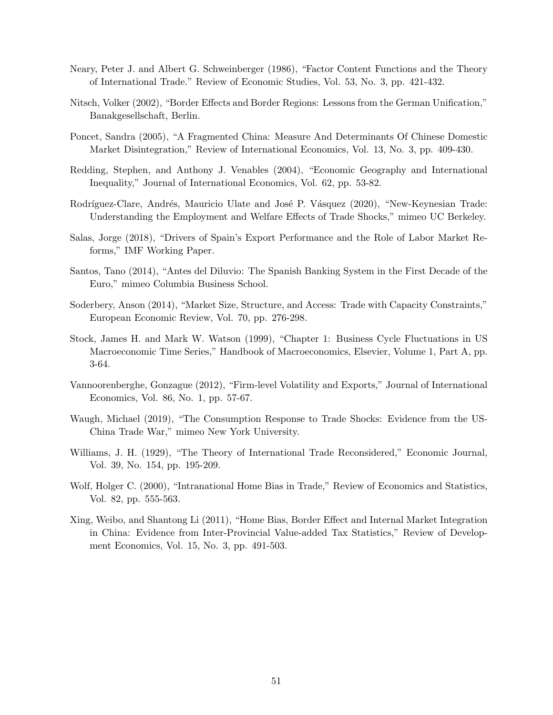- Neary, Peter J. and Albert G. Schweinberger (1986), "Factor Content Functions and the Theory of International Trade." Review of Economic Studies, Vol. 53, No. 3, pp. 421-432.
- Nitsch, Volker (2002), "Border Effects and Border Regions: Lessons from the German Unification," Banakgesellschaft, Berlin.
- Poncet, Sandra (2005), "A Fragmented China: Measure And Determinants Of Chinese Domestic Market Disintegration," Review of International Economics, Vol. 13, No. 3, pp. 409-430.
- Redding, Stephen, and Anthony J. Venables (2004), "Economic Geography and International Inequality," Journal of International Economics, Vol. 62, pp. 53-82.
- Rodríguez-Clare, Andrés, Mauricio Ulate and José P. Vásquez (2020), "New-Keynesian Trade: Understanding the Employment and Welfare Effects of Trade Shocks," mimeo UC Berkeley.
- Salas, Jorge (2018), "Drivers of Spain's Export Performance and the Role of Labor Market Reforms," IMF Working Paper.
- Santos, Tano (2014), "Antes del Diluvio: The Spanish Banking System in the First Decade of the Euro," mimeo Columbia Business School.
- Soderbery, Anson (2014), "Market Size, Structure, and Access: Trade with Capacity Constraints," European Economic Review, Vol. 70, pp. 276-298.
- Stock, James H. and Mark W. Watson (1999), "Chapter 1: Business Cycle Fluctuations in US Macroeconomic Time Series," Handbook of Macroeconomics, Elsevier, Volume 1, Part A, pp. 3-64.
- Vannoorenberghe, Gonzague (2012), "Firm-level Volatility and Exports," Journal of International Economics, Vol. 86, No. 1, pp. 57-67.
- Waugh, Michael (2019), "The Consumption Response to Trade Shocks: Evidence from the US-China Trade War," mimeo New York University.
- Williams, J. H. (1929), "The Theory of International Trade Reconsidered," Economic Journal, Vol. 39, No. 154, pp. 195-209.
- Wolf, Holger C. (2000), "Intranational Home Bias in Trade," Review of Economics and Statistics, Vol. 82, pp. 555-563.
- Xing, Weibo, and Shantong Li (2011), "Home Bias, Border Effect and Internal Market Integration in China: Evidence from Inter-Provincial Value-added Tax Statistics," Review of Development Economics, Vol. 15, No. 3, pp. 491-503.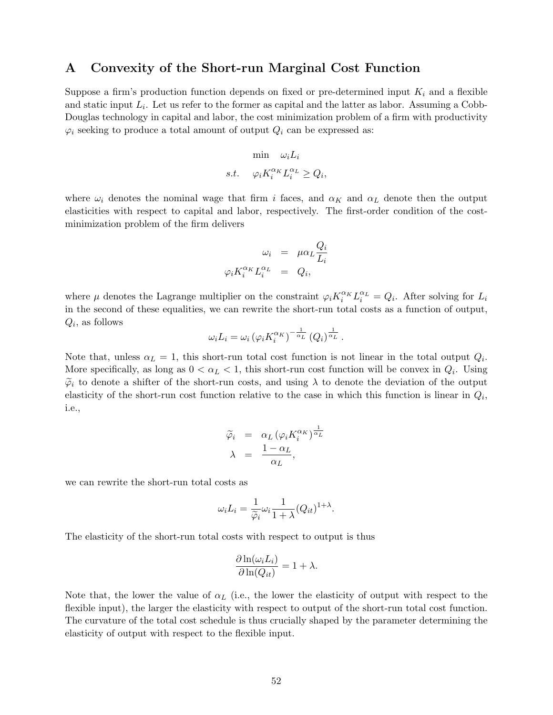## <span id="page-52-0"></span>A Convexity of the Short-run Marginal Cost Function

Suppose a firm's production function depends on fixed or pre-determined input  $K_i$  and a flexible and static input  $L_i$ . Let us refer to the former as capital and the latter as labor. Assuming a Cobb-Douglas technology in capital and labor, the cost minimization problem of a firm with productivity  $\varphi_i$  seeking to produce a total amount of output  $Q_i$  can be expressed as:

$$
\begin{aligned} \min \quad & \omega_i L_i \\ s.t. \quad & \varphi_i K_i^{\alpha_K} L_i^{\alpha_L} \ge Q_i, \end{aligned}
$$

where  $\omega_i$  denotes the nominal wage that firm i faces, and  $\alpha_K$  and  $\alpha_L$  denote then the output elasticities with respect to capital and labor, respectively. The first-order condition of the costminimization problem of the firm delivers

$$
\omega_i = \mu \alpha_L \frac{Q_i}{L_i}
$$

$$
\varphi_i K_i^{\alpha_K} L_i^{\alpha_L} = Q_i,
$$

where  $\mu$  denotes the Lagrange multiplier on the constraint  $\varphi_i K_i^{\alpha_K} L_i^{\alpha_L} = Q_i$ . After solving for  $L_i$ in the second of these equalities, we can rewrite the short-run total costs as a function of output,  $Q_i$ , as follows

$$
\omega_i L_i = \omega_i \left( \varphi_i K_i^{\alpha_K} \right)^{-\frac{1}{\alpha_L}} \left( Q_i \right)^{\frac{1}{\alpha_L}}.
$$

Note that, unless  $\alpha_L = 1$ , this short-run total cost function is not linear in the total output  $Q_i$ . More specifically, as long as  $0 < \alpha_L < 1$ , this short-run cost function will be convex in  $Q_i$ . Using  $\tilde{\varphi}_i$  to denote a shifter of the short-run costs, and using  $\lambda$  to denote the deviation of the output elasticity of the short-run cost function relative to the case in which this function is linear in  $Q_i$ , i.e.,

$$
\begin{array}{rcl}\n\widetilde{\varphi}_i & = & \alpha_L \left( \varphi_i K_i^{\alpha_K} \right)^{\frac{1}{\alpha_L}} \\
\lambda & = & \frac{1 - \alpha_L}{\alpha_L},\n\end{array}
$$

we can rewrite the short-run total costs as

$$
\omega_i L_i = \frac{1}{\widetilde{\varphi}_i} \omega_i \frac{1}{1 + \lambda} (Q_{it})^{1 + \lambda}.
$$

The elasticity of the short-run total costs with respect to output is thus

$$
\frac{\partial \ln(\omega_i L_i)}{\partial \ln(Q_{it})} = 1 + \lambda.
$$

Note that, the lower the value of  $\alpha_L$  (i.e., the lower the elasticity of output with respect to the flexible input), the larger the elasticity with respect to output of the short-run total cost function. The curvature of the total cost schedule is thus crucially shaped by the parameter determining the elasticity of output with respect to the flexible input.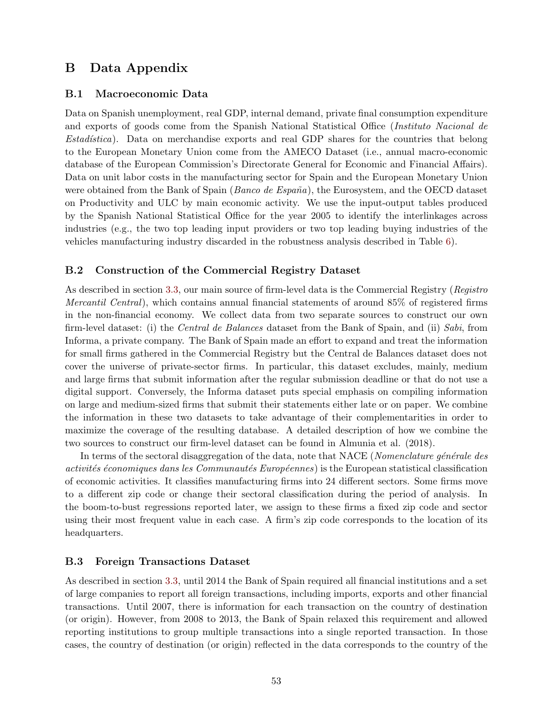# <span id="page-53-0"></span>B Data Appendix

## B.1 Macroeconomic Data

Data on Spanish unemployment, real GDP, internal demand, private final consumption expenditure and exports of goods come from the Spanish National Statistical Office (Instituto Nacional de Estadística). Data on merchandise exports and real GDP shares for the countries that belong to the European Monetary Union come from the AMECO Dataset (i.e., annual macro-economic database of the European Commission's Directorate General for Economic and Financial Affairs). Data on unit labor costs in the manufacturing sector for Spain and the European Monetary Union were obtained from the Bank of Spain (*Banco de España*), the Eurosystem, and the OECD dataset on Productivity and ULC by main economic activity. We use the input-output tables produced by the Spanish National Statistical Office for the year 2005 to identify the interlinkages across industries (e.g., the two top leading input providers or two top leading buying industries of the vehicles manufacturing industry discarded in the robustness analysis described in Table [6\)](#page-28-1).

## B.2 Construction of the Commercial Registry Dataset

As described in section [3.3,](#page-13-1) our main source of firm-level data is the Commercial Registry (Registro Mercantil Central), which contains annual financial statements of around 85% of registered firms in the non-financial economy. We collect data from two separate sources to construct our own firm-level dataset: (i) the Central de Balances dataset from the Bank of Spain, and (ii) Sabi, from Informa, a private company. The Bank of Spain made an effort to expand and treat the information for small firms gathered in the Commercial Registry but the Central de Balances dataset does not cover the universe of private-sector firms. In particular, this dataset excludes, mainly, medium and large firms that submit information after the regular submission deadline or that do not use a digital support. Conversely, the Informa dataset puts special emphasis on compiling information on large and medium-sized firms that submit their statements either late or on paper. We combine the information in these two datasets to take advantage of their complementarities in order to maximize the coverage of the resulting database. A detailed description of how we combine the two sources to construct our firm-level dataset can be found in Almunia et al. (2018).

In terms of the sectoral disaggregation of the data, note that NACE (*Nomenclature générale des* activités économiques dans les Communautés Européennes) is the European statistical classification of economic activities. It classifies manufacturing firms into 24 different sectors. Some firms move to a different zip code or change their sectoral classification during the period of analysis. In the boom-to-bust regressions reported later, we assign to these firms a fixed zip code and sector using their most frequent value in each case. A firm's zip code corresponds to the location of its headquarters.

### B.3 Foreign Transactions Dataset

As described in section [3.3,](#page-13-1) until 2014 the Bank of Spain required all financial institutions and a set of large companies to report all foreign transactions, including imports, exports and other financial transactions. Until 2007, there is information for each transaction on the country of destination (or origin). However, from 2008 to 2013, the Bank of Spain relaxed this requirement and allowed reporting institutions to group multiple transactions into a single reported transaction. In those cases, the country of destination (or origin) reflected in the data corresponds to the country of the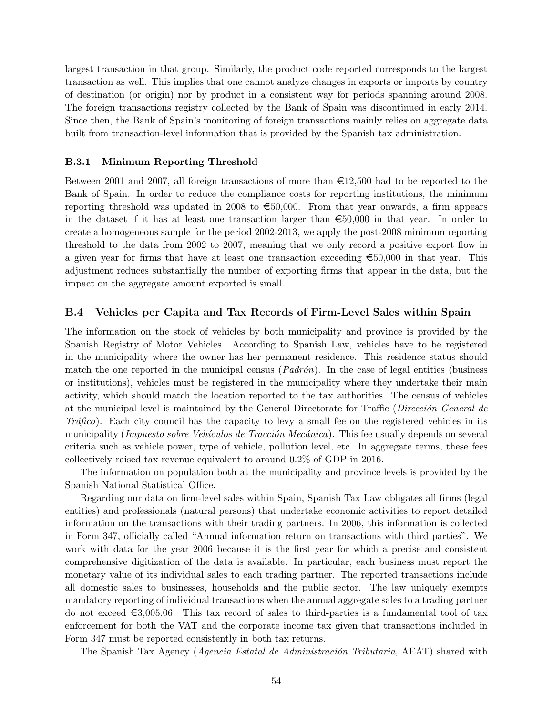largest transaction in that group. Similarly, the product code reported corresponds to the largest transaction as well. This implies that one cannot analyze changes in exports or imports by country of destination (or origin) nor by product in a consistent way for periods spanning around 2008. The foreign transactions registry collected by the Bank of Spain was discontinued in early 2014. Since then, the Bank of Spain's monitoring of foreign transactions mainly relies on aggregate data built from transaction-level information that is provided by the Spanish tax administration.

#### B.3.1 Minimum Reporting Threshold

Between 2001 and 2007, all foreign transactions of more than  $\epsilon$ 12,500 had to be reported to the Bank of Spain. In order to reduce the compliance costs for reporting institutions, the minimum reporting threshold was updated in 2008 to  $\epsilon$ 50,000. From that year onwards, a firm appears in the dataset if it has at least one transaction larger than  $\epsilon$ 50,000 in that year. In order to create a homogeneous sample for the period 2002-2013, we apply the post-2008 minimum reporting threshold to the data from 2002 to 2007, meaning that we only record a positive export flow in a given year for firms that have at least one transaction exceeding  $\epsilon$ 50,000 in that year. This adjustment reduces substantially the number of exporting firms that appear in the data, but the impact on the aggregate amount exported is small.

### B.4 Vehicles per Capita and Tax Records of Firm-Level Sales within Spain

The information on the stock of vehicles by both municipality and province is provided by the Spanish Registry of Motor Vehicles. According to Spanish Law, vehicles have to be registered in the municipality where the owner has her permanent residence. This residence status should match the one reported in the municipal census  $(Padrón)$ . In the case of legal entities (business or institutions), vehicles must be registered in the municipality where they undertake their main activity, which should match the location reported to the tax authorities. The census of vehicles at the municipal level is maintained by the General Directorate for Traffic (Dirección General de Tráfico). Each city council has the capacity to levy a small fee on the registered vehicles in its municipality (*Impuesto sobre Vehículos de Tracción Mecánica*). This fee usually depends on several criteria such as vehicle power, type of vehicle, pollution level, etc. In aggregate terms, these fees collectively raised tax revenue equivalent to around 0.2% of GDP in 2016.

The information on population both at the municipality and province levels is provided by the Spanish National Statistical Office.

Regarding our data on firm-level sales within Spain, Spanish Tax Law obligates all firms (legal entities) and professionals (natural persons) that undertake economic activities to report detailed information on the transactions with their trading partners. In 2006, this information is collected in Form 347, officially called "Annual information return on transactions with third parties". We work with data for the year 2006 because it is the first year for which a precise and consistent comprehensive digitization of the data is available. In particular, each business must report the monetary value of its individual sales to each trading partner. The reported transactions include all domestic sales to businesses, households and the public sector. The law uniquely exempts mandatory reporting of individual transactions when the annual aggregate sales to a trading partner do not exceed  $\epsilon$ 3,005.06. This tax record of sales to third-parties is a fundamental tool of tax enforcement for both the VAT and the corporate income tax given that transactions included in Form 347 must be reported consistently in both tax returns.

The Spanish Tax Agency (*Agencia Estatal de Administración Tributaria*, AEAT) shared with